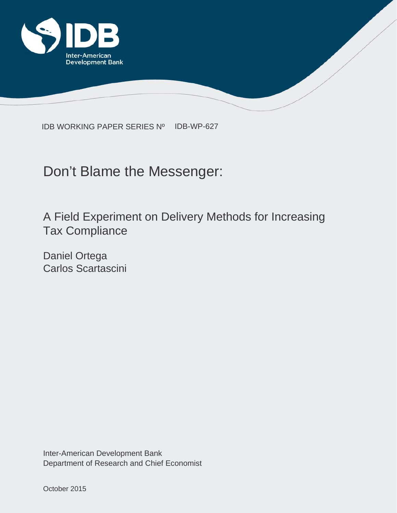

IDB WORKING PAPER SERIES Nº IDB-WP-627

Don't Blame the Messenger:

A Field Experiment on Delivery Methods for Increasing Tax Compliance

Daniel Ortega Carlos Scartascini

Department of Research and Chief Economist Inter-American Development Bank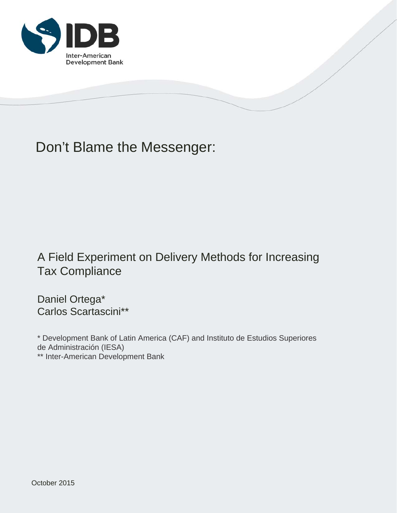

Don't Blame the Messenger:

# A Field Experiment on Delivery Methods for Increasing Tax Compliance

Daniel Ortega\* Carlos Scartascini\*\*

\* Development Bank of Latin America (CAF) and Instituto de Estudios Superiores de Administración (IESA) \*\* Inter-American Development Bank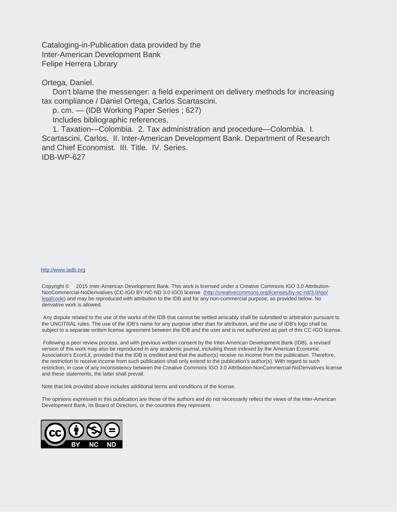Cataloging-in-Publication data provided by the Inter-American Development Bank Felipe Herrera Library

Ortega, Daniel.

 Don't blame the messenger: a field experiment on delivery methods for increasing tax compliance / Daniel Ortega, Carlos Scartascini.

p. cm. — (IDB Working Paper Series ; 627)

Includes bibliographic references.

 1. Taxation—Colombia. 2. Tax administration and procedure—Colombia. I. Scartascini, Carlos. II. Inter-American Development Bank. Department of Research and Chief Economist. III. Title. IV. Series. IDB-WP-627

#### http://www.iadb.org

Copyright © 2015 Inter-American Development Bank. This work is licensed under a Creative Commons IGO 3.0 Attribution-NonCommercial-NoDerivatives (CC-IGO BY-NC-ND 3.0 IGO) license (http://creativecommons.org/licenses/by-nc-nd/3.0/igo/ legalcode) and may be reproduced with attribution to the IDB and for any non-commercial purpose, as provided below. No derivative work is allowed.

 Any dispute related to the use of the works of the IDB that cannot be settled amicably shall be submitted to arbitration pursuant to the UNCITRAL rules. The use of the IDB's name for any purpose other than for attribution, and the use of IDB's logo shall be subject to a separate written license agreement between the IDB and the user and is not authorized as part of this CC-IGO license.

 Following a peer review process, and with previous written consent by the Inter-American Development Bank (IDB), a revised version of this work may also be reproduced in any academic journal, including those indexed by the American Economic Association's EconLit, provided that the IDB is credited and that the author(s) receive no income from the publication. Therefore, the restriction to receive income from such publication shall only extend to the publication's author(s). With regard to such restriction, in case of any inconsistency between the Creative Commons IGO 3.0 Attribution-NonCommercial-NoDerivatives license and these statements, the latter shall prevail.

Note that link provided above includes additional terms and conditions of the license.

The opinions expressed in this publication are those of the authors and do not necessarily reflect the views of the Inter-American Development Bank, its Board of Directors, or the countries they represent.

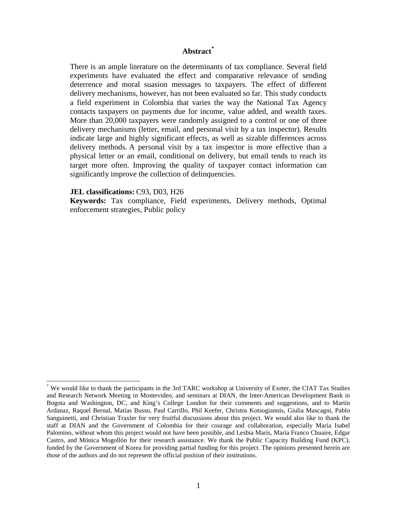# **Abstract[\\*](#page-3-0)**

There is an ample literature on the determinants of tax compliance. Several field experiments have evaluated the effect and comparative relevance of sending deterrence and moral suasion messages to taxpayers. The effect of different delivery mechanisms, however, has not been evaluated so far. This study conducts a field experiment in Colombia that varies the way the National Tax Agency contacts taxpayers on payments due for income, value added, and wealth taxes. More than 20,000 taxpayers were randomly assigned to a control or one of three delivery mechanisms (letter, email, and personal visit by a tax inspector). Results indicate large and highly significant effects, as well as sizable differences across delivery methods. A personal visit by a tax inspector is more effective than a physical letter or an email, conditional on delivery, but email tends to reach its target more often. Improving the quality of taxpayer contact information can significantly improve the collection of delinquencies.

#### **JEL classifications:** C93, D03, H26

**Keywords:** Tax compliance, Field experiments, Delivery methods, Optimal enforcement strategies, Public policy

<span id="page-3-0"></span>\* We would like to thank the participants in the 3rd TARC workshop at University of Exeter, the CIAT Tax Studies and Research Network Meeting in Montevideo, and seminars at DIAN, the Inter-American Development Bank in Bogota and Washington, DC, and King's College London for their comments and suggestions, and to Martín Ardanaz, Raquel Bernal, Matías Busso, Paul Carrillo, Phil Keefer, Christos Kotsogiannis, Giulia Mascagni, Pablo Sanguinetti, and Christian Traxler for very fruitful discussions about this project. We would also like to thank the staff at DIAN and the Government of Colombia for their courage and collaboration, especially María Isabel Palomino, without whom this project would not have been possible, and Lesbia Maris, María Franco Chuaire, Edgar Castro, and Mónica Mogollón for their research assistance. We thank the Public Capacity Building Fund (KPC), funded by the Government of Korea for providing partial funding for this project. The opinions presented herein are those of the authors and do not represent the official position of their institutions.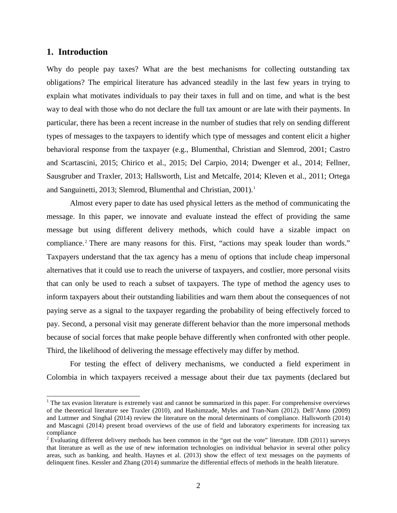# **1. Introduction**

Why do people pay taxes? What are the best mechanisms for collecting outstanding tax obligations? The empirical literature has advanced steadily in the last few years in trying to explain what motivates individuals to pay their taxes in full and on time, and what is the best way to deal with those who do not declare the full tax amount or are late with their payments. In particular, there has been a recent increase in the number of studies that rely on sending different types of messages to the taxpayers to identify which type of messages and content elicit a higher behavioral response from the taxpayer (e.g., Blumenthal, Christian and Slemrod, 2001; Castro and Scartascini, 2015; Chirico et al., 2015; Del Carpio, 2014; Dwenger et al., 2014; Fellner, Sausgruber and Traxler, 2013; Hallsworth, List and Metcalfe, 2014; Kleven et al., 2011; Ortega and Sanguinetti, 20[1](#page-4-0)3; Slemrod, Blumenthal and Christian, 2001).<sup>1</sup>

Almost every paper to date has used physical letters as the method of communicating the message. In this paper, we innovate and evaluate instead the effect of providing the same message but using different delivery methods, which could have a sizable impact on compliance.<sup>[2](#page-4-1)</sup> There are many reasons for this. First, "actions may speak louder than words." Taxpayers understand that the tax agency has a menu of options that include cheap impersonal alternatives that it could use to reach the universe of taxpayers, and costlier, more personal visits that can only be used to reach a subset of taxpayers. The type of method the agency uses to inform taxpayers about their outstanding liabilities and warn them about the consequences of not paying serve as a signal to the taxpayer regarding the probability of being effectively forced to pay. Second, a personal visit may generate different behavior than the more impersonal methods because of social forces that make people behave differently when confronted with other people. Third, the likelihood of delivering the message effectively may differ by method.

For testing the effect of delivery mechanisms, we conducted a field experiment in Colombia in which taxpayers received a message about their due tax payments (declared but

<span id="page-4-0"></span> $<sup>1</sup>$  The tax evasion literature is extremely vast and cannot be summarized in this paper. For comprehensive overviews</sup> of the theoretical literature see Traxler (2010), and Hashimzade, Myles and Tran-Nam (2012). Dell'Anno (2009) and Luttmer and Singhal (2014) review the literature on the moral determinants of compliance. Hallsworth (2014) and Mascagni (2014) present broad overviews of the use of field and laboratory experiments for increasing tax compliance

<span id="page-4-1"></span> $2$  Evaluating different delivery methods has been common in the "get out the vote" literature. IDB (2011) surveys that literature as well as the use of new information technologies on individual behavior in several other policy areas, such as banking, and health. Haynes et al. (2013) show the effect of text messages on the payments of delinquent fines. Kessler and Zhang (2014) summarize the differential effects of methods in the health literature.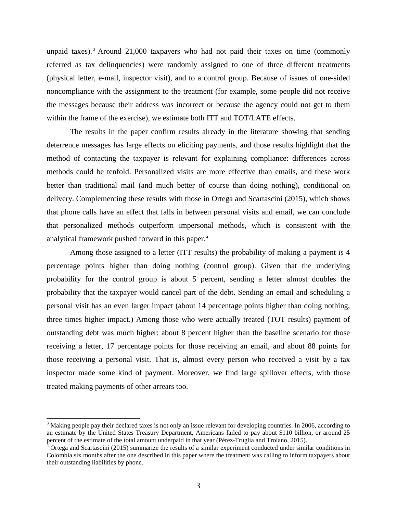unpaid taxes).<sup>[3](#page-5-0)</sup> Around 21,000 taxpayers who had not paid their taxes on time (commonly referred as tax delinquencies) were randomly assigned to one of three different treatments (physical letter, e-mail, inspector visit), and to a control group. Because of issues of one-sided noncompliance with the assignment to the treatment (for example, some people did not receive the messages because their address was incorrect or because the agency could not get to them within the frame of the exercise), we estimate both ITT and TOT/LATE effects.

The results in the paper confirm results already in the literature showing that sending deterrence messages has large effects on eliciting payments, and those results highlight that the method of contacting the taxpayer is relevant for explaining compliance: differences across methods could be tenfold. Personalized visits are more effective than emails, and these work better than traditional mail (and much better of course than doing nothing), conditional on delivery. Complementing these results with those in Ortega and Scartascini (2015), which shows that phone calls have an effect that falls in between personal visits and email, we can conclude that personalized methods outperform impersonal methods, which is consistent with the analytical framework pushed forward in this paper.<sup>[4](#page-5-1)</sup>

Among those assigned to a letter (ITT results) the probability of making a payment is 4 percentage points higher than doing nothing (control group). Given that the underlying probability for the control group is about 5 percent, sending a letter almost doubles the probability that the taxpayer would cancel part of the debt. Sending an email and scheduling a personal visit has an even larger impact (about 14 percentage points higher than doing nothing, three times higher impact.) Among those who were actually treated (TOT results) payment of outstanding debt was much higher: about 8 percent higher than the baseline scenario for those receiving a letter, 17 percentage points for those receiving an email, and about 88 points for those receiving a personal visit. That is, almost every person who received a visit by a tax inspector made some kind of payment. Moreover, we find large spillover effects, with those treated making payments of other arrears too.

<span id="page-5-0"></span> $3$  Making people pay their declared taxes is not only an issue relevant for developing countries. In 2006, according to an estimate by the United States Treasury Department, Americans failed to pay about \$110 billion, or around 25 percent of the estimate of the total amount underpaid in that year (Pérez-Truglia and Troiano, 2015).

<span id="page-5-1"></span> $^{4}$  Ortega and Scartascini (2015) summarize the results of a similar experiment conducted under similar conditions in Colombia six months after the one described in this paper where the treatment was calling to inform taxpayers about their outstanding liabilities by phone.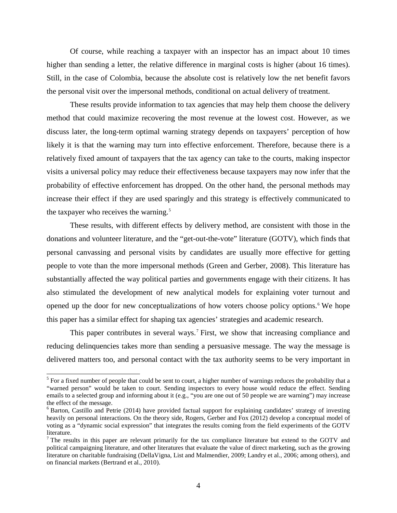Of course, while reaching a taxpayer with an inspector has an impact about 10 times higher than sending a letter, the relative difference in marginal costs is higher (about 16 times). Still, in the case of Colombia, because the absolute cost is relatively low the net benefit favors the personal visit over the impersonal methods, conditional on actual delivery of treatment.

These results provide information to tax agencies that may help them choose the delivery method that could maximize recovering the most revenue at the lowest cost. However, as we discuss later, the long-term optimal warning strategy depends on taxpayers' perception of how likely it is that the warning may turn into effective enforcement. Therefore, because there is a relatively fixed amount of taxpayers that the tax agency can take to the courts, making inspector visits a universal policy may reduce their effectiveness because taxpayers may now infer that the probability of effective enforcement has dropped. On the other hand, the personal methods may increase their effect if they are used sparingly and this strategy is effectively communicated to the taxpayer who receives the warning. $5$ 

These results, with different effects by delivery method, are consistent with those in the donations and volunteer literature, and the "get-out-the-vote" literature (GOTV), which finds that personal canvassing and personal visits by candidates are usually more effective for getting people to vote than the more impersonal methods (Green and Gerber, 2008). This literature has substantially affected the way political parties and governments engage with their citizens. It has also stimulated the development of new analytical models for explaining voter turnout and opened up the door for new conceptualizations of how voters choose policy options.<sup>[6](#page-6-1)</sup> We hope this paper has a similar effect for shaping tax agencies' strategies and academic research.

This paper contributes in several ways.<sup>[7](#page-6-2)</sup> First, we show that increasing compliance and reducing delinquencies takes more than sending a persuasive message. The way the message is delivered matters too, and personal contact with the tax authority seems to be very important in

<span id="page-6-0"></span> $<sup>5</sup>$  For a fixed number of people that could be sent to court, a higher number of warnings reduces the probability that a</sup> "warned person" would be taken to court. Sending inspectors to every house would reduce the effect. Sending emails to a selected group and informing about it (e.g., "you are one out of 50 people we are warning") may increase the effect of the message.

<span id="page-6-1"></span><sup>&</sup>lt;sup>6</sup> Barton, Castillo and Petrie (2014) have provided factual support for explaining candidates' strategy of investing heavily on personal interactions. On the theory side, Rogers, Gerber and Fox (2012) develop a conceptual model of voting as a "dynamic social expression" that integrates the results coming from the field experiments of the GOTV literature.

<span id="page-6-2"></span><sup>&</sup>lt;sup>7</sup> The results in this paper are relevant primarily for the tax compliance literature but extend to the GOTV and political campaigning literature, and other literatures that evaluate the value of direct marketing, such as the growing literature on charitable fundraising (DellaVigna, List and Malmendier, 2009; Landry et al., 2006; among others), and on financial markets (Bertrand et al., 2010).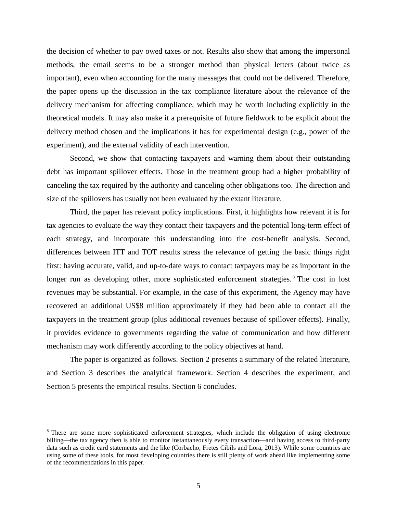the decision of whether to pay owed taxes or not. Results also show that among the impersonal methods, the email seems to be a stronger method than physical letters (about twice as important), even when accounting for the many messages that could not be delivered. Therefore, the paper opens up the discussion in the tax compliance literature about the relevance of the delivery mechanism for affecting compliance, which may be worth including explicitly in the theoretical models. It may also make it a prerequisite of future fieldwork to be explicit about the delivery method chosen and the implications it has for experimental design (e.g., power of the experiment), and the external validity of each intervention.

Second, we show that contacting taxpayers and warning them about their outstanding debt has important spillover effects. Those in the treatment group had a higher probability of canceling the tax required by the authority and canceling other obligations too. The direction and size of the spillovers has usually not been evaluated by the extant literature.

Third, the paper has relevant policy implications. First, it highlights how relevant it is for tax agencies to evaluate the way they contact their taxpayers and the potential long-term effect of each strategy, and incorporate this understanding into the cost-benefit analysis. Second, differences between ITT and TOT results stress the relevance of getting the basic things right first: having accurate, valid, and up-to-date ways to contact taxpayers may be as important in the longer run as developing other, more sophisticated enforcement strategies.<sup>[8](#page-7-0)</sup> The cost in lost revenues may be substantial. For example, in the case of this experiment, the Agency may have recovered an additional US\$8 million approximately if they had been able to contact all the taxpayers in the treatment group (plus additional revenues because of spillover effects). Finally, it provides evidence to governments regarding the value of communication and how different mechanism may work differently according to the policy objectives at hand.

The paper is organized as follows. Section 2 presents a summary of the related literature, and Section 3 describes the analytical framework. Section 4 describes the experiment, and Section 5 presents the empirical results. Section 6 concludes.

<span id="page-7-0"></span><sup>&</sup>lt;sup>8</sup> There are some more sophisticated enforcement strategies, which include the obligation of using electronic billing—the tax agency then is able to monitor instantaneously every transaction—and having access to third-party data such as credit card statements and the like (Corbacho, Fretes Cibils and Lora, 2013). While some countries are using some of these tools, for most developing countries there is still plenty of work ahead like implementing some of the recommendations in this paper.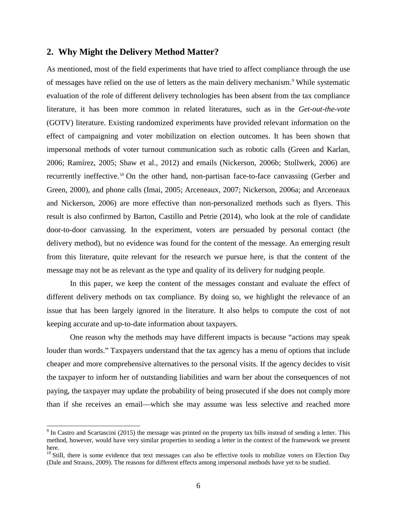# **2. Why Might the Delivery Method Matter?**

As mentioned, most of the field experiments that have tried to affect compliance through the use of messages have relied on the use of letters as the main delivery mechanism.<sup>[9](#page-8-0)</sup> While systematic evaluation of the role of different delivery technologies has been absent from the tax compliance literature, it has been more common in related literatures, such as in the *Get-out-the-vote* (GOTV) literature. Existing randomized experiments have provided relevant information on the effect of campaigning and voter mobilization on election outcomes. It has been shown that impersonal methods of voter turnout communication such as robotic calls (Green and Karlan, 2006; Ramírez, 2005; Shaw et al., 2012) and emails (Nickerson, 2006b; Stollwerk, 2006) are recurrently ineffective.<sup>[10](#page-8-1)</sup> On the other hand, non-partisan face-to-face canvassing (Gerber and Green, 2000), and phone calls (Imai, 2005; Arceneaux, 2007; Nickerson, 2006a; and Arceneaux and Nickerson, 2006) are more effective than non-personalized methods such as flyers. This result is also confirmed by Barton, Castillo and Petrie (2014), who look at the role of candidate door-to-door canvassing. In the experiment, voters are persuaded by personal contact (the delivery method), but no evidence was found for the content of the message. An emerging result from this literature, quite relevant for the research we pursue here, is that the content of the message may not be as relevant as the type and quality of its delivery for nudging people.

In this paper, we keep the content of the messages constant and evaluate the effect of different delivery methods on tax compliance. By doing so, we highlight the relevance of an issue that has been largely ignored in the literature. It also helps to compute the cost of not keeping accurate and up-to-date information about taxpayers.

One reason why the methods may have different impacts is because "actions may speak louder than words." Taxpayers understand that the tax agency has a menu of options that include cheaper and more comprehensive alternatives to the personal visits. If the agency decides to visit the taxpayer to inform her of outstanding liabilities and warn her about the consequences of not paying, the taxpayer may update the probability of being prosecuted if she does not comply more than if she receives an email—which she may assume was less selective and reached more

<span id="page-8-0"></span> $9$  In Castro and Scartascini (2015) the message was printed on the property tax bills instead of sending a letter. This method, however, would have very similar properties to sending a letter in the context of the framework we present here.

<span id="page-8-1"></span> $10$  Still, there is some evidence that text messages can also be effective tools to mobilize voters on Election Day (Dale and Strauss, 2009). The reasons for different effects among impersonal methods have yet to be studied.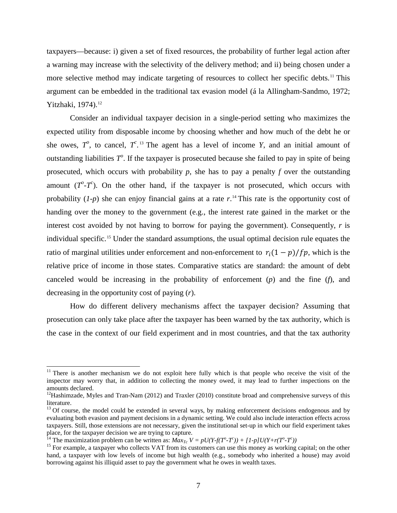taxpayers—because: i) given a set of fixed resources, the probability of further legal action after a warning may increase with the selectivity of the delivery method; and ii) being chosen under a more selective method may indicate targeting of resources to collect her specific debts.<sup>[11](#page-9-0)</sup> This argument can be embedded in the traditional tax evasion model (á la Allingham-Sandmo, 1972; Yitzhaki, 1974).<sup>[12](#page-9-1)</sup>

Consider an individual taxpayer decision in a single-period setting who maximizes the expected utility from disposable income by choosing whether and how much of the debt he or she owes,  $T^o$ , to cancel,  $T^c$ .<sup>[13](#page-9-2)</sup> The agent has a level of income *Y*, and an initial amount of outstanding liabilities  $T<sup>o</sup>$ . If the taxpayer is prosecuted because she failed to pay in spite of being prosecuted, which occurs with probability *p*, she has to pay a penalty *f* over the outstanding amount  $(T^o \text{-} T^c)$ . On the other hand, if the taxpayer is not prosecuted, which occurs with probability (*1-p*) she can enjoy financial gains at a rate *r*. [14](#page-9-3) This rate is the opportunity cost of handing over the money to the government (e.g., the interest rate gained in the market or the interest cost avoided by not having to borrow for paying the government). Consequently, *r* is individual specific.[15](#page-9-4) Under the standard assumptions, the usual optimal decision rule equates the ratio of marginal utilities under enforcement and non-enforcement to  $r_i(1 - p)/fp$ , which is the relative price of income in those states. Comparative statics are standard: the amount of debt canceled would be increasing in the probability of enforcement (*p*) and the fine (*f*), and decreasing in the opportunity cost of paying (*r*).

How do different delivery mechanisms affect the taxpayer decision? Assuming that prosecution can only take place after the taxpayer has been warned by the tax authority, which is the case in the context of our field experiment and in most countries, and that the tax authority

<span id="page-9-0"></span><sup>&</sup>lt;sup>11</sup> There is another mechanism we do not exploit here fully which is that people who receive the visit of the inspector may worry that, in addition to collecting the money owed, it may lead to further inspections on the amounts declared.

<span id="page-9-1"></span> $12$ Hashimzade, Myles and Tran-Nam (2012) and Traxler (2010) constitute broad and comprehensive surveys of this literature.

<span id="page-9-2"></span> $13$  Of course, the model could be extended in several ways, by making enforcement decisions endogenous and by evaluating both evasion and payment decisions in a dynamic setting. We could also include interaction effects across taxpayers. Still, those extensions are not necessary, given the institutional set-up in which our field experiment takes place, for the taxpayer decision we are trying to capture.

<span id="page-9-3"></span><sup>&</sup>lt;sup>14</sup> The maximization problem can be written as:  $Max_{T_c} V = pU(Y-f(T^c-T^c)) + [1-p]U(Y+r(T^c-T^c))$ 

<span id="page-9-4"></span><sup>&</sup>lt;sup>15</sup> For example, a taxpayer who collects VAT from its customers can use this money as working capital; on the other hand, a taxpayer with low levels of income but high wealth (e.g., somebody who inherited a house) may avoid borrowing against his illiquid asset to pay the government what he owes in wealth taxes.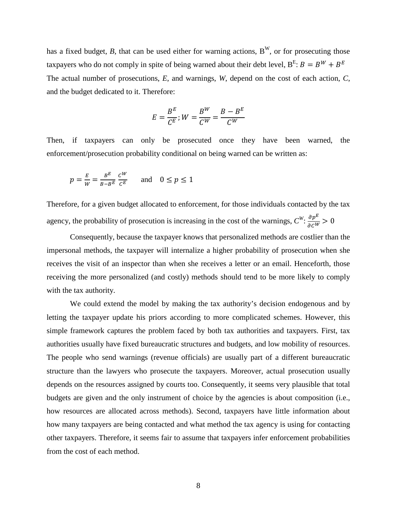has a fixed budget, *B*, that can be used either for warning actions,  $B<sup>W</sup>$ , or for prosecuting those taxpayers who do not comply in spite of being warned about their debt level,  $B^E$ :  $B = B^W + B^E$ The actual number of prosecutions, *E*, and warnings, *W*, depend on the cost of each action, *C*, and the budget dedicated to it. Therefore:

$$
E = \frac{B^E}{C^E}; W = \frac{B^W}{C^W} = \frac{B - B^E}{C^W}
$$

Then, if taxpayers can only be prosecuted once they have been warned, the enforcement/prosecution probability conditional on being warned can be written as:

$$
p = \frac{E}{W} = \frac{B^E}{B - B^E} \frac{C^W}{C^E} \quad \text{and} \quad 0 \le p \le 1
$$

Therefore, for a given budget allocated to enforcement, for those individuals contacted by the tax agency, the probability of prosecution is increasing in the cost of the warnings,  $C^W$ :  $\frac{\partial p^E}{\partial C^W} > 0$ 

Consequently, because the taxpayer knows that personalized methods are costlier than the impersonal methods, the taxpayer will internalize a higher probability of prosecution when she receives the visit of an inspector than when she receives a letter or an email. Henceforth, those receiving the more personalized (and costly) methods should tend to be more likely to comply with the tax authority.

We could extend the model by making the tax authority's decision endogenous and by letting the taxpayer update his priors according to more complicated schemes. However, this simple framework captures the problem faced by both tax authorities and taxpayers. First, tax authorities usually have fixed bureaucratic structures and budgets, and low mobility of resources. The people who send warnings (revenue officials) are usually part of a different bureaucratic structure than the lawyers who prosecute the taxpayers. Moreover, actual prosecution usually depends on the resources assigned by courts too. Consequently, it seems very plausible that total budgets are given and the only instrument of choice by the agencies is about composition (i.e., how resources are allocated across methods). Second, taxpayers have little information about how many taxpayers are being contacted and what method the tax agency is using for contacting other taxpayers. Therefore, it seems fair to assume that taxpayers infer enforcement probabilities from the cost of each method.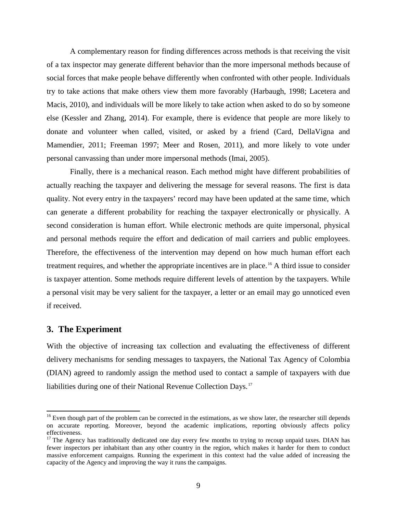A complementary reason for finding differences across methods is that receiving the visit of a tax inspector may generate different behavior than the more impersonal methods because of social forces that make people behave differently when confronted with other people. Individuals try to take actions that make others view them more favorably (Harbaugh, 1998; Lacetera and Macis, 2010), and individuals will be more likely to take action when asked to do so by someone else (Kessler and Zhang, 2014). For example, there is evidence that people are more likely to donate and volunteer when called, visited, or asked by a friend (Card, DellaVigna and Mamendier, 2011; Freeman 1997; Meer and Rosen, 2011), and more likely to vote under personal canvassing than under more impersonal methods (Imai, 2005).

Finally, there is a mechanical reason. Each method might have different probabilities of actually reaching the taxpayer and delivering the message for several reasons. The first is data quality. Not every entry in the taxpayers' record may have been updated at the same time, which can generate a different probability for reaching the taxpayer electronically or physically. A second consideration is human effort. While electronic methods are quite impersonal, physical and personal methods require the effort and dedication of mail carriers and public employees. Therefore, the effectiveness of the intervention may depend on how much human effort each treatment requires, and whether the appropriate incentives are in place. [16](#page-11-0) A third issue to consider is taxpayer attention. Some methods require different levels of attention by the taxpayers. While a personal visit may be very salient for the taxpayer, a letter or an email may go unnoticed even if received.

# **3. The Experiment**

With the objective of increasing tax collection and evaluating the effectiveness of different delivery mechanisms for sending messages to taxpayers, the National Tax Agency of Colombia (DIAN) agreed to randomly assign the method used to contact a sample of taxpayers with due liabilities during one of their National Revenue Collection Days.<sup>[17](#page-11-1)</sup>

<span id="page-11-0"></span><sup>&</sup>lt;sup>16</sup> Even though part of the problem can be corrected in the estimations, as we show later, the researcher still depends on accurate reporting. Moreover, beyond the academic implications, reporting obviously affects policy effectiveness.

<span id="page-11-1"></span><sup>&</sup>lt;sup>17</sup> The Agency has traditionally dedicated one day every few months to trying to recoup unpaid taxes. DIAN has fewer inspectors per inhabitant than any other country in the region, which makes it harder for them to conduct massive enforcement campaigns. Running the experiment in this context had the value added of increasing the capacity of the Agency and improving the way it runs the campaigns.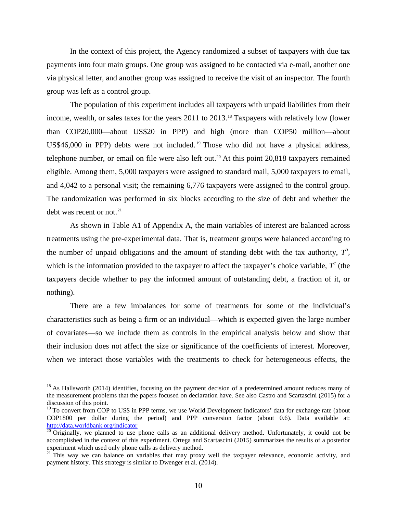In the context of this project, the Agency randomized a subset of taxpayers with due tax payments into four main groups. One group was assigned to be contacted via e-mail, another one via physical letter, and another group was assigned to receive the visit of an inspector. The fourth group was left as a control group.

The population of this experiment includes all taxpayers with unpaid liabilities from their income, wealth, or sales taxes for the years 2011 to 2013.<sup>[18](#page-12-0)</sup> Taxpayers with relatively low (lower than COP20,000—about US\$20 in PPP) and high (more than COP50 million—about US\$46,000 in PPP) debts were not included. [19](#page-12-1) Those who did not have a physical address, telephone number, or email on file were also left out. [20](#page-12-2) At this point 20,818 taxpayers remained eligible. Among them, 5,000 taxpayers were assigned to standard mail, 5,000 taxpayers to email, and 4,042 to a personal visit; the remaining 6,776 taxpayers were assigned to the control group. The randomization was performed in six blocks according to the size of debt and whether the debt was recent or not. [21](#page-12-3)

As shown in Table A1 of Appendix A, the main variables of interest are balanced across treatments using the pre-experimental data. That is, treatment groups were balanced according to the number of unpaid obligations and the amount of standing debt with the tax authority, *T<sup>o</sup>* , which is the information provided to the taxpayer to affect the taxpayer's choice variable, *T<sup>c</sup>* (the taxpayers decide whether to pay the informed amount of outstanding debt, a fraction of it, or nothing).

There are a few imbalances for some of treatments for some of the individual's characteristics such as being a firm or an individual—which is expected given the large number of covariates—so we include them as controls in the empirical analysis below and show that their inclusion does not affect the size or significance of the coefficients of interest. Moreover, when we interact those variables with the treatments to check for heterogeneous effects, the

<span id="page-12-0"></span><sup>&</sup>lt;sup>18</sup> As Hallsworth (2014) identifies, focusing on the payment decision of a predetermined amount reduces many of the measurement problems that the papers focused on declaration have. See also Castro and Scartascini (2015) for a discussion of this point.

<span id="page-12-1"></span><sup>&</sup>lt;sup>19</sup> To convert from COP to US\$ in PPP terms, we use World Development Indicators' data for exchange rate (about COP1800 per dollar during the period) and PPP conversion factor (about 0.6). Data available at: <http://data.worldbank.org/indicator>

<span id="page-12-2"></span> $\overline{20}$  Originally, we planned to use phone calls as an additional delivery method. Unfortunately, it could not be accomplished in the context of this experiment. Ortega and Scartascini (2015) summarizes the results of a posterior experiment which used only phone calls as delivery method.<br><sup>21</sup> This way we can balance on variables that may proxy well the taxpayer relevance, economic activity, and

<span id="page-12-3"></span>payment history. This strategy is similar to Dwenger et al. (2014).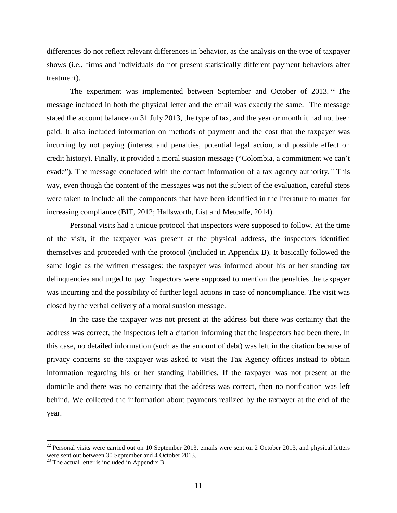differences do not reflect relevant differences in behavior, as the analysis on the type of taxpayer shows (i.e., firms and individuals do not present statistically different payment behaviors after treatment).

The experiment was implemented between September and October of 2013.<sup>[22](#page-13-0)</sup> The message included in both the physical letter and the email was exactly the same. The message stated the account balance on 31 July 2013, the type of tax, and the year or month it had not been paid. It also included information on methods of payment and the cost that the taxpayer was incurring by not paying (interest and penalties, potential legal action, and possible effect on credit history). Finally, it provided a moral suasion message ("Colombia, a commitment we can't evade"). The message concluded with the contact information of a tax agency authority.<sup>[23](#page-13-1)</sup> This way, even though the content of the messages was not the subject of the evaluation, careful steps were taken to include all the components that have been identified in the literature to matter for increasing compliance (BIT, 2012; Hallsworth, List and Metcalfe, 2014).

Personal visits had a unique protocol that inspectors were supposed to follow. At the time of the visit, if the taxpayer was present at the physical address, the inspectors identified themselves and proceeded with the protocol (included in Appendix B). It basically followed the same logic as the written messages: the taxpayer was informed about his or her standing tax delinquencies and urged to pay. Inspectors were supposed to mention the penalties the taxpayer was incurring and the possibility of further legal actions in case of noncompliance. The visit was closed by the verbal delivery of a moral suasion message.

In the case the taxpayer was not present at the address but there was certainty that the address was correct, the inspectors left a citation informing that the inspectors had been there. In this case, no detailed information (such as the amount of debt) was left in the citation because of privacy concerns so the taxpayer was asked to visit the Tax Agency offices instead to obtain information regarding his or her standing liabilities. If the taxpayer was not present at the domicile and there was no certainty that the address was correct, then no notification was left behind. We collected the information about payments realized by the taxpayer at the end of the year.

<span id="page-13-0"></span> $^{22}$  Personal visits were carried out on 10 September 2013, emails were sent on 2 October 2013, and physical letters were sent out between 30 September and 4 October 2013.

<span id="page-13-1"></span> $23$  The actual letter is included in Appendix B.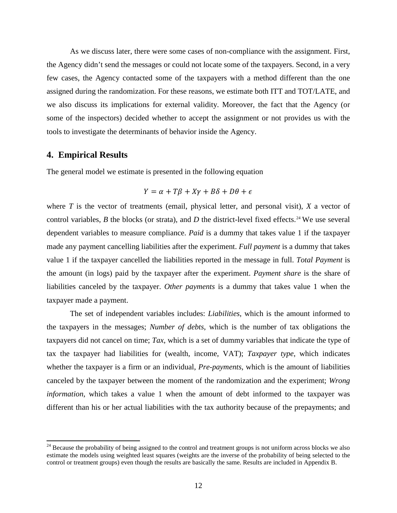As we discuss later, there were some cases of non-compliance with the assignment. First, the Agency didn't send the messages or could not locate some of the taxpayers. Second, in a very few cases, the Agency contacted some of the taxpayers with a method different than the one assigned during the randomization. For these reasons, we estimate both ITT and TOT/LATE, and we also discuss its implications for external validity. Moreover, the fact that the Agency (or some of the inspectors) decided whether to accept the assignment or not provides us with the tools to investigate the determinants of behavior inside the Agency.

#### **4. Empirical Results**

The general model we estimate is presented in the following equation

$$
Y = \alpha + T\beta + X\gamma + B\delta + D\theta + \epsilon
$$

where *T* is the vector of treatments (email, physical letter, and personal visit), *X* a vector of control variables,  $B$  the blocks (or strata), and  $D$  the district-level fixed effects.<sup>[24](#page-14-0)</sup> We use several dependent variables to measure compliance. *Paid* is a dummy that takes value 1 if the taxpayer made any payment cancelling liabilities after the experiment. *Full payment* is a dummy that takes value 1 if the taxpayer cancelled the liabilities reported in the message in full. *Total Payment* is the amount (in logs) paid by the taxpayer after the experiment. *Payment share* is the share of liabilities canceled by the taxpayer. *Other payments* is a dummy that takes value 1 when the taxpayer made a payment.

The set of independent variables includes: *Liabilities*, which is the amount informed to the taxpayers in the messages; *Number of debts*, which is the number of tax obligations the taxpayers did not cancel on time; *Tax*, which is a set of dummy variables that indicate the type of tax the taxpayer had liabilities for (wealth, income, VAT); *Taxpayer type*, which indicates whether the taxpayer is a firm or an individual, *Pre-payments*, which is the amount of liabilities canceled by the taxpayer between the moment of the randomization and the experiment; *Wrong information*, which takes a value 1 when the amount of debt informed to the taxpayer was different than his or her actual liabilities with the tax authority because of the prepayments; and

<span id="page-14-0"></span><sup>&</sup>lt;sup>24</sup> Because the probability of being assigned to the control and treatment groups is not uniform across blocks we also estimate the models using weighted least squares (weights are the inverse of the probability of being selected to the control or treatment groups) even though the results are basically the same. Results are included in Appendix B.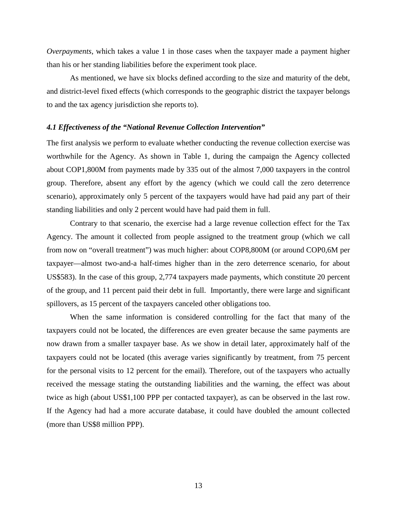*Overpayments*, which takes a value 1 in those cases when the taxpayer made a payment higher than his or her standing liabilities before the experiment took place.

As mentioned, we have six blocks defined according to the size and maturity of the debt, and district-level fixed effects (which corresponds to the geographic district the taxpayer belongs to and the tax agency jurisdiction she reports to).

#### *4.1 Effectiveness of the "National Revenue Collection Intervention"*

The first analysis we perform to evaluate whether conducting the revenue collection exercise was worthwhile for the Agency. As shown in Table 1, during the campaign the Agency collected about COP1,800M from payments made by 335 out of the almost 7,000 taxpayers in the control group. Therefore, absent any effort by the agency (which we could call the zero deterrence scenario), approximately only 5 percent of the taxpayers would have had paid any part of their standing liabilities and only 2 percent would have had paid them in full.

Contrary to that scenario, the exercise had a large revenue collection effect for the Tax Agency. The amount it collected from people assigned to the treatment group (which we call from now on "overall treatment") was much higher: about COP8,800M (or around COP0,6M per taxpayer—almost two-and-a half-times higher than in the zero deterrence scenario, for about US\$583). In the case of this group, 2,774 taxpayers made payments, which constitute 20 percent of the group, and 11 percent paid their debt in full. Importantly, there were large and significant spillovers, as 15 percent of the taxpayers canceled other obligations too.

When the same information is considered controlling for the fact that many of the taxpayers could not be located, the differences are even greater because the same payments are now drawn from a smaller taxpayer base. As we show in detail later, approximately half of the taxpayers could not be located (this average varies significantly by treatment, from 75 percent for the personal visits to 12 percent for the email). Therefore, out of the taxpayers who actually received the message stating the outstanding liabilities and the warning, the effect was about twice as high (about US\$1,100 PPP per contacted taxpayer), as can be observed in the last row. If the Agency had had a more accurate database, it could have doubled the amount collected (more than US\$8 million PPP).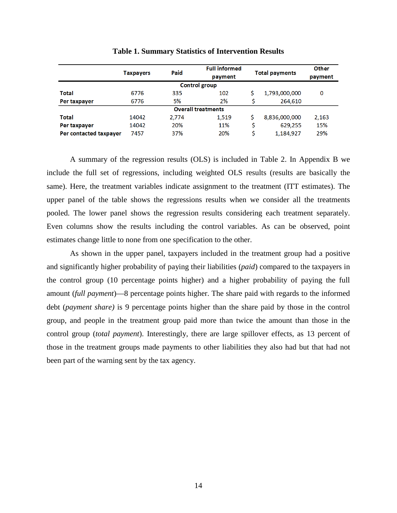|                        | Taxpayers | <b>Paid</b> | <b>Full informed</b><br>payment | <b>Total payments</b> |               | Other<br>payment |  |  |  |  |
|------------------------|-----------|-------------|---------------------------------|-----------------------|---------------|------------------|--|--|--|--|
| <b>Control group</b>   |           |             |                                 |                       |               |                  |  |  |  |  |
| <b>Total</b>           | 6776      | 335         | 102                             | Ś                     | 1,793,000,000 | $\bf{0}$         |  |  |  |  |
| Per taxpayer           | 6776      | 5%          | 2%                              | \$                    | 264,610       |                  |  |  |  |  |
|                        |           |             | <b>Overall treatments</b>       |                       |               |                  |  |  |  |  |
| <b>Total</b>           | 14042     | 2,774       | 1,519                           | S                     | 8,836,000,000 | 2,163            |  |  |  |  |
| Per taxpayer           | 14042     | 20%         | 11%                             | \$                    | 629,255       | 15%              |  |  |  |  |
| Per contacted taxpayer | 7457      | 37%         | 20%                             | \$                    | 1,184,927     | 29%              |  |  |  |  |
|                        |           |             |                                 |                       |               |                  |  |  |  |  |

| <b>Table 1. Summary Statistics of Intervention Results</b> |  |  |  |
|------------------------------------------------------------|--|--|--|
|------------------------------------------------------------|--|--|--|

A summary of the regression results (OLS) is included in Table 2. In Appendix B we include the full set of regressions, including weighted OLS results (results are basically the same). Here, the treatment variables indicate assignment to the treatment (ITT estimates). The upper panel of the table shows the regressions results when we consider all the treatments pooled. The lower panel shows the regression results considering each treatment separately. Even columns show the results including the control variables. As can be observed, point estimates change little to none from one specification to the other.

As shown in the upper panel, taxpayers included in the treatment group had a positive and significantly higher probability of paying their liabilities (*paid*) compared to the taxpayers in the control group (10 percentage points higher) and a higher probability of paying the full amount (*full payment*)—8 percentage points higher. The share paid with regards to the informed debt (*payment share)* is 9 percentage points higher than the share paid by those in the control group, and people in the treatment group paid more than twice the amount than those in the control group (*total payment*). Interestingly, there are large spillover effects, as 13 percent of those in the treatment groups made payments to other liabilities they also had but that had not been part of the warning sent by the tax agency.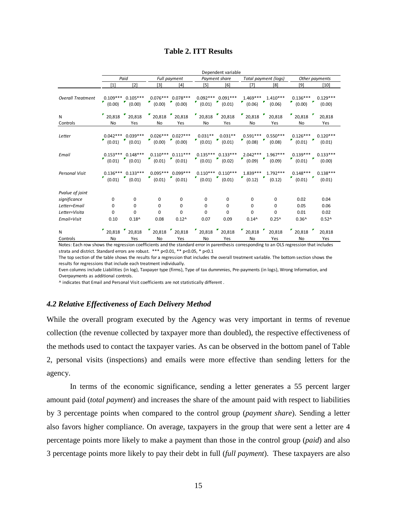#### **Table 2. ITT Results**

|                          | Dependent variable            |                       |                           |                       |                                 |                      |                                                   |                      |                                                   |                      |
|--------------------------|-------------------------------|-----------------------|---------------------------|-----------------------|---------------------------------|----------------------|---------------------------------------------------|----------------------|---------------------------------------------------|----------------------|
|                          | Paid<br><b>Full payment</b>   |                       |                           | Payment share         |                                 | Total payment (logs) |                                                   | Other payments       |                                                   |                      |
|                          | $[1]$                         | $[2]$                 | [3]                       | $[4]$                 | [5]                             | [6]                  | $[7]$                                             | [8]                  | [9]                                               | $[10]$               |
| <b>Overall Treatment</b> | $(0.00)$ (0.00)               | $0.109***$ 0.105***   | $(0.00)$ (0.00)           | $0.076***$ 0.078***   | $(0.01)$ (0.01)                 | $0.092***0.091***$   | $1.469***$<br>(0.06)                              | $1.410***$<br>(0.06) | $0.136***$<br>(0.00)<br>$\mathcal{F}_\mathcal{I}$ | $0.129***$<br>(0.00) |
| N<br>Controls            | $20,818$ $20,818$<br>No       | Yes                   | $20,818$ $20,818$<br>No   | Yes                   | $\frac{1}{20,818}$ 20,818<br>No | Yes                  | $^{\bullet}$ 20,818 $^{\bullet}$<br>No            | 20,818<br>Yes        | $^{\bullet}$ 20,818<br>No                         | 20,818<br>Yes        |
| Letter                   | $0.042***$<br>$(0.01)$ (0.01) | $0.039***$            | $(0.00)$ (0.00)           | $0.026***$ 0.027***   | $0.031***$<br>$(0.01)$ (0.01)   | $0.031**$            | $0.591***$<br>(0.08)                              | $0.550***$<br>(0.08) | $0.126***$<br>(0.01)<br>$\overline{\mathbf{r}}$   | $0.120***$<br>(0.01) |
| Email                    | $(0.01)$ (0.01)               | $0.153***$ 0.148***   | $(0.01)$ (0.01)           | $0.110***$ $0.111***$ |                                 | $0.135***$ 0.133***  | $2.042***$<br>$(0.01)$ $(0.02)$ $(0.09)$ $(0.09)$ | $1.967***$           | $0.139***$<br>(0.01)<br>$\mathcal{P}_\mathcal{C}$ | $0.133***$<br>(0.00) |
| Personal Visit           | $(0.01)$ (0.01)               | $0.136***$ $0.133***$ |                           | $0.095***$ 0.099***   |                                 | $0.110***$ 0.110***  | $(0.01)$ (0.01) (0.01) (0.01) (0.12) (0.12)       | 1.839*** 1.792***    | $0.148***$<br>(0.01)                              | $0.138***$<br>(0.01) |
| Pvalue of joint          |                               |                       |                           |                       |                                 |                      |                                                   |                      |                                                   |                      |
| significance             | 0                             | 0                     | 0                         | 0                     | 0                               | 0                    | 0                                                 | 0                    | 0.02                                              | 0.04                 |
| Letter=Email             | $\Omega$                      | 0                     | $\Omega$                  | 0                     | $\Omega$                        | $\Omega$             | $\Omega$                                          | $\Omega$             | 0.05                                              | 0.06                 |
| Letter=Visita            | $\Omega$                      | 0                     | $\Omega$                  | $\Omega$              | $\Omega$                        | $\Omega$             | 0                                                 | $\Omega$             | 0.01                                              | 0.02                 |
| Email=Visit              | 0.10                          | $0.18^$               | 0.08                      | $0.12^$               | 0.07                            | 0.09                 | $0.14^$                                           | $0.25^{\text{A}}$    | $0.36^$                                           | $0.52^$              |
| N                        | $\frac{1}{20,818}$ 20,818     |                       | $\frac{1}{20,818}$ 20,818 |                       | $\frac{1}{20,818}$ 20,818       |                      | $^{\bullet}$ 20,818 $^{\bullet}$                  | 20,818               | 20,818                                            | 20,818               |
| Controls                 | No                            | Yes                   | No                        | Yes                   | No                              | Yes                  | No                                                | Yes                  | No                                                | Yes                  |

Notes: Each row shows the regression coefficients and the standard error in parenthesis corresponding to an OLS regression that includes strata and district. Standard errors are robust. \*\*\* p<0.01, \*\* p<0.05, \* p<0.1

The top section of the table shows the results for a regression that includes the overall treatment variable. The bottom section shows the results for regressions that include each treatment individually.

Overpayments as additional controls. Even columns include Liabilities (in log), Taxpayer type (firms), Type of tax dummmies, Pre-payments (in logs), Wrong Information, and

^ indicates that Email and Personal Visit coefficients are not statistically different .

#### *4.2 Relative Effectiveness of Each Delivery Method*

While the overall program executed by the Agency was very important in terms of revenue collection (the revenue collected by taxpayer more than doubled), the respective effectiveness of the methods used to contact the taxpayer varies. As can be observed in the bottom panel of Table 2, personal visits (inspections) and emails were more effective than sending letters for the agency.

In terms of the economic significance, sending a letter generates a 55 percent larger amount paid (*total payment*) and increases the share of the amount paid with respect to liabilities by 3 percentage points when compared to the control group (*payment share*). Sending a letter also favors higher compliance. On average, taxpayers in the group that were sent a letter are 4 percentage points more likely to make a payment than those in the control group (*paid*) and also 3 percentage points more likely to pay their debt in full (*full payment*). These taxpayers are also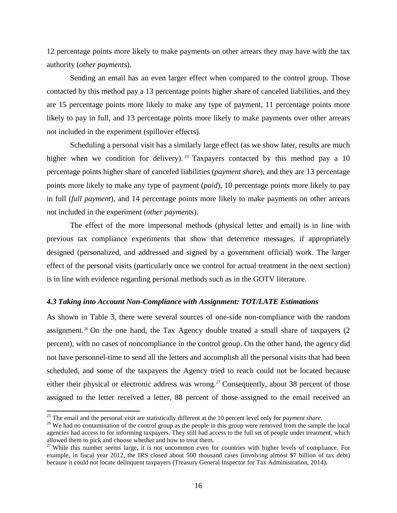12 percentage points more likely to make payments on other arrears they may have with the tax authority (*other payments*).

Sending an email has an even larger effect when compared to the control group. Those contacted by this method pay a 13 percentage points higher share of canceled liabilities, and they are 15 percentage points more likely to make any type of payment, 11 percentage points more likely to pay in full, and 13 percentage points more likely to make payments over other arrears not included in the experiment (spillover effects).

Scheduling a personal visit has a similarly large effect (as we show later, results are much higher when we condition for delivery). <sup>[25](#page-18-0)</sup> Taxpayers contacted by this method pay a 10 percentage points higher share of canceled liabilities (*payment share*), and they are 13 percentage points more likely to make any type of payment (*paid*), 10 percentage points more likely to pay in full (*full payment*), and 14 percentage points more likely to make payments on other arrears not included in the experiment (*other payments*).

The effect of the more impersonal methods (physical letter and email) is in line with previous tax compliance experiments that show that deterrence messages, if appropriately designed (personalized, and addressed and signed by a government official) work. The larger effect of the personal visits (particularly once we control for actual treatment in the next section) is in line with evidence regarding personal methods such as in the GOTV literature.

#### *4.3 Taking into Account Non-Compliance with Assignment: TOT/LATE Estimations*

As shown in Table 3, there were several sources of one-side non-compliance with the random assignment.<sup>[26](#page-18-1)</sup> On the one hand, the Tax Agency double treated a small share of taxpayers  $(2 \nvert$ percent), with no cases of noncompliance in the control group. On the other hand, the agency did not have personnel-time to send all the letters and accomplish all the personal visits that had been scheduled, and some of the taxpayers the Agency tried to reach could not be located because either their physical or electronic address was wrong.<sup>[27](#page-18-2)</sup> Consequently, about 38 percent of those assigned to the letter received a letter, 88 percent of those assigned to the email received an

<span id="page-18-1"></span>

<span id="page-18-0"></span><sup>&</sup>lt;sup>25</sup> The email and the personal visit are statistically different at the 10 percent level only for *payment share*.<br><sup>26</sup> We had no contamination of the control group as the people in this group were removed from the sampl agencies had access to for informing taxpayers. They still had access to the full set of people under treatment, which allowed them to pick and choose whether and how to treat them.

<span id="page-18-2"></span><sup>&</sup>lt;sup>27</sup> While this number seems large, it is not uncommon even for countries with higher levels of compliance. For example, in fiscal year 2012, the IRS closed about 500 thousand cases (involving almost \$7 billion of tax debt) because it could not locate delinquent taxpayers (Treasury General Inspector for Tax Administration, 2014)**.**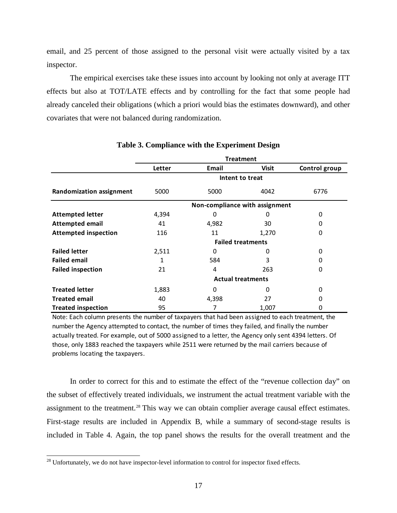email, and 25 percent of those assigned to the personal visit were actually visited by a tax inspector.

The empirical exercises take these issues into account by looking not only at average ITT effects but also at TOT/LATE effects and by controlling for the fact that some people had already canceled their obligations (which a priori would bias the estimates downward), and other covariates that were not balanced during randomization.

|                                 | <b>Treatment</b>         |                                |       |               |  |  |  |  |
|---------------------------------|--------------------------|--------------------------------|-------|---------------|--|--|--|--|
|                                 | Letter                   | Email                          | Visit | Control group |  |  |  |  |
|                                 | Intent to treat          |                                |       |               |  |  |  |  |
| <b>Randomization assignment</b> | 5000                     | 5000                           | 4042  | 6776          |  |  |  |  |
|                                 |                          | Non-compliance with assignment |       |               |  |  |  |  |
| <b>Attempted letter</b>         | 4,394                    | 0                              | 0     | 0             |  |  |  |  |
| <b>Attempted email</b>          | 41                       | 4,982                          | 30    | 0             |  |  |  |  |
| <b>Attempted inspection</b>     | 116                      | 11                             | 1,270 | 0             |  |  |  |  |
|                                 | <b>Failed treatments</b> |                                |       |               |  |  |  |  |
| <b>Failed letter</b>            | 2,511                    | 0                              | O     | 0             |  |  |  |  |
| <b>Failed email</b>             | 1                        | 584                            | 3     | 0             |  |  |  |  |
| <b>Failed inspection</b>        | 21                       | 4                              | 263   | 0             |  |  |  |  |
|                                 | <b>Actual treatments</b> |                                |       |               |  |  |  |  |
| <b>Treated letter</b>           | 1,883                    | 0                              | 0     | 0             |  |  |  |  |
| <b>Treated email</b>            | 40                       | 4,398                          | 27    | 0             |  |  |  |  |
| <b>Treated inspection</b>       | 95<br>1,007<br>7<br>0    |                                |       |               |  |  |  |  |

#### **Table 3. Compliance with the Experiment Design**

Note: Each column presents the number of taxpayers that had been assigned to each treatment, the number the Agency attempted to contact, the number of times they failed, and finally the number actually treated. For example, out of 5000 assigned to a letter, the Agency only sent 4394 letters. Of those, only 1883 reached the taxpayers while 2511 were returned by the mail carriers because of problems locating the taxpayers.

In order to correct for this and to estimate the effect of the "revenue collection day" on the subset of effectively treated individuals, we instrument the actual treatment variable with the assignment to the treatment.<sup>[28](#page-19-0)</sup> This way we can obtain complier average causal effect estimates. First-stage results are included in Appendix B, while a summary of second-stage results is included in Table 4. Again, the top panel shows the results for the overall treatment and the

<span id="page-19-0"></span><sup>&</sup>lt;sup>28</sup> Unfortunately, we do not have inspector-level information to control for inspector fixed effects.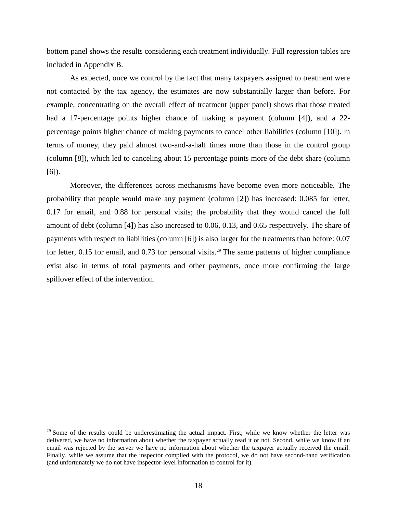bottom panel shows the results considering each treatment individually. Full regression tables are included in Appendix B.

As expected, once we control by the fact that many taxpayers assigned to treatment were not contacted by the tax agency, the estimates are now substantially larger than before. For example, concentrating on the overall effect of treatment (upper panel) shows that those treated had a 17-percentage points higher chance of making a payment (column [4]), and a 22 percentage points higher chance of making payments to cancel other liabilities (column [10]). In terms of money, they paid almost two-and-a-half times more than those in the control group (column [8]), which led to canceling about 15 percentage points more of the debt share (column [6]).

Moreover, the differences across mechanisms have become even more noticeable. The probability that people would make any payment (column [2]) has increased: 0.085 for letter, 0.17 for email, and 0.88 for personal visits; the probability that they would cancel the full amount of debt (column [4]) has also increased to 0.06, 0.13, and 0.65 respectively. The share of payments with respect to liabilities (column [6]) is also larger for the treatments than before: 0.07 for letter, 0.15 for email, and 0.73 for personal visits.<sup>[29](#page-20-0)</sup> The same patterns of higher compliance exist also in terms of total payments and other payments, once more confirming the large spillover effect of the intervention.

<span id="page-20-0"></span><sup>&</sup>lt;sup>29</sup> Some of the results could be underestimating the actual impact. First, while we know whether the letter was delivered, we have no information about whether the taxpayer actually read it or not. Second, while we know if an email was rejected by the server we have no information about whether the taxpayer actually received the email. Finally, while we assume that the inspector complied with the protocol, we do not have second-hand verification (and unfortunately we do not have inspector-level information to control for it).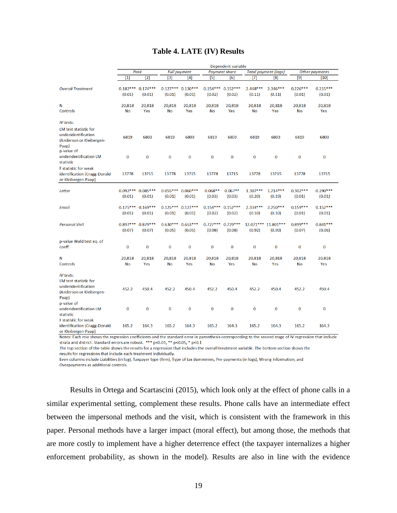|                                                                                                 | Dependent variable   |                      |                      |                      |                      |                      |                             |                      |                      |                      |
|-------------------------------------------------------------------------------------------------|----------------------|----------------------|----------------------|----------------------|----------------------|----------------------|-----------------------------|----------------------|----------------------|----------------------|
|                                                                                                 | Paid                 |                      | <b>Full payment</b>  |                      | <b>Payment share</b> |                      | <b>Total payment (logs)</b> |                      | Other payments       |                      |
|                                                                                                 | $[1]$                | $[2]$                | [3]                  | [4]                  | $[5]$                | [6]                  | $\lceil 7 \rceil$           | [8]                  | $[9]$                | [10]                 |
| <b>Overall Treatment</b>                                                                        | $0.182***$<br>(0.01) | $0.174***$<br>(0.01) | $0.127***$<br>(0.01) | $0.130***$<br>(0.01) | $0.154***$<br>(0.02) | $0.152***$<br>(0.02) | $2.448***$<br>(0.11)        | $2.346***$<br>(0.11) | $0.226***$<br>(0.01) | $0.215***$<br>(0.01) |
| Ν<br>Controls                                                                                   | 20,818<br>No         | 20,818<br>Yes        | 20,818<br><b>No</b>  | 20,818<br>Yes        | 20,818<br>No         | 20,818<br>Yes        | 20,818<br><b>No</b>         | 20,818<br>Yes        | 20,818<br>No         | 20,818<br>Yes        |
| IV tests:                                                                                       |                      |                      |                      |                      |                      |                      |                             |                      |                      |                      |
| LM test statistic for<br>underidentification<br>(Anderson or Kleibergen-<br>Paap)<br>p-value of | 6819                 | 6803                 | 6819                 | 6803                 | 6819                 | 6803                 | 6819                        | 6803                 | 6819                 | 6803                 |
| underidentification LM<br>statistic                                                             | $\bf{0}$             | $\mathbf 0$          | 0                    | $\bf{0}$             | $\bf{0}$             | $\bf{0}$             | $\bf{0}$                    | 0                    | $\bf{0}$             | $\bf{0}$             |
| F statistic for weak<br>identification (Cragg-Donald<br>or Kleibergen-Paap)                     | 13778                | 13715                | 13778                | 13715                | 13778                | 13715                | 13778                       | 13715                | 13778                | 13715                |
| Letter                                                                                          | $0.092***$<br>(0.01) | $0.085***$<br>(0.01) | $0.055***$<br>(0.01) | $0.060***$<br>(0.01) | $0.068**$<br>(0.03)  | $0.067**$<br>(0.03)  | $1.307***$<br>(0.20)        | $1.214***$<br>(0.19) | $0.302***$<br>(0.01) | $0.290***$<br>(0.01) |
| Email                                                                                           | $0.175***$<br>(0.01) | $0.169***$<br>(0.01) | $0.125***$<br>(0.01) | $0.127***$<br>(0.01) | $0.154***$<br>(0.02) | $0.152***$<br>(0.02) | $2.334***$<br>(0.10)        | $2.250***$<br>(0.10) | $0.159***$<br>(0.01) | $0.152***$<br>(0.01) |
| <b>Personal Visit</b>                                                                           | $0.897***$<br>(0.07) | $0.879***$<br>(0.07) | $0.630***$<br>(0.05) | $0.653***$<br>(0.05) | $0.727***$<br>(0.08) | $0.729***$<br>(0.08) | 12.071 ***<br>(0.92)        | 11.801 ***<br>(0.90) | $0.899***$<br>(0.07) | $0.841***$<br>(0.06) |
| p-value Wald test eq. of                                                                        |                      |                      |                      |                      |                      |                      |                             |                      |                      |                      |
| coeff.                                                                                          | $\mathbf 0$          | $\mathbf 0$          | 0                    | $\mathbf 0$          | $\mathbf 0$          | $\mathbf 0$          | $\mathbf{0}$                | $\mathbf 0$          | $\mathbf 0$          | $\mathbf 0$          |
| Ν<br>Controls                                                                                   | 20,818<br>No         | 20,818<br>Yes        | 20,818<br><b>No</b>  | 20,818<br>Yes        | 20,818<br><b>No</b>  | 20,818<br>Yes        | 20,818<br><b>No</b>         | 20,818<br>Yes        | 20,818<br><b>No</b>  | 20,818<br>Yes        |
| IV tests:<br>LM test statistic for<br>underidentification<br>(Anderson or Kleibergen-<br>Paap)  | 452.2                | 450.4                | 452.2                | 450.4                | 452.2                | 450.4                | 452.2                       | 450.4                | 452.2                | 450.4                |
| p-value of<br>underidentification LM<br>statistic                                               | $\bf{0}$             | 0                    | 0                    | $\bf{0}$             | $\bf{0}$             | $\mathbf 0$          | $\bf{0}$                    | 0                    | $\bf{0}$             | $\bf{0}$             |
| <b>F</b> statistic for weak<br>identification (Cragg-Donald<br>or Kleibergen-Paap)              | 165.2                | 164.3                | 165.2                | 164.3                | 165.2                | 164.3                | 165.2                       | 164.3                | 165.2                | 164.3                |

#### **Table 4. LATE (IV) Results**

Notes: Each row shows the regression coefficients and the standard error in parenthesis corresponding to the second stage of IV regression that include strata and district. Standard errors are robust. \*\*\* p<0.01, \*\* p<0.05, \* p<0.1

The top section of the table shows the results for a regression that includes the overall treatment variable. The bottom section shows the results for regressions that include each treatment individually.

Even columns include Liabilities (in log), Taxpayer type (firm), Type of tax dummmies, Pre-payments (in logs), Wrong Information, and Overpayments as additional controls.

Results in Ortega and Scartascini (2015), which look only at the effect of phone calls in a similar experimental setting, complement these results. Phone calls have an intermediate effect between the impersonal methods and the visit, which is consistent with the framework in this paper. Personal methods have a larger impact (moral effect), but among those, the methods that are more costly to implement have a higher deterrence effect (the taxpayer internalizes a higher enforcement probability, as shown in the model). Results are also in line with the evidence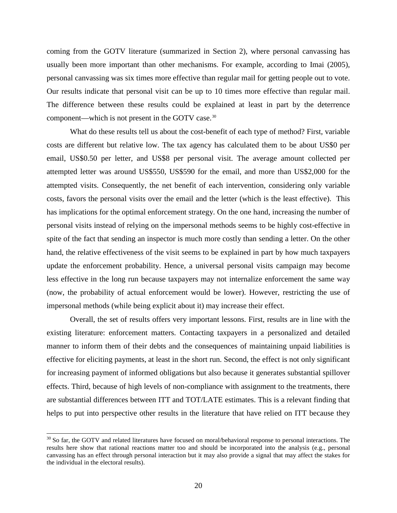coming from the GOTV literature (summarized in Section 2), where personal canvassing has usually been more important than other mechanisms. For example, according to Imai (2005), personal canvassing was six times more effective than regular mail for getting people out to vote. Our results indicate that personal visit can be up to 10 times more effective than regular mail. The difference between these results could be explained at least in part by the deterrence component—which is not present in the GOTV case.[30](#page-22-0)

What do these results tell us about the cost-benefit of each type of method? First, variable costs are different but relative low. The tax agency has calculated them to be about US\$0 per email, US\$0.50 per letter, and US\$8 per personal visit. The average amount collected per attempted letter was around US\$550, US\$590 for the email, and more than US\$2,000 for the attempted visits. Consequently, the net benefit of each intervention, considering only variable costs, favors the personal visits over the email and the letter (which is the least effective). This has implications for the optimal enforcement strategy. On the one hand, increasing the number of personal visits instead of relying on the impersonal methods seems to be highly cost-effective in spite of the fact that sending an inspector is much more costly than sending a letter. On the other hand, the relative effectiveness of the visit seems to be explained in part by how much taxpayers update the enforcement probability. Hence, a universal personal visits campaign may become less effective in the long run because taxpayers may not internalize enforcement the same way (now, the probability of actual enforcement would be lower). However, restricting the use of impersonal methods (while being explicit about it) may increase their effect.

Overall, the set of results offers very important lessons. First, results are in line with the existing literature: enforcement matters. Contacting taxpayers in a personalized and detailed manner to inform them of their debts and the consequences of maintaining unpaid liabilities is effective for eliciting payments, at least in the short run. Second, the effect is not only significant for increasing payment of informed obligations but also because it generates substantial spillover effects. Third, because of high levels of non-compliance with assignment to the treatments, there are substantial differences between ITT and TOT/LATE estimates. This is a relevant finding that helps to put into perspective other results in the literature that have relied on ITT because they

<span id="page-22-0"></span> $30$  So far, the GOTV and related literatures have focused on moral/behavioral response to personal interactions. The results here show that rational reactions matter too and should be incorporated into the analysis (e.g., personal canvassing has an effect through personal interaction but it may also provide a signal that may affect the stakes for the individual in the electoral results).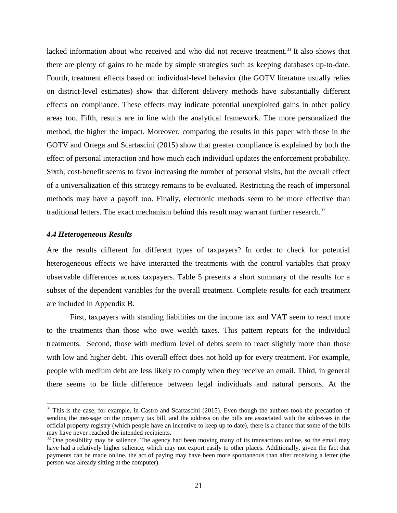lacked information about who received and who did not receive treatment.<sup>[31](#page-23-0)</sup> It also shows that there are plenty of gains to be made by simple strategies such as keeping databases up-to-date. Fourth, treatment effects based on individual-level behavior (the GOTV literature usually relies on district-level estimates) show that different delivery methods have substantially different effects on compliance. These effects may indicate potential unexploited gains in other policy areas too. Fifth, results are in line with the analytical framework. The more personalized the method, the higher the impact. Moreover, comparing the results in this paper with those in the GOTV and Ortega and Scartascini (2015) show that greater compliance is explained by both the effect of personal interaction and how much each individual updates the enforcement probability. Sixth, cost-benefit seems to favor increasing the number of personal visits, but the overall effect of a universalization of this strategy remains to be evaluated. Restricting the reach of impersonal methods may have a payoff too. Finally, electronic methods seem to be more effective than traditional letters. The exact mechanism behind this result may warrant further research.<sup>[32](#page-23-1)</sup>

#### *4.4 Heterogeneous Results*

Are the results different for different types of taxpayers? In order to check for potential heterogeneous effects we have interacted the treatments with the control variables that proxy observable differences across taxpayers. Table 5 presents a short summary of the results for a subset of the dependent variables for the overall treatment. Complete results for each treatment are included in Appendix B.

First, taxpayers with standing liabilities on the income tax and VAT seem to react more to the treatments than those who owe wealth taxes. This pattern repeats for the individual treatments. Second, those with medium level of debts seem to react slightly more than those with low and higher debt. This overall effect does not hold up for every treatment. For example, people with medium debt are less likely to comply when they receive an email. Third, in general there seems to be little difference between legal individuals and natural persons. At the

<span id="page-23-0"></span> $31$  This is the case, for example, in Castro and Scartascini (2015). Even though the authors took the precaution of sending the message on the property tax bill, and the address on the bills are associated with the addresses in the official property registry (which people have an incentive to keep up to date), there is a chance that some of the bills

<span id="page-23-1"></span> $32$  One possibility may be salience. The agency had been moving many of its transactions online, so the email may have had a relatively higher salience, which may not export easily to other places. Additionally, given the fact that payments can be made online, the act of paying may have been more spontaneous than after receiving a letter (the person was already sitting at the computer).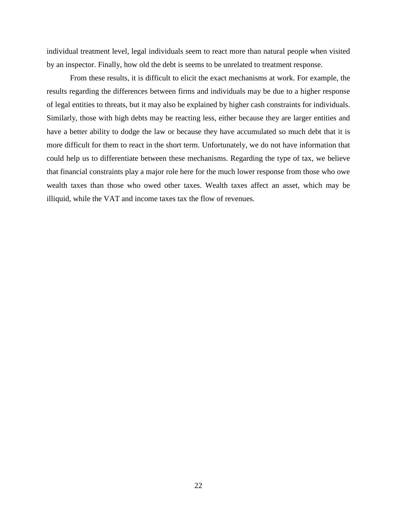individual treatment level, legal individuals seem to react more than natural people when visited by an inspector. Finally, how old the debt is seems to be unrelated to treatment response.

From these results, it is difficult to elicit the exact mechanisms at work. For example, the results regarding the differences between firms and individuals may be due to a higher response of legal entities to threats, but it may also be explained by higher cash constraints for individuals. Similarly, those with high debts may be reacting less, either because they are larger entities and have a better ability to dodge the law or because they have accumulated so much debt that it is more difficult for them to react in the short term. Unfortunately, we do not have information that could help us to differentiate between these mechanisms. Regarding the type of tax, we believe that financial constraints play a major role here for the much lower response from those who owe wealth taxes than those who owed other taxes. Wealth taxes affect an asset, which may be illiquid, while the VAT and income taxes tax the flow of revenues.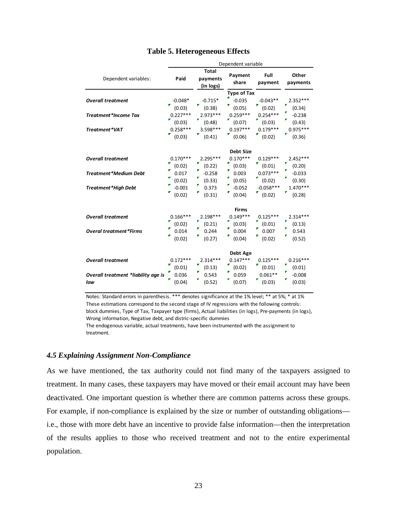|                                                                          | Dependent variable                                        |                                                                |                                                                                |                                                                 |                                                          |  |  |
|--------------------------------------------------------------------------|-----------------------------------------------------------|----------------------------------------------------------------|--------------------------------------------------------------------------------|-----------------------------------------------------------------|----------------------------------------------------------|--|--|
| Dependent variables:                                                     | Paid                                                      | <b>Total</b><br>payments<br>(in logs)                          | Payment<br>share                                                               | Full<br>payment                                                 | Other<br>payments                                        |  |  |
| <b>Overall treatment</b><br><b>Treatment*Income Tax</b><br>Treatment*VAT | $-0.048*$<br>(0.03)<br>$0.227***$<br>(0.03)<br>$0.258***$ | $-0.715*$<br>p.<br>(0.38)<br>$2.973***$<br>(0.48)<br>3.598 *** | <b>Type of Tax</b><br>$-0.035$<br>(0.05)<br>$0.259***$<br>(0.07)<br>$0.197***$ | $-0.043**$<br>F<br>(0.02)<br>$0.254***$<br>(0.03)<br>$0.179***$ | $2.352***$<br>(0.34)<br>$-0.238$<br>(0.43)<br>$0.975***$ |  |  |
|                                                                          | (0.03)                                                    | (0.41)                                                         | (0.06)                                                                         | (0.02)                                                          | (0.36)                                                   |  |  |
| <b>Overall treatment</b>                                                 | $0.170***$                                                | $2.295***$                                                     | <b>Debt Size</b><br>$0.170***$                                                 | $0.129***$                                                      | $2.452***$                                               |  |  |
| Treatment*Medium Debt<br><b>Treatment*High Debt</b>                      | (0.02)<br>0.017<br>(0.02)<br>$-0.001$<br>(0.02)           | ۳<br>(0.22)<br>$-0.258$<br>(0.33)<br>0.373<br>(0.31)           | F<br>(0.03)<br>F<br>0.003<br>(0.05)<br>$-0.052$<br>(0.04)                      | (0.01)<br>$0.073***$<br>g.<br>(0.02)<br>$-0.058***$<br>(0.02)   | (0.20)<br>$-0.033$<br>(0.30)<br>$1.470***$<br>(0.28)     |  |  |
|                                                                          |                                                           |                                                                | <b>Firms</b>                                                                   |                                                                 |                                                          |  |  |
| <b>Overall treatment</b><br><b>Overal treatment *Firms</b>               | $0.166***$<br>(0.02)<br>0.014<br>(0.02)                   | $2.198***$<br>(0.21)<br>0.244<br>(0.27)                        | $0.149***$<br>(0.03)<br>0.004<br>(0.04)                                        | $0.125***$<br>(0.01)<br>F<br>0.007<br>(0.02)                    | $2.314***$<br>(0.13)<br>0.543<br>(0.52)                  |  |  |
|                                                                          |                                                           |                                                                | Debt Age                                                                       |                                                                 |                                                          |  |  |
| <b>Overall treatment</b>                                                 | $0.172***$<br>(0.01)                                      | $2.314***$<br>(0.13)                                           | $0.147***$<br>(0.02)                                                           | $0.125***$<br>(0.01)                                            | $0.216***$<br>(0.01)                                     |  |  |
| Overall treatment *liability age is<br>low                               | 0.036<br>(0.04)                                           | 0.543<br>(0.52)                                                | 0.059<br>(0.07)                                                                | $0.061**$<br>(0.03)                                             | $-0.008$<br>(0.03)                                       |  |  |

#### **Table 5. Heterogeneous Effects**

Notes: Standard errors in parenthesis. \*\*\* denotes significance at the 1% level; \*\* at 5%; \* at 1% These estimations correspond to the second stage of IV regressions with the following controls: block dummies, Type of Tax, Taxpayer type (firms), Actual liabilities (in logs), Pre-payments (in logs), Wrong information, Negative debt, and distric-specific dummies

The endogenous variable, actual treatments, have been instrumented with the assignment to treatment.

#### *4.5 Explaining Assignment Non-Compliance*

As we have mentioned, the tax authority could not find many of the taxpayers assigned to treatment. In many cases, these taxpayers may have moved or their email account may have been deactivated. One important question is whether there are common patterns across these groups. For example, if non-compliance is explained by the size or number of outstanding obligations i.e., those with more debt have an incentive to provide false information—then the interpretation of the results applies to those who received treatment and not to the entire experimental population.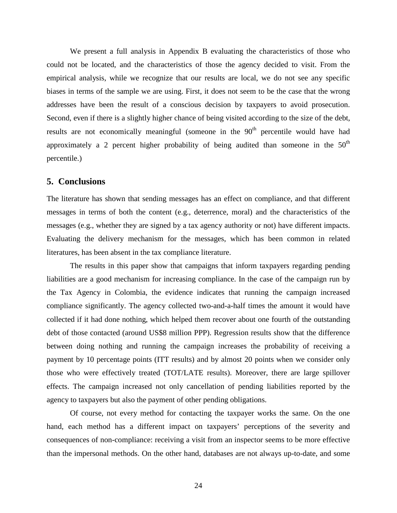We present a full analysis in Appendix B evaluating the characteristics of those who could not be located, and the characteristics of those the agency decided to visit. From the empirical analysis, while we recognize that our results are local, we do not see any specific biases in terms of the sample we are using. First, it does not seem to be the case that the wrong addresses have been the result of a conscious decision by taxpayers to avoid prosecution. Second, even if there is a slightly higher chance of being visited according to the size of the debt, results are not economically meaningful (someone in the 90<sup>th</sup> percentile would have had approximately a 2 percent higher probability of being audited than someone in the  $50<sup>th</sup>$ percentile.)

# **5. Conclusions**

The literature has shown that sending messages has an effect on compliance, and that different messages in terms of both the content (e.g., deterrence, moral) and the characteristics of the messages (e.g., whether they are signed by a tax agency authority or not) have different impacts. Evaluating the delivery mechanism for the messages, which has been common in related literatures, has been absent in the tax compliance literature.

The results in this paper show that campaigns that inform taxpayers regarding pending liabilities are a good mechanism for increasing compliance. In the case of the campaign run by the Tax Agency in Colombia, the evidence indicates that running the campaign increased compliance significantly. The agency collected two-and-a-half times the amount it would have collected if it had done nothing, which helped them recover about one fourth of the outstanding debt of those contacted (around US\$8 million PPP). Regression results show that the difference between doing nothing and running the campaign increases the probability of receiving a payment by 10 percentage points (ITT results) and by almost 20 points when we consider only those who were effectively treated (TOT/LATE results). Moreover, there are large spillover effects. The campaign increased not only cancellation of pending liabilities reported by the agency to taxpayers but also the payment of other pending obligations.

Of course, not every method for contacting the taxpayer works the same. On the one hand, each method has a different impact on taxpayers' perceptions of the severity and consequences of non-compliance: receiving a visit from an inspector seems to be more effective than the impersonal methods. On the other hand, databases are not always up-to-date, and some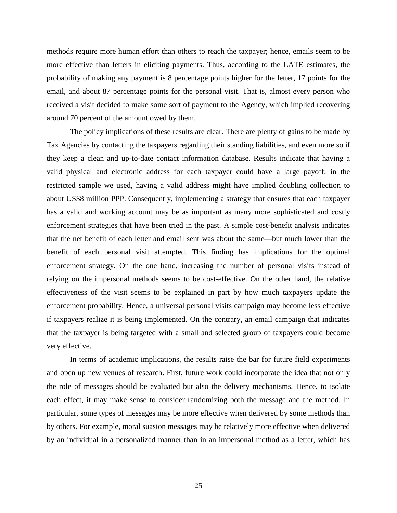methods require more human effort than others to reach the taxpayer; hence, emails seem to be more effective than letters in eliciting payments. Thus, according to the LATE estimates, the probability of making any payment is 8 percentage points higher for the letter, 17 points for the email, and about 87 percentage points for the personal visit. That is, almost every person who received a visit decided to make some sort of payment to the Agency, which implied recovering around 70 percent of the amount owed by them.

The policy implications of these results are clear. There are plenty of gains to be made by Tax Agencies by contacting the taxpayers regarding their standing liabilities, and even more so if they keep a clean and up-to-date contact information database. Results indicate that having a valid physical and electronic address for each taxpayer could have a large payoff; in the restricted sample we used, having a valid address might have implied doubling collection to about US\$8 million PPP. Consequently, implementing a strategy that ensures that each taxpayer has a valid and working account may be as important as many more sophisticated and costly enforcement strategies that have been tried in the past. A simple cost-benefit analysis indicates that the net benefit of each letter and email sent was about the same—but much lower than the benefit of each personal visit attempted. This finding has implications for the optimal enforcement strategy. On the one hand, increasing the number of personal visits instead of relying on the impersonal methods seems to be cost-effective. On the other hand, the relative effectiveness of the visit seems to be explained in part by how much taxpayers update the enforcement probability. Hence, a universal personal visits campaign may become less effective if taxpayers realize it is being implemented. On the contrary, an email campaign that indicates that the taxpayer is being targeted with a small and selected group of taxpayers could become very effective.

In terms of academic implications, the results raise the bar for future field experiments and open up new venues of research. First, future work could incorporate the idea that not only the role of messages should be evaluated but also the delivery mechanisms. Hence, to isolate each effect, it may make sense to consider randomizing both the message and the method. In particular, some types of messages may be more effective when delivered by some methods than by others. For example, moral suasion messages may be relatively more effective when delivered by an individual in a personalized manner than in an impersonal method as a letter, which has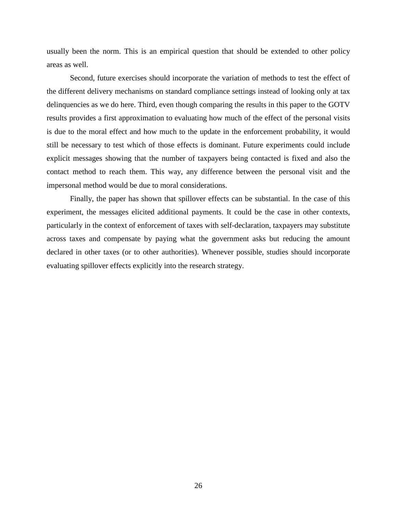usually been the norm. This is an empirical question that should be extended to other policy areas as well.

Second, future exercises should incorporate the variation of methods to test the effect of the different delivery mechanisms on standard compliance settings instead of looking only at tax delinquencies as we do here. Third, even though comparing the results in this paper to the GOTV results provides a first approximation to evaluating how much of the effect of the personal visits is due to the moral effect and how much to the update in the enforcement probability, it would still be necessary to test which of those effects is dominant. Future experiments could include explicit messages showing that the number of taxpayers being contacted is fixed and also the contact method to reach them. This way, any difference between the personal visit and the impersonal method would be due to moral considerations.

Finally, the paper has shown that spillover effects can be substantial. In the case of this experiment, the messages elicited additional payments. It could be the case in other contexts, particularly in the context of enforcement of taxes with self-declaration, taxpayers may substitute across taxes and compensate by paying what the government asks but reducing the amount declared in other taxes (or to other authorities). Whenever possible, studies should incorporate evaluating spillover effects explicitly into the research strategy.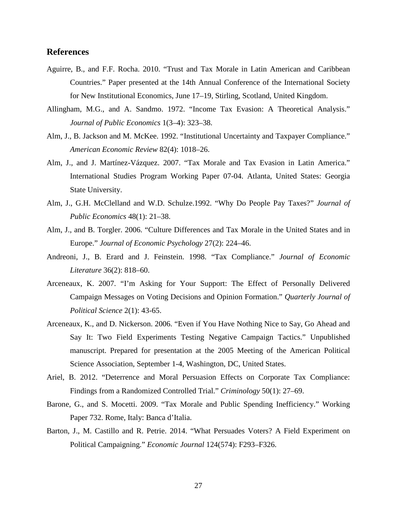# **References**

- Aguirre, B., and F.F. Rocha. 2010. "Trust and Tax Morale in Latin American and Caribbean Countries." Paper presented at the 14th Annual Conference of the International Society for New Institutional Economics, June 17–19, Stirling, Scotland, United Kingdom.
- Allingham, M.G., and A. Sandmo. 1972. "Income Tax Evasion: A Theoretical Analysis." *Journal of Public Economics* 1(3–4): 323–38.
- Alm, J., B. Jackson and M. McKee. 1992. "Institutional Uncertainty and Taxpayer Compliance." *American Economic Review* 82(4): 1018–26.
- Alm, J., and J. Martínez-Vázquez. 2007. "Tax Morale and Tax Evasion in Latin America." International Studies Program Working Paper 07-04. Atlanta, United States: Georgia State University.
- Alm, J., G.H. McClelland and W.D. Schulze.1992. "Why Do People Pay Taxes?" *Journal of Public Economics* 48(1): 21–38.
- Alm, J., and B. Torgler. 2006. "Culture Differences and Tax Morale in the United States and in Europe." *Journal of Economic Psychology* 27(2): 224–46.
- Andreoni, J., B. Erard and J. Feinstein. 1998. "Tax Compliance." *Journal of Economic Literature* 36(2): 818–60.
- Arceneaux, K. 2007. "I'm Asking for Your Support: The Effect of Personally Delivered Campaign Messages on Voting Decisions and Opinion Formation." *Quarterly Journal of Political Science* 2(1): 43-65.
- Arceneaux, K., and D. Nickerson. 2006. "Even if You Have Nothing Nice to Say, Go Ahead and Say It: Two Field Experiments Testing Negative Campaign Tactics." Unpublished manuscript. Prepared for presentation at the 2005 Meeting of the American Political Science Association, September 1-4, Washington, DC, United States.
- Ariel, B. 2012. "Deterrence and Moral Persuasion Effects on Corporate Tax Compliance: Findings from a Randomized Controlled Trial." *Criminology* 50(1): 27–69.
- Barone, G., and S. Mocetti. 2009. "Tax Morale and Public Spending Inefficiency." Working Paper 732. Rome, Italy: Banca d'Italia.
- Barton, J., M. Castillo and R. Petrie. 2014. "What Persuades Voters? A Field Experiment on Political Campaigning." *Economic Journal* 124(574): F293–F326.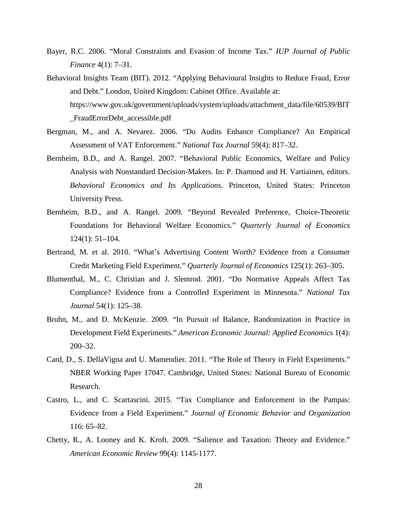- Bayer, R.C. 2006. "Moral Constraints and Evasion of Income Tax." *IUP Journal of Public Finance* 4(1): 7–31.
- Behavioral Insights Team (BIT). 2012. "Applying Behavioural Insights to Reduce Fraud, Error and Debt." London, United Kingdom: Cabinet Office. Available at: [https://www.gov.uk/government/uploads/system/uploads/attachment\\_data/file/60539/BIT](https://www.gov.uk/government/uploads/system/uploads/attachment_data/file/60539/BIT_FraudErrorDebt_accessible.pdf) [\\_FraudErrorDebt\\_accessible.pdf](https://www.gov.uk/government/uploads/system/uploads/attachment_data/file/60539/BIT_FraudErrorDebt_accessible.pdf)
- Bergman, M., and A. Nevarez. 2006. "Do Audits Enhance Compliance? An Empirical Assessment of VAT Enforcement." *National Tax Journal* 59(4): 817–32.
- Bernheim, B.D., and A. Rangel. 2007. "Behavioral Public Economics, Welfare and Policy Analysis with Nonstandard Decision-Makers. In: P. Diamond and H. Vartiainen, editors. *Behavioral Economics and Its Applications*. Princeton, United States: Princeton University Press.
- Bernheim, B.D., and A. Rangel. 2009. "Beyond Revealed Preference, Choice-Theoretic Foundations for Behavioral Welfare Economics." *Quarterly Journal of Economics* 124(1): 51–104.
- Bertrand, M. et al. 2010. "What's Advertising Content Worth? Evidence from a Consumer Credit Marketing Field Experiment." *Quarterly Journal of Economics* 125(1): 263–305.
- Blumenthal, M., C. Christian and J. Slemrod. 2001. "Do Normative Appeals Affect Tax Compliance? Evidence from a Controlled Experiment in Minnesota." *National Tax Journal* 54(1): 125–38.
- Bruhn, M., and D. McKenzie. 2009. "In Pursuit of Balance, Randomization in Practice in Development Field Experiments." *American Economic Journal: Applied Economics* 1(4): 200–32.
- Card, D., S. DellaVigna and U. Mamendier. 2011. "The Role of Theory in Field Experiments." NBER Working Paper 17047. Cambridge, United States: National Bureau of Economic Research.
- Castro, L., and C. Scartascini. 2015. "Tax Compliance and Enforcement in the Pampas: Evidence from a Field Experiment." *Journal of Economic Behavior and Organization* 116: 65–82.
- Chetty, R., A. Looney and K. Kroft. 2009. "Salience and Taxation: Theory and Evidence." *American Economic Review* 99(4): 1145-1177.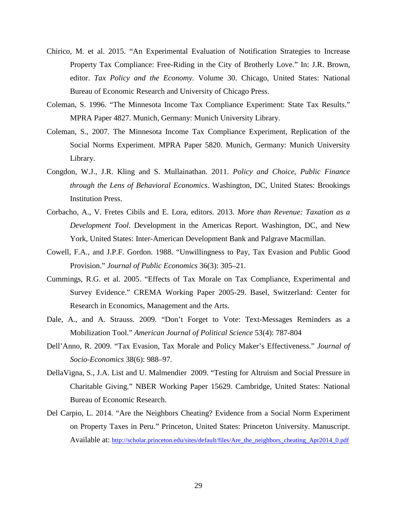- Chirico, M. et al. 2015. "An Experimental Evaluation of Notification Strategies to Increase Property Tax Compliance: Free-Riding in the City of Brotherly Love." In: J.R. Brown, editor. *Tax Policy and the Economy*. Volume 30. Chicago, United States: National Bureau of Economic Research and University of Chicago Press.
- Coleman, S. 1996. "The Minnesota Income Tax Compliance Experiment: State Tax Results." MPRA Paper 4827. Munich, Germany: Munich University Library.
- Coleman, S., 2007. The Minnesota Income Tax Compliance Experiment, Replication of the Social Norms Experiment. MPRA Paper 5820. Munich, Germany: Munich University Library.
- Congdon, W.J., J.R. Kling and S. Mullainathan. 2011. *Policy and Choice, Public Finance through the Lens of Behavioral Economics*. Washington, DC, United States: Brookings Institution Press.
- Corbacho, A., V. Fretes Cibils and E. Lora, editors. 2013. *More than Revenue: Taxation as a Development Tool*. Development in the Americas Report. Washington, DC, and New York, United States: Inter-American Development Bank and Palgrave Macmillan.
- Cowell, F.A., and J.P.F. Gordon. 1988. "Unwillingness to Pay, Tax Evasion and Public Good Provision." *Journal of Public Economics* 36(3): 305–21.
- Cummings, R.G. et al. 2005. "Effects of Tax Morale on Tax Compliance, Experimental and Survey Evidence." CREMA Working Paper 2005-29. Basel, Switzerland: Center for Research in Economics, Management and the Arts.
- Dale, A., and A. Strauss. 2009. "Don't Forget to Vote: Text-Messages Reminders as a Mobilization Tool." *American Journal of Political Science* 53(4): 787-804
- Dell'Anno, R. 2009. "Tax Evasion, Tax Morale and Policy Maker's Effectiveness." *Journal of Socio-Economics* 38(6): 988–97.
- DellaVigna, S., J.A. List and U. Malmendier 2009. "Testing for Altruism and Social Pressure in Charitable Giving." NBER Working Paper 15629. Cambridge, United States: National Bureau of Economic Research.
- Del Carpio, L. 2014. "Are the Neighbors Cheating? Evidence from a Social Norm Experiment on Property Taxes in Peru." Princeton, United States: Princeton University. Manuscript. Available at: [http://scholar.princeton.edu/sites/default/files/Are\\_the\\_neighbors\\_cheating\\_Apr2014\\_0.pdf](http://scholar.princeton.edu/sites/default/files/Are_the_neighbors_cheating_Apr2014_0.pdf)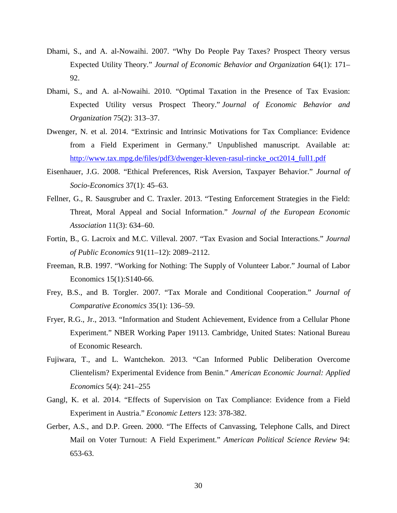- Dhami, S., and A. al-Nowaihi. 2007. "Why Do People Pay Taxes? Prospect Theory versus Expected Utility Theory." *Journal of Economic Behavior and Organization* 64(1): 171– 92.
- Dhami, S., and A. al-Nowaihi. 2010. "Optimal Taxation in the Presence of Tax Evasion: Expected Utility versus Prospect Theory." *Journal of Economic Behavior and Organization* 75(2): 313–37.
- Dwenger, N. et al. 2014. "Extrinsic and Intrinsic Motivations for Tax Compliance: Evidence from a Field Experiment in Germany." Unpublished manuscript. Available at: [http://www.tax.mpg.de/files/pdf3/dwenger-kleven-rasul-rincke\\_oct2014\\_full1.pdf](http://www.tax.mpg.de/files/pdf3/dwenger-kleven-rasul-rincke_oct2014_full1.pdf)
- Eisenhauer, J.G. 2008. "Ethical Preferences, Risk Aversion, Taxpayer Behavior." *Journal of Socio-Economics* 37(1): 45–63.
- Fellner, G., R. Sausgruber and C. Traxler. 2013. "Testing Enforcement Strategies in the Field: Threat, Moral Appeal and Social Information." *Journal of the European Economic Association* 11(3): 634–60.
- Fortin, B., G. Lacroix and M.C. Villeval. 2007. "Tax Evasion and Social Interactions." *Journal of Public Economics* 91(11–12): 2089–2112.
- Freeman, R.B. 1997. "Working for Nothing: The Supply of Volunteer Labor." Journal of Labor Economics 15(1):S140-66.
- Frey, B.S., and B. Torgler. 2007. "Tax Morale and Conditional Cooperation." *Journal of Comparative Economics* 35(1): 136–59.
- Fryer, R.G., Jr., 2013. "Information and Student Achievement, Evidence from a Cellular Phone Experiment." NBER Working Paper 19113. Cambridge, United States: National Bureau of Economic Research.
- Fujiwara, T., and L. Wantchekon. 2013. "Can Informed Public Deliberation Overcome Clientelism? Experimental Evidence from Benin." *American Economic Journal: Applied Economics* 5(4): 241–255
- Gangl, K. et al. 2014. "Effects of Supervision on Tax Compliance: Evidence from a Field Experiment in Austria." *Economic Letters* 123: 378-382.
- Gerber, A.S., and D.P. Green. 2000. "The Effects of Canvassing, Telephone Calls, and Direct Mail on Voter Turnout: A Field Experiment." *American Political Science Review* 94: 653-63.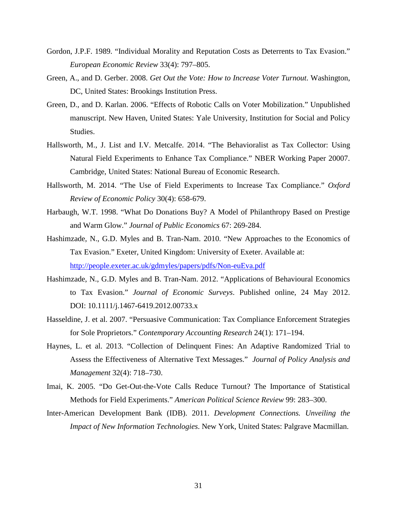- Gordon, J.P.F. 1989. "Individual Morality and Reputation Costs as Deterrents to Tax Evasion." *European Economic Review* 33(4): 797–805.
- Green, A., and D. Gerber. 2008. *Get Out the Vote: How to Increase Voter Turnout*. Washington, DC, United States: Brookings Institution Press.
- Green, D., and D. Karlan. 2006. "Effects of Robotic Calls on Voter Mobilization." Unpublished manuscript. New Haven, United States: Yale University, Institution for Social and Policy Studies.
- Hallsworth, M., J. List and I.V. Metcalfe. 2014. "The Behavioralist as Tax Collector: Using Natural Field Experiments to Enhance Tax Compliance." NBER Working Paper 20007. Cambridge, United States: National Bureau of Economic Research.
- Hallsworth, M. 2014. "The Use of Field Experiments to Increase Tax Compliance." *Oxford Review of Economic Policy* 30(4): 658-679.
- Harbaugh, W.T. 1998. "What Do Donations Buy? A Model of Philanthropy Based on Prestige and Warm Glow." *Journal of Public Economics* 67: 269-284.
- Hashimzade, N., G.D. Myles and B. Tran-Nam. 2010. "New Approaches to the Economics of Tax Evasion." Exeter, United Kingdom: University of Exeter. Available at: <http://people.exeter.ac.uk/gdmyles/papers/pdfs/Non-euEva.pdf>
- Hashimzade, N., G.D. Myles and B. Tran-Nam. 2012. "Applications of Behavioural Economics to Tax Evasion." *Journal of Economic Surveys*. Published online, 24 May 2012. DOI: 10.1111/j.1467-6419.2012.00733.x
- Hasseldine, J. et al. 2007. "Persuasive Communication: Tax Compliance Enforcement Strategies for Sole Proprietors." *Contemporary Accounting Research* 24(1): 171–194.
- Haynes, L. et al. 2013. "Collection of Delinquent Fines: An Adaptive Randomized Trial to Assess the Effectiveness of Alternative Text Messages." *Journal of Policy Analysis and Management* 32(4): 718–730.
- Imai, K. 2005. "Do Get-Out-the-Vote Calls Reduce Turnout? The Importance of Statistical Methods for Field Experiments." *American Political Science Review* 99: 283–300.
- Inter-American Development Bank (IDB). 2011. *Development Connections. Unveiling the Impact of New Information Technologies*. New York, United States: Palgrave Macmillan.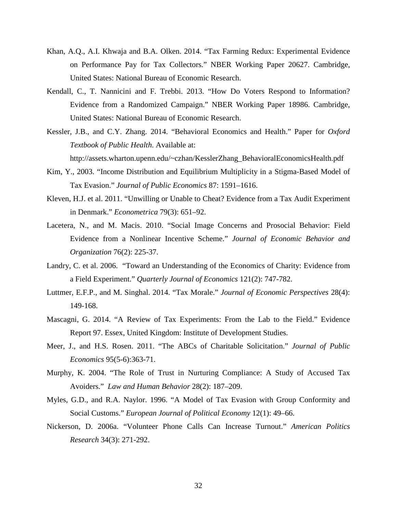- Khan, A.Q., A.I. Khwaja and B.A. Olken. 2014. "Tax Farming Redux: Experimental Evidence on Performance Pay for Tax Collectors." NBER Working Paper 20627. Cambridge, United States: National Bureau of Economic Research.
- Kendall, C., T. Nannicini and F. Trebbi. 2013. "How Do Voters Respond to Information? Evidence from a Randomized Campaign." NBER Working Paper 18986. Cambridge, United States: National Bureau of Economic Research.
- Kessler, J.B., and C.Y. Zhang. 2014. "Behavioral Economics and Health." Paper for *Oxford Textbook of Public Health*. Available at:

http://assets.wharton.upenn.edu/~czhan/KesslerZhang\_BehavioralEconomicsHealth.pdf

- Kim, Y., 2003. "Income Distribution and Equilibrium Multiplicity in a Stigma-Based Model of Tax Evasion." *Journal of Public Economics* 87: 1591–1616.
- Kleven, H.J. et al. 2011. "Unwilling or Unable to Cheat? Evidence from a Tax Audit Experiment in Denmark." *Econometrica* 79(3): 651–92.
- Lacetera, N., and M. Macis. 2010. "Social Image Concerns and Prosocial Behavior: Field Evidence from a Nonlinear Incentive Scheme." *Journal of Economic Behavior and Organization* 76(2): 225-37.
- Landry, C. et al. 2006. "Toward an Understanding of the Economics of Charity: Evidence from a Field Experiment." *Quarterly Journal of Economics* 121(2): 747-782.
- Luttmer, E.F.P., and M. Singhal. 2014. "Tax Morale." *Journal of Economic Perspectives* 28(4): 149-168.
- Mascagni, G. 2014. "A Review of Tax Experiments: From the Lab to the Field." Evidence Report 97. Essex, United Kingdom: Institute of Development Studies.
- Meer, J., and H.S. Rosen. 2011. "The ABCs of Charitable Solicitation." *Journal of Public Economics* 95(5-6):363-71.
- Murphy, K. 2004. "The Role of Trust in Nurturing Compliance: A Study of Accused Tax Avoiders." *Law and Human Behavior* 28(2): 187–209.
- Myles, G.D., and R.A. Naylor. 1996. "A Model of Tax Evasion with Group Conformity and Social Customs." *European Journal of Political Economy* 12(1): 49–66.
- Nickerson, D. 2006a. "Volunteer Phone Calls Can Increase Turnout." *American Politics Research* 34(3): 271-292.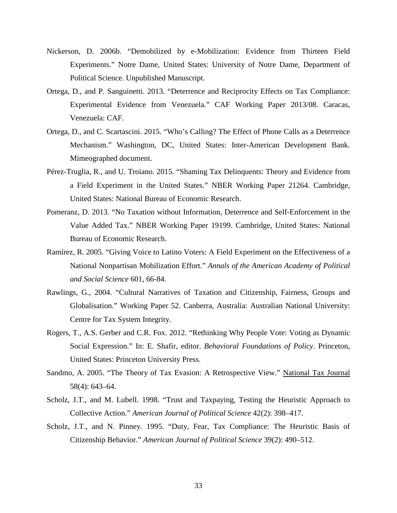- Nickerson, D. 2006b. "Demobilized by e-Mobilization: Evidence from Thirteen Field Experiments." Notre Dame, United States: University of Notre Dame, Department of Political Science. Unpublished Manuscript.
- Ortega, D., and P. Sanguinetti. 2013. "Deterrence and Reciprocity Effects on Tax Compliance: Experimental Evidence from Venezuela." CAF Working Paper 2013/08. Caracas, Venezuela: CAF.
- Ortega, D., and C. Scartascini. 2015. "Who's Calling? The Effect of Phone Calls as a Deterrence Mechanism." Washington, DC, United States: Inter-American Development Bank. Mimeographed document.
- Pérez-Truglia, R., and U. Troiano. 2015. "Shaming Tax Delinquents: Theory and Evidence from a Field Experiment in the United States." NBER Working Paper 21264. Cambridge, United States: National Bureau of Economic Research.
- Pomeranz, D. 2013. "No Taxation without Information, Deterrence and Self-Enforcement in the Value Added Tax." NBER Working Paper 19199. Cambridge, United States: National Bureau of Economic Research.
- Ramírez, R. 2005. "Giving Voice to Latino Voters: A Field Experiment on the Effectiveness of a National Nonpartisan Mobilization Effort." *Annals of the American Academy of Political and Social Science* 601, 66-84.
- Rawlings, G., 2004. "Cultural Narratives of Taxation and Citizenship, Fairness, Groups and Globalisation." Working Paper 52. Canberra, Australia: Australian National University: Centre for Tax System Integrity.
- Rogers, T., A.S. Gerber and C.R. Fox. 2012. "Rethinking Why People Vote: Voting as Dynamic Social Expression." In: E. Shafir, editor. *Behavioral Foundations of Policy*. Princeton, United States: Princeton University Press.
- Sandmo, A. 2005. "The Theory of Tax Evasion: A Retrospective View." National Tax Journal 58(4): 643–64.
- Scholz, J.T., and M. Lubell. 1998. "Trust and Taxpaying, Testing the Heuristic Approach to Collective Action." *American Journal of Political Science* 42(2): 398–417.
- Scholz, J.T., and N. Pinney. 1995. "Duty, Fear, Tax Compliance: The Heuristic Basis of Citizenship Behavior." *American Journal of Political Science* 39(2): 490–512.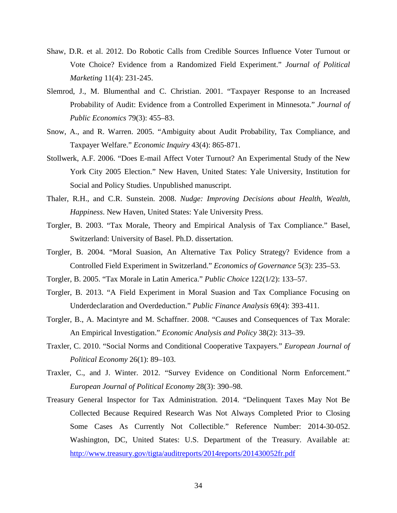- Shaw, D.R. et al. 2012. Do Robotic Calls from Credible Sources Influence Voter Turnout or Vote Choice? Evidence from a Randomized Field Experiment." *Journal of Political Marketing* 11(4): 231-245.
- Slemrod, J., M. Blumenthal and C. Christian. 2001. "Taxpayer Response to an Increased Probability of Audit: Evidence from a Controlled Experiment in Minnesota." *Journal of Public Economics* 79(3): 455–83.
- Snow, A., and R. Warren. 2005. "Ambiguity about Audit Probability, Tax Compliance, and Taxpayer Welfare." *Economic Inquiry* 43(4): 865-871.
- Stollwerk, A.F. 2006. "Does E-mail Affect Voter Turnout? An Experimental Study of the New York City 2005 Election." New Haven, United States: Yale University, Institution for Social and Policy Studies. Unpublished manuscript.
- Thaler, R.H., and C.R. Sunstein. 2008. *Nudge: Improving Decisions about Health, Wealth, Happiness*. New Haven, United States: Yale University Press.
- Torgler, B. 2003. "Tax Morale, Theory and Empirical Analysis of Tax Compliance." Basel, Switzerland: University of Basel. Ph.D. dissertation.
- Torgler, B. 2004. "Moral Suasion, An Alternative Tax Policy Strategy? Evidence from a Controlled Field Experiment in Switzerland." *Economics of Governance* 5(3): 235–53.
- Torgler, B. 2005. "Tax Morale in Latin America." *Public Choice* 122(1/2): 133–57.
- Torgler, B. 2013. "A Field Experiment in Moral Suasion and Tax Compliance Focusing on Underdeclaration and Overdeduction." *Public Finance Analysis* 69(4): 393-411.
- Torgler, B., A. Macintyre and M. Schaffner. 2008. "Causes and Consequences of Tax Morale: An Empirical Investigation." *Economic Analysis and Policy* 38(2): 313–39.
- Traxler, C. 2010. "Social Norms and Conditional Cooperative Taxpayers." *European Journal of Political Economy* 26(1): 89–103.
- Traxler, C., and J. Winter. 2012. "Survey Evidence on Conditional Norm Enforcement." *European Journal of Political Economy* 28(3): 390–98.
- Treasury General Inspector for Tax Administration. 2014. "Delinquent Taxes May Not Be Collected Because Required Research Was Not Always Completed Prior to Closing Some Cases As Currently Not Collectible." Reference Number: 2014-30-052. Washington, DC, United States: U.S. Department of the Treasury. Available at: <http://www.treasury.gov/tigta/auditreports/2014reports/201430052fr.pdf>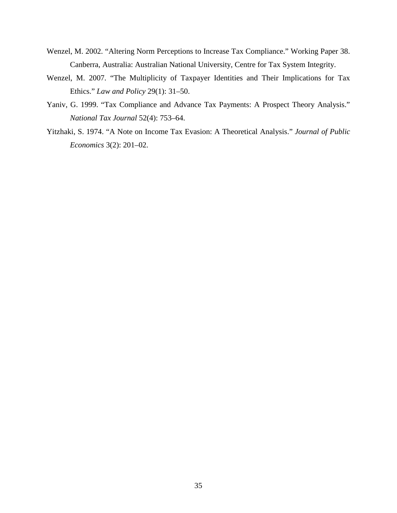- Wenzel, M. 2002. "Altering Norm Perceptions to Increase Tax Compliance." Working Paper 38. Canberra, Australia: Australian National University, Centre for Tax System Integrity.
- Wenzel, M. 2007. "The Multiplicity of Taxpayer Identities and Their Implications for Tax Ethics." *Law and Policy* 29(1): 31–50.
- Yaniv, G. 1999. "Tax Compliance and Advance Tax Payments: A Prospect Theory Analysis." *National Tax Journal* 52(4): 753–64.
- Yitzhaki, S. 1974. "A Note on Income Tax Evasion: A Theoretical Analysis." *Journal of Public Economics* 3(2): 201–02.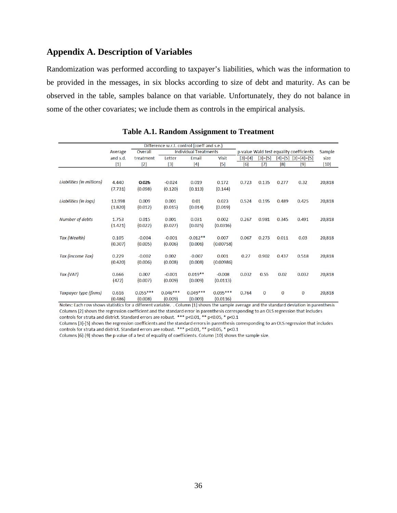### **Appendix A. Description of Variables**

Randomization was performed according to taxpayer's liabilities, which was the information to be provided in the messages, in six blocks according to size of debt and maturity. As can be observed in the table, samples balance on that variable. Unfortunately, they do not balance in some of the other covariates; we include them as controls in the empirical analysis.

|                           |          |            |                  | Difference w.r.t. control (coeff and s.e.) |              |           |           |          |                                         |        |
|---------------------------|----------|------------|------------------|--------------------------------------------|--------------|-----------|-----------|----------|-----------------------------------------|--------|
|                           | Average  | Overall    |                  | <b>Individual Treatments</b>               |              |           |           |          | p-value Wald test equality coefficients | Sample |
|                           | and s.d. | treatment  | Letter           | Email                                      | <b>Visit</b> | $[3]=[4]$ | $[3]=[5]$ |          | $[4]=[5] [3]=[4]=[5]$                   | size   |
|                           | $[1]$    | $[2]$      | $[3]$            | $[4]$                                      | $[5]$        | [6]       | $[7]$     | [8]      | $[9]$                                   | $[10]$ |
|                           |          |            |                  |                                            |              |           |           |          |                                         |        |
| Liabilities (in millions) | 4.440    | 0.026      | $-0.024$         | 0.019                                      | 0.172        | 0.723     | 0.135     | 0.277    | 0.32                                    | 20,818 |
|                           | (7.731)  | (0.098)    | (0.120)          | (0.113)                                    | (0.144)      |           |           |          |                                         |        |
| Liabilities (in logs)     | 13.998   | 0.009      | 0.001            | 0.01                                       | 0.023        | 0.524     | 0.195     | 0.489    | 0.425                                   | 20,818 |
|                           | (1.820)  | (0.012)    | (0.015)          | (0.014)                                    | (0.019)      |           |           |          |                                         |        |
|                           |          |            |                  |                                            |              |           |           |          |                                         |        |
| Number of debts           | 1.753    | 0.015      | 0.001<br>(0.027) | 0.031                                      | 0.002        | 0.267     | 0.981     | 0.345    | 0.491                                   | 20,818 |
|                           | (1.421)  | (0.022)    |                  | (0.025)                                    | (0.0316)     |           |           |          |                                         |        |
| Tax (Wealth)              | 0.105    | $-0.004$   | $-0.001$         | $-0.012**$                                 | 0.007        | 0.067     | 0.273     | 0.011    | 0.03                                    | 20,818 |
|                           | (0.307)  | (0.005)    | (0.006)          | (0.006)                                    | (0.00758)    |           |           |          |                                         |        |
| Tax (Income Tax)          | 0.229    | $-0.002$   | 0.002            | $-0.007$                                   | 0.001        | 0.27      | 0.902     | 0.437    | 0.518                                   | 20,818 |
|                           | (0.420)  | (0.006)    | (0.008)          | (0.008)                                    | (0.00986)    |           |           |          |                                         |        |
|                           |          |            |                  |                                            |              |           |           |          |                                         |        |
| Tax (VAT)                 | 0.666    | 0.007      | $-0.001$         | $0.019**$                                  | $-0.008$     | 0.032     | 0.55      | 0.02     | 0.032                                   | 20,818 |
|                           | (472)    | (0.007)    | (0.009)          | (0.009)                                    | (0.0113)     |           |           |          |                                         |        |
| Taxpayer type (firms)     | 0.616    | $0.055***$ | $0.046***$       | $0.049***$                                 | $0.095***$   | 0.764     | $\bf{0}$  | $\bf{0}$ | $\bf{0}$                                | 20,818 |
|                           | (0.486)  | (0.008)    | (0.009)          | (0.009)                                    | (0.0116)     |           |           |          |                                         |        |

**Table A.1. Random Assignment to Treatment**

Notes: Each row shows statistics for a different variable. . Column [1] shows the sample average and the standard deviation in parenthesis Columns [2] shows the regression coefficient and the standard error in parenthesis corresponding to an OLS regression that includes controls for strata and district. Standard errors are robust. \*\*\* p<0.01, \*\* p<0.05, \* p<0.1

Columns [3]-[5] shows the regression coefficients and the standard errors in parenthesis corresponding to an OLS regression that includes controls for strata and district. Standard errors are robust. \*\*\* p<0.01, \*\* p<0.05, \* p<0.1

Columns [6]-[9] shows the p-value of a test of equality of coefficients. Column [10] shows the sample size.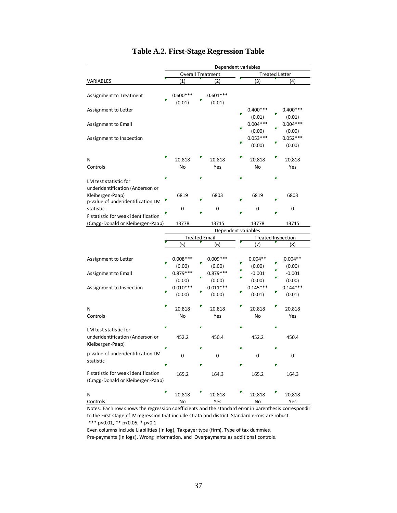|                                                                               |                                                            |                                                            | Dependent variables                                     |                                                         |
|-------------------------------------------------------------------------------|------------------------------------------------------------|------------------------------------------------------------|---------------------------------------------------------|---------------------------------------------------------|
|                                                                               |                                                            | <b>Overall Treatment</b>                                   | <b>Treated Letter</b>                                   |                                                         |
| VARIABLES                                                                     | (1)                                                        | (2)                                                        | (3)                                                     | (4)                                                     |
| Assignment to Treatment                                                       | $0.600***$<br>(0.01)                                       | $0.601***$<br>(0.01)                                       |                                                         |                                                         |
| Assignment to Letter                                                          |                                                            |                                                            | $0.400***$<br>(0.01)                                    | $0.400***$<br>(0.01)                                    |
| Assignment to Email                                                           |                                                            |                                                            | $0.004***$<br>(0.00)                                    | $0.004***$<br>(0.00)                                    |
| Assignment to Inspection                                                      |                                                            |                                                            | $0.053***$<br>(0.00)                                    | $0.052***$<br>(0.00)                                    |
| N<br>Controls                                                                 | 20,818<br>No                                               | 20,818<br>Yes                                              | 20,818<br>No                                            | 20,818<br>Yes                                           |
| LM test statistic for<br>underidentification (Anderson or                     |                                                            |                                                            |                                                         |                                                         |
| Kleibergen-Paap)<br>p-value of underidentification LM                         | 6819                                                       | 6803                                                       | 6819                                                    | 6803                                                    |
| statistic<br>F statistic for weak identification                              | 0                                                          | 0                                                          | 0                                                       | $\mathbf 0$                                             |
| (Cragg-Donald or Kleibergen-Paap)                                             | 13778                                                      | 13715                                                      | 13778                                                   | 13715                                                   |
|                                                                               |                                                            |                                                            | Dependent variables                                     |                                                         |
|                                                                               |                                                            | <b>Treated Email</b>                                       | Treated Inspection                                      |                                                         |
|                                                                               | (5)                                                        | (6)                                                        | (7)                                                     | (8)                                                     |
| Assignment to Letter<br>Assignment to Email<br>Assignment to Inspection       | $0.008***$<br>(0.00)<br>$0.879***$<br>(0.00)<br>$0.010***$ | $0.009***$<br>(0.00)<br>$0.879***$<br>(0.00)<br>$0.011***$ | $0.004**$<br>(0.00)<br>$-0.001$<br>(0.00)<br>$0.145***$ | $0.004**$<br>(0.00)<br>$-0.001$<br>(0.00)<br>$0.144***$ |
|                                                                               | (0.00)                                                     | (0.00)                                                     | (0.01)                                                  | (0.01)                                                  |
| N<br>Controls                                                                 | 20,818<br>No                                               | 20,818<br>Yes                                              | 20,818<br>No                                            | 20,818<br>Yes                                           |
| LM test statistic for<br>underidentification (Anderson or<br>Kleibergen-Paap) | 452.2                                                      | 450.4                                                      | 452.2<br>o                                              | 450.4                                                   |
| p-value of underidentification LM<br>statistic                                | 0                                                          | 0                                                          | 0                                                       | 0                                                       |
| F statistic for weak identification                                           | 165.2                                                      | 164.3                                                      | 165.2                                                   | 164.3                                                   |

### **Table A.2. First-Stage Regression Table**

Controls No Yes No Yes Notes: Each row shows the regression coefficients and the standard error in parenthesis correspondin to the First stage of IV regression that include strata and district. Standard errors are robust.

N 20,818 20,818 20,818 20,818

\*\*\* p<0.01, \*\* p<0.05, \* p<0.1

(Cragg-Donald or Kleibergen-Paap)

Even columns include Liabilities (in log), Taxpayer type (firm), Type of tax dummies,

Pre-payments (in logs), Wrong Information, and Overpayments as additional controls.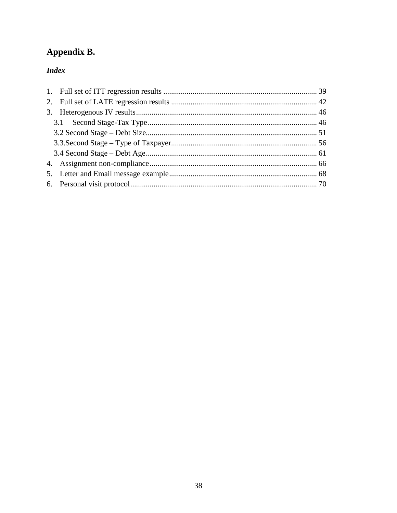# Appendix B.

# **Index**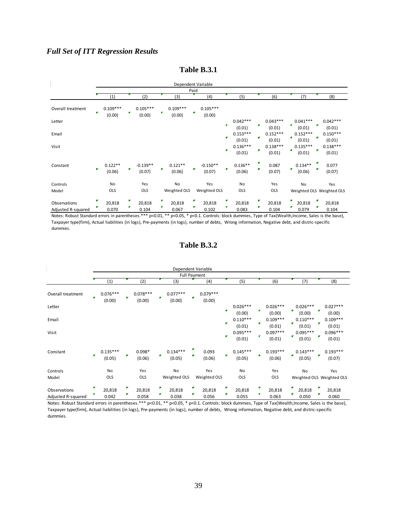## *Full Set of ITT Regression Results*

|                                    |        |                      |    |                      |   | Dependent Variable   |        |                      |                              |                      |         |                      |          |                      |    |                                  |
|------------------------------------|--------|----------------------|----|----------------------|---|----------------------|--------|----------------------|------------------------------|----------------------|---------|----------------------|----------|----------------------|----|----------------------------------|
|                                    |        |                      |    |                      |   |                      | Paid   |                      |                              |                      |         |                      |          |                      |    |                                  |
|                                    |        | (1)                  |    | (2)                  |   | (3)                  |        | (4)                  |                              | (5)                  |         | (6)                  |          | (7)                  |    | (8)                              |
| Overall treatment                  | P.     | $0.109***$<br>(0.00) | ٠  | $0.105***$<br>(0.00) | ₽ | $0.109***$<br>(0.00) | P.     | $0.105***$<br>(0.00) |                              |                      |         |                      |          |                      |    |                                  |
| Letter                             |        |                      |    |                      |   |                      |        |                      | ×                            | $0.042***$<br>(0.01) | v       | $0.043***$<br>(0.01) | v.       | $0.041***$<br>(0.01) | ×  | $0.042***$<br>(0.01)             |
| Email                              |        |                      |    |                      |   |                      |        |                      |                              | $0.153***$<br>(0.01) | ▼       | $0.152***$<br>(0.01) | v.       | $0.152***$<br>(0.01) |    | $0.150***$<br>(0.01)             |
| Visit                              |        |                      |    |                      |   |                      |        |                      |                              | $0.136***$<br>(0.01) | ₽       | $0.138***$<br>(0.01) | v.       | $0.135***$<br>(0.01) | v. | $0.138***$<br>(0.01)             |
| Constant                           | P.     | $0.122**$<br>(0.06)  | v. | $-0.139**$<br>(0.07) | Г | $0.121**$<br>(0.06)  | P.     | $-0.150**$<br>(0.07) | P.                           | $0.136**$<br>(0.06)  | v.<br>₽ | 0.087<br>(0.07)      | P.       | $0.134**$<br>(0.06)  | F  | 0.077<br>(0.07)                  |
| Controls<br>Model                  |        | No<br>OLS            |    | Yes<br>OLS           |   | No<br>Weighted OLS   |        | Yes<br>Weighted OLS  |                              | No<br>OLS            |         | Yes<br>OLS           |          | No                   |    | Yes<br>Weighted OLS Weighted OLS |
| Observations<br>Adjusted R-squared | v<br>× | 20,818<br>0.070      | v. | 20,818<br>0.104      | v | 20,818<br>0.067      | r<br>r | 20,818<br>0.102      | v<br>$\overline{\mathbf{r}}$ | 20,818<br>0.083      | ۲<br>×  | 20,818<br>0.104      | v.<br>v. | 20,818<br>0.079      |    | 20,818<br>0.104                  |

#### **Table B.3.1**

Notes: Robust Standard errors in parentheses.\*\*\* p<0.01, \*\* p<0.05, \* p<0.1. Controls: block dummies, Type of Tax(Wealth,Income, Sales is the base), Taxpayer type(firm), Actual liabilities (in logs), Pre-payments (in logs), number of debts, Wrong information, Negative debt, and distric-specific dummies.

#### **Table B.3.2**

|                                    |   |                      |    |                      |   | Dependent Variable   |   |                      |        |                      |        |                      |                            |                                  |  |
|------------------------------------|---|----------------------|----|----------------------|---|----------------------|---|----------------------|--------|----------------------|--------|----------------------|----------------------------|----------------------------------|--|
|                                    |   |                      |    |                      |   | Full Payment         |   |                      |        |                      |        |                      |                            |                                  |  |
|                                    |   | (1)                  |    | (2)                  |   | (3)                  |   | (4)                  |        | (5)                  |        | (6)                  | (7)                        | (8)                              |  |
| Overall treatment                  | × | $0.076***$<br>(0.00) | ×  | $0.078***$<br>(0.00) | F | $0.077***$<br>(0.00) | v | $0.079***$<br>(0.00) |        |                      |        |                      |                            |                                  |  |
| Letter                             |   |                      |    |                      |   |                      |   |                      | F      | $0.026***$<br>(0.00) | F      | $0.026***$<br>(0.00) | $0.026***$<br>P.<br>(0.00) | $0.027***$<br>F.<br>(0.00)       |  |
| Email                              |   |                      |    |                      |   |                      |   |                      | п      | $0.110***$<br>(0.01) | п      | $0.109***$<br>(0.01) | $0.110***$<br>P<br>(0.01)  | $0.109***$<br>F<br>(0.01)        |  |
| Visit                              |   |                      |    |                      |   |                      |   |                      | п      | $0.095***$<br>(0.01) | P      | $0.097***$<br>(0.01) | $0.095***$<br>F<br>(0.01)  | $0.096***$<br>r<br>(0.01)        |  |
| Constant                           | × | $0.135***$<br>(0.05) | ₽. | $0.098*$<br>(0.06)   | ₽ | $0.134***$<br>(0.05) | ₽ | 0.093<br>(0.06)      | ¥.     | $0.145***$<br>(0.05) | ₽      | $0.193***$<br>(0.06) | $0.143***$<br>F<br>(0.05)  | $0.193***$<br>F<br>(0.07)        |  |
| Controls<br>Model                  |   | No<br><b>OLS</b>     |    | Yes<br>OLS           |   | No<br>Weighted OLS   |   | Yes<br>Weighted OLS  |        | No<br>OLS            |        | Yes<br>OLS           | No                         | Yes<br>Weighted OLS Weighted OLS |  |
| Observations<br>Adjusted R-squared | π | 20,818<br>0.042      |    | 20,818<br>0.058      | × | 20,818<br>0.038      | π | 20,818<br>0.056      | v<br>F | 20,818<br>0.055      | v<br>F | 20,818<br>0.063      | v<br>20,818<br>F<br>0.050  | г<br>20,818<br>0.060             |  |

Notes: Robust Standard errors in parentheses.\*\*\* p<0.01, \*\* p<0.05, \* p<0.1. Controls: block dummies, Type of Tax(Wealth,Income, Sales is the base), Taxpayer type(firm), Actual liabilities (in logs), Pre-payments (in logs), number of debts, Wrong information, Negative debt, and distric-specific dummies.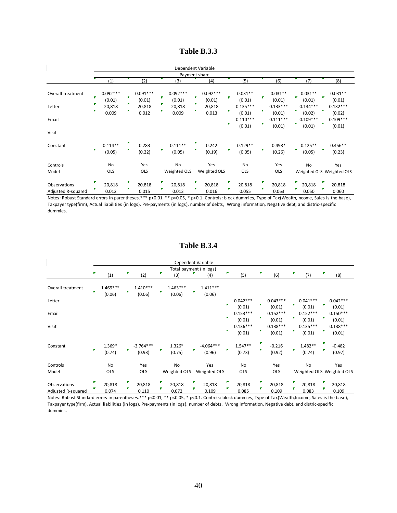#### **Table B.3.3**

|                                    |    |                      |         |                      |        | Dependent Variable        |        |                      |                          |                      |        |                      |                          |                                 |    |                      |
|------------------------------------|----|----------------------|---------|----------------------|--------|---------------------------|--------|----------------------|--------------------------|----------------------|--------|----------------------|--------------------------|---------------------------------|----|----------------------|
|                                    |    |                      |         |                      |        | Payment share             |        |                      |                          |                      |        |                      |                          |                                 |    |                      |
|                                    |    | (1)                  |         | (2)                  |        | (3)                       |        | (4)                  |                          | (5)                  |        | (6)                  |                          | (7)                             |    | (8)                  |
| Overall treatment                  | P. | $0.092***$<br>(0.01) | ¥.      | $0.091***$<br>(0.01) | ×      | $0.092***$<br>(0.01)      | ×      | $0.092***$<br>(0.01) | $\mathbf{r}$             | $0.031**$<br>(0.01)  | v.     | $0.031**$<br>(0.01)  | $\mathbf{r}$             | $0.031**$<br>(0.01)             | P. | $0.031**$<br>(0.01)  |
| Letter                             |    | 20,818<br>0.009      | F<br>P. | 20,818<br>0.012      | F<br>P | 20,818<br>0.009           | ▼<br>× | 20,818<br>0.013      | $\overline{\phantom{a}}$ | $0.135***$<br>(0.01) | ×      | $0.133***$<br>(0.01) | v.                       | $0.134***$<br>(0.02)            |    | $0.132***$<br>(0.02) |
| Email                              |    |                      |         |                      |        |                           |        |                      | $\overline{\mathbf{r}}$  | $0.110***$<br>(0.01) | ₩      | $0.111***$<br>(0.01) | ₩                        | $0.109***$<br>(0.01)            | ₩  | $0.109***$<br>(0.01) |
| Visit                              |    |                      |         |                      |        |                           |        |                      |                          |                      |        |                      |                          |                                 |    |                      |
| Constant                           | F  | $0.114**$<br>(0.05)  | F       | 0.283<br>(0.22)      | п      | $0.111**$<br>(0.05)       | ₹<br>π | 0.242<br>(0.19)      | ×                        | $0.129**$<br>(0.05)  | v.     | $0.498*$<br>(0.26)   | $\overline{\phantom{a}}$ | $0.125**$<br>(0.05)             | п  | $0.456**$<br>(0.23)  |
| Controls<br>Model                  |    | <b>No</b><br>OLS     |         | Yes<br>OLS           |        | <b>No</b><br>Weighted OLS |        | Yes<br>Weighted OLS  |                          | No<br>OLS            |        | Yes<br>OLS           |                          | No<br>Weighted OLS Weighted OLS |    | Yes                  |
| Observations<br>Adjusted R-squared |    | 20,818<br>0.012      | ۳<br>F  | 20,818<br>0.015      | F<br>F | 20,818<br>0.013           | π<br>π | 20,818<br>0.016      | ×<br>y.                  | 20,818<br>0.055      | ٠<br>۰ | 20,818<br>0.063      | ٠<br>$\bullet$           | 20,818<br>0.050                 |    | 20,818<br>0.060      |

Notes: Robust Standard errors in parentheses.\*\*\* p<0.01, \*\* p<0.05, \* p<0.1. Controls: block dummies, Type of Tax(Wealth,Income, Sales is the base), Taxpayer type(firm), Actual liabilities (in logs), Pre-payments (in logs), number of debts, Wrong information, Negative debt, and distric-specific dummies.

#### **Table B.3.4**

|                                    |                         |                      |    |                       |    | Dependent Variable      |    |                       |    |                                |        |                                |    |                                |          |                                  |
|------------------------------------|-------------------------|----------------------|----|-----------------------|----|-------------------------|----|-----------------------|----|--------------------------------|--------|--------------------------------|----|--------------------------------|----------|----------------------------------|
|                                    |                         |                      |    |                       |    | Total payment (in logs) |    |                       |    |                                |        |                                |    |                                |          |                                  |
|                                    |                         | (1)                  |    | (2)                   |    | (3)                     |    | (4)                   |    | (5)                            |        | (6)                            |    | (7)                            |          | (8)                              |
| Overall treatment                  | ×                       | $1.469***$<br>(0.06) | F  | $1.410***$<br>(0.06)  | ۳  | $1.463***$<br>(0.06)    | ۳  | $1.411***$<br>(0.06)  |    |                                |        |                                |    |                                |          |                                  |
| Letter                             |                         |                      |    |                       |    |                         |    |                       | Ŧ. | $0.042***$                     | ₽      | $0.043***$                     | F  | $0.041***$                     | <b>F</b> | $0.042***$                       |
| Email                              |                         |                      |    |                       |    |                         |    |                       |    | (0.01)<br>$0.153***$<br>(0.01) | y.     | (0.01)<br>$0.152***$<br>(0.01) | P. | (0.01)<br>$0.152***$<br>(0.01) | ×        | (0.01)<br>$0.150***$<br>(0.01)   |
| Visit                              |                         |                      |    |                       |    |                         |    |                       | ۰. | $0.136***$<br>(0.01)           | ×      | $0.138***$<br>(0.01)           | v. | $0.135***$<br>(0.01)           | r        | $0.138***$<br>(0.01)             |
| Constant                           | $\overline{\mathbf{r}}$ | 1.369*<br>(0.74)     | F. | $-3.764***$<br>(0.93) | P. | $1.326*$<br>(0.75)      | ₽. | $-4.064***$<br>(0.96) | 7  | $1.547**$<br>(0.73)            | г<br>₽ | $-0.216$<br>(0.92)             | P. | $1.482**$<br>(0.74)            | F<br>F   | $-0.482$<br>(0.97)               |
| Controls<br>Model                  |                         | No<br><b>OLS</b>     |    | Yes<br>OLS            |    | No<br>Weighted OLS      |    | Yes<br>Weighted OLS   |    | No<br><b>OLS</b>               |        | Yes<br>OLS                     |    | No                             |          | Yes<br>Weighted OLS Weighted OLS |
| Observations<br>Adjusted R-squared |                         | 20,818<br>0.074      | r. | 20,818<br>0.110       |    | 20,818<br>0.072         |    | 20,818<br>0.109       | r  | 20,818<br>0.085                | ₽<br>F | 20,818<br>0.109                |    | 20,818<br>0.083                |          | 20,818<br>0.109                  |

Notes: Robust Standard errors in parentheses.\*\*\* p<0.01, \*\* p<0.05, \* p<0.1. Controls: block dummies, Type of Tax(Wealth,Income, Sales is the base), Taxpayer type(firm), Actual liabilities (in logs), Pre-payments (in logs), number of debts, Wrong information, Negative debt, and distric-specific dummies.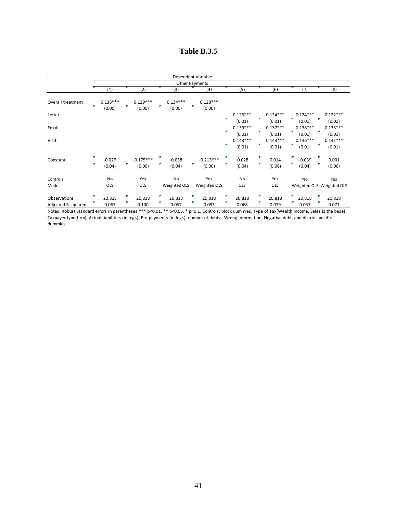### **Table B.3.5**

|                                    |        |                      |        |                       |        | Dependent Variable    |        |                       |        |                         |        |                      |        |                      |        |                                  |
|------------------------------------|--------|----------------------|--------|-----------------------|--------|-----------------------|--------|-----------------------|--------|-------------------------|--------|----------------------|--------|----------------------|--------|----------------------------------|
|                                    |        |                      |        |                       |        | <b>Other Payments</b> |        |                       |        |                         |        |                      |        |                      |        |                                  |
|                                    |        | (1)                  |        | (2)                   |        | (3)                   |        | (4)                   |        | (5)                     |        | (6)                  |        | (7)                  |        | (8)                              |
| Overall treatment                  | ×      | $0.136***$<br>(0.00) | P.     | $0.129***$<br>(0.00)  | P.     | $0.134***$<br>(0.00)  | F.     | $0.128***$<br>(0.00)  |        |                         |        |                      |        |                      |        |                                  |
| Letter                             |        |                      |        |                       |        |                       |        |                       | F      | $0.126***$<br>(0.01)    | F      | $0.124***$<br>(0.01) | ×      | $0.124***$<br>(0.01) | ×      | $0.122***$<br>(0.01)             |
| Email                              |        |                      |        |                       |        |                       |        |                       | Р      | $0.139***$<br>(0.01)    | F      | $0.137***$<br>(0.01) | F      | $0.138***$<br>(0.01) | v      | $0.135***$<br>(0.01)             |
| Visit                              |        |                      |        |                       |        |                       |        |                       | F      | $0.148***$<br>(0.01)    | P      | $0.143***$<br>(0.01) | F      | $0.146***$<br>(0.01) | F      | $0.141***$<br>(0.01)             |
| Constant                           | ×<br>× | $-0.027$<br>(0.04)   | P.     | $-0.175***$<br>(0.06) | v<br>F | $-0.038$<br>(0.04)    | P.     | $-0.213***$<br>(0.06) | π<br>F | $-0.028$<br>(0.04)      | ۳<br>Ê | 0.014<br>(0.06)      | π<br>F | $-0.039$<br>(0.04)   | ×<br>F | 0.001<br>(0.06)                  |
| Controls<br>Model                  |        | <b>No</b><br>OLS     |        | Yes<br><b>OLS</b>     |        | No<br>Weighted OLS    |        | Yes<br>Weighted OLS   |        | <b>No</b><br><b>OLS</b> |        | Yes<br><b>OLS</b>    |        | No                   |        | Yes<br>Weighted OLS Weighted OLS |
| Observations<br>Adjusted R-squared | Ŧ      | 20,818<br>0.067      | ×<br>π | 20,818<br>0.100       | ۳<br>π | 20,818<br>0.057       | г<br>F | 20,818<br>0.093       | ۳<br>Р | 20,818<br>0.068         | ٢<br>F | 20,818<br>0.079      | F      | 20,818<br>0.057      | г      | 20,818<br>0.071                  |

Notes: Robust Standard errors in parentheses.\*\*\* p<0.01, \*\* p<0.05, \* p<0.1. Controls: block dummies, Type of Tax(Wealth,Income, Sales is the base), Taxpayer type(firm), Actual liabilities (in logs), Pre-payments (in logs), number of debts, Wrong information, Negative debt, and distric-specific dummies.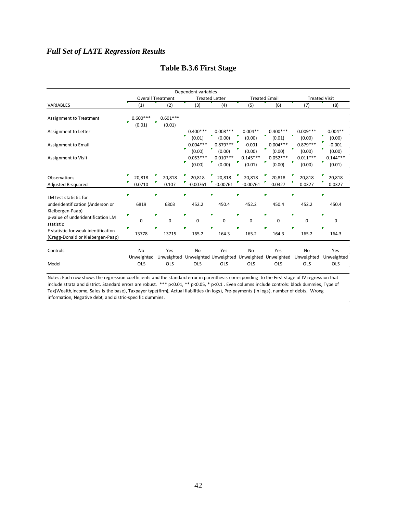### *Full Set of LATE Regression Results*

|                                                                          |   |                          |   |                      |   | Dependent variables                |           |                                    |   |                                               |              |                                    |        |                                    |    |                                  |
|--------------------------------------------------------------------------|---|--------------------------|---|----------------------|---|------------------------------------|-----------|------------------------------------|---|-----------------------------------------------|--------------|------------------------------------|--------|------------------------------------|----|----------------------------------|
|                                                                          |   | <b>Overall Treatment</b> |   |                      |   | <b>Treated Letter</b>              |           |                                    |   | <b>Treated Email</b>                          |              |                                    |        | <b>Treated Visit</b>               |    |                                  |
| VARIABLES                                                                |   | (1)                      |   | (2)                  |   | (3)                                |           | (4)                                |   | (5)                                           |              | (6)                                |        | (7)                                |    | (8)                              |
| Assignment to Treatment                                                  |   | $0.600***$<br>(0.01)     | И | $0.601***$<br>(0.01) |   |                                    |           |                                    |   |                                               |              |                                    |        |                                    |    |                                  |
| Assignment to Letter                                                     |   |                          |   |                      | ÷ | $0.400***$<br>(0.01)               | ÷         | $0.008***$<br>(0.00)               | × | $0.004**$<br>(0.00)                           | p.           | $0.400***$<br>(0.01)               | P      | $0.009***$<br>(0.00)               | P. | $0.004**$<br>(0.00)              |
| Assignment to Email<br>Assignment to Visit                               |   |                          |   |                      |   | $0.004***$<br>(0.00)<br>$0.053***$ | $\bullet$ | $0.879***$<br>(0.00)<br>$0.010***$ |   | $-0.001$<br>(0.00)<br>$0.145***$              | $\mathbf{r}$ | $0.004***$<br>(0.00)<br>$0.052***$ | v      | $0.879***$<br>(0.00)<br>$0.011***$ |    | $-0.001$<br>(0.00)<br>$0.144***$ |
|                                                                          |   |                          |   |                      | 7 | (0.00)                             | v         | (0.00)                             | ٠ | (0.01)                                        | F            | (0.00)                             | P.     | (0.00)                             | F  | (0.01)                           |
| Observations<br>Adjusted R-squared                                       |   | 20,818<br>0.0710         |   | 20,818<br>0.107      |   | 20,818<br>$-0.00761$               |           | 20,818<br>$-0.00761$               |   | 20,818<br>$-0.00761$                          |              | 20,818<br>0.0327                   | ۳      | 20,818<br>0.0327                   |    | 20,818<br>0.0327                 |
| LM test statistic for                                                    |   |                          | P |                      | ż |                                    | ۳         |                                    | × |                                               | F            |                                    | п      |                                    | F  |                                  |
| underidentification (Anderson or                                         |   | 6819                     |   | 6803                 |   | 452.2                              |           | 450.4                              |   | 452.2                                         |              | 450.4                              |        | 452.2                              |    | 450.4                            |
| Kleibergen-Paap)<br>p-value of underidentification LM<br>statistic       | п | $\Omega$                 |   | 0                    |   | $\Omega$                           | ٠<br>ż    | $\Omega$                           | ۰ | 0                                             |              | $\Omega$                           | F<br>F | $\Omega$                           |    | $\Omega$                         |
| F statistic for weak identification<br>(Cragg-Donald or Kleibergen-Paap) |   | 13778                    |   | 13715                |   | 165.2                              |           | 164.3                              |   | 165.2                                         |              | 164.3                              |        | 165.2                              |    | 164.3                            |
| Controls                                                                 |   | <b>No</b><br>Unweighted  |   | Yes<br>Unweighted    |   | <b>No</b>                          |           | Yes                                |   | <b>No</b><br>Unweighted Unweighted Unweighted |              | Yes<br>Unweighted                  |        | <b>No</b><br>Unweighted            |    | Yes<br>Unweighted                |
| Model                                                                    |   | OLS                      |   | <b>OLS</b>           |   | <b>OLS</b>                         |           | OLS                                |   | OLS                                           |              | <b>OLS</b>                         |        | <b>OLS</b>                         |    | OLS                              |

#### **Table B.3.6 First Stage**

Notes: Each row shows the regression coefficients and the standard error in parenthesis corresponding to the First stage of IV regression that include strata and district. Standard errors are robust. \*\*\* p<0.01, \*\* p<0.05, \* p<0.1 . Even columns include controls: block dummies, Type of Tax(Wealth,Income, Sales is the base), Taxpayer type(firm), Actual liabilities (in logs), Pre-payments (in logs), number of debts, Wrong information, Negative debt, and distric-specific dummies.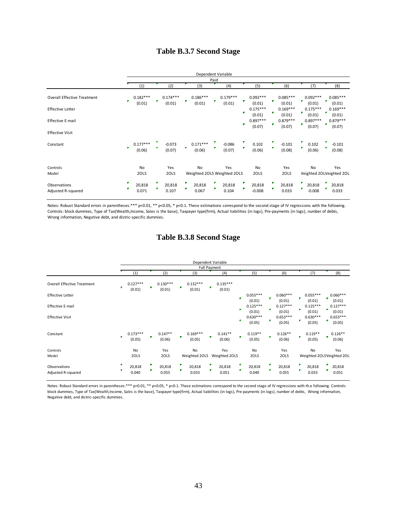#### **Table B.3.7 Second Stage**

|                                    |    |                      |        |                      |        | Dependent Variable   |      |                                    |                   |                                |   |                                |              |                                |                   |                                  |
|------------------------------------|----|----------------------|--------|----------------------|--------|----------------------|------|------------------------------------|-------------------|--------------------------------|---|--------------------------------|--------------|--------------------------------|-------------------|----------------------------------|
|                                    |    |                      |        |                      |        |                      | Paid |                                    |                   |                                |   |                                |              |                                |                   |                                  |
|                                    |    | (1)                  |        | (2)                  |        | (3)                  |      | (4)                                |                   | (5)                            |   | (6)                            |              | (7)                            |                   | (8)                              |
| <b>Overall Effective Treatment</b> | v. | $0.182***$<br>(0.01) | P.     | $0.174***$<br>(0.01) | P.     | $0.186***$<br>(0.01) | P.   | $0.179***$<br>(0.01)               | $\mathbf{r}$      | $0.092***$<br>(0.01)           | v | $0.085***$<br>(0.01)           | F.           | $0.092***$<br>(0.01)           | F                 | $0.085***$<br>(0.01)             |
| <b>Effective Letter</b>            |    |                      |        |                      |        |                      |      |                                    | P.                | $0.175***$                     | v | $0.169***$                     | $\mathbf{r}$ | $0.175***$                     | $\mathbf{r}$      | $0.169***$                       |
| <b>Effective E-mail</b>            |    |                      |        |                      |        |                      |      |                                    | P.                | (0.01)<br>$0.897***$<br>(0.07) |   | (0.01)<br>$0.879***$<br>(0.07) | F.           | (0.01)<br>$0.897***$<br>(0.07) | v                 | (0.01)<br>$0.879***$<br>(0.07)   |
| <b>Effective Visit</b>             |    |                      |        |                      |        |                      |      |                                    |                   |                                |   |                                |              |                                |                   |                                  |
| Constant                           | v. | $0.177***$<br>(0.06) | Γ<br>п | $-0.073$<br>(0.07)   | P.     | $0.171***$<br>(0.06) |      | $-0.086$<br>(0.07)                 | ν<br>v.           | 0.102<br>(0.06)                |   | $-0.101$<br>(0.08)             | и            | 0.102<br>(0.06)                | п<br>$\mathbf{r}$ | $-0.101$<br>(0.08)               |
| Controls<br>Model                  |    | No<br>20LS           |        | Yes<br>20LS          |        | No                   |      | Yes<br>Weighted 20LS Weighted 20LS |                   | No<br>20LS                     |   | Yes<br>20LS                    |              | No                             |                   | Yes<br>Veighted 2OLVeighted 2OL: |
| Observations<br>Adjusted R-squared |    | 20,818<br>0.071      | F      | 20,818<br>0.107      | σ<br>× | 20,818<br>0.067      | ×    | 20,818<br>0.104                    | ▼<br>$\mathbf{r}$ | 20,818<br>$-0.008$             | r | 20,818<br>0.033                | п            | 20,818<br>$-0.008$             | ×                 | 20,818<br>0.033                  |

Notes: Robust Standard errors in parentheses.\*\*\* p<0.01, \*\* p<0.05, \* p<0.1. These estimations correspond to the second stage of IV regressions with the following. Controls: block dummies, Type of Tax(Wealth,Income, Sales is the base), Taxpayer type(firm), Actual liabilities (in logs), Pre-payments (in logs), number of debts, Wrong information, Negative debt, and distric-specific dummies.

### **Table B.3.8 Second Stage**

|                                    |   |                      |   |                      |    | Dependent Variable   |           |                      |    |                                |    |                                |              |                                |                                    |
|------------------------------------|---|----------------------|---|----------------------|----|----------------------|-----------|----------------------|----|--------------------------------|----|--------------------------------|--------------|--------------------------------|------------------------------------|
|                                    |   |                      |   |                      |    | Full Payment         |           |                      |    |                                |    |                                |              |                                |                                    |
|                                    |   | (1)                  |   | (2)                  |    | (3)                  |           | (4)                  |    | (5)                            |    | (6)                            |              | (7)                            | (8)                                |
| <b>Overall Effective Treatment</b> |   | $0.127***$<br>(0.01) | × | $0.130***$<br>(0.01) | v  | $0.132***$<br>(0.01) |           | $0.135***$<br>(0.01) |    |                                |    |                                |              |                                |                                    |
| <b>Effective Letter</b>            |   |                      |   |                      |    |                      |           |                      |    | $0.055***$                     |    | $0.060***$                     |              | $0.055***$                     | $0.060***$                         |
| <b>Effective E-mail</b>            |   |                      |   |                      |    |                      |           |                      |    | (0.01)<br>$0.125***$<br>(0.01) |    | (0.01)<br>$0.127***$<br>(0.01) | $\mathbf{r}$ | (0.01)<br>$0.125***$<br>(0.01) | (0.01)<br>$0.127***$<br>(0.01)     |
| <b>Effective Visit</b>             |   |                      |   |                      |    |                      |           |                      |    | $0.630***$<br>(0.05)           |    | $0.653***$<br>(0.05)           | P.           | $0.630***$<br>(0.05)           | $0.653***$<br>(0.05)               |
| Constant                           | × | $0.173***$<br>(0.05) | × | $0.147**$<br>(0.06)  | P. | $0.169***$<br>(0.05) | $\bullet$ | $0.141**$<br>(0.06)  | ř. | $0.119**$<br>(0.05)            | P. | $0.126**$<br>(0.06)            | ×            | $0.119**$<br>(0.05)            | $0.126**$<br>v.<br>(0.06)          |
| Controls<br>Model                  |   | No<br>20LS           |   | Yes<br>20LS          |    | No<br>Weighted 20LS  |           | Yes<br>Weighted 20LS |    | No<br>2OLS                     |    | Yes<br>20LS                    |              | No                             | Yes<br>Weighted 20LS Veighted 20L: |
| Observations<br>Adjusted R-squared | п | 20,818<br>0.040      | P | 20,818<br>0.055      | P  | 20,818<br>0.033      | v<br>Р    | 20,818<br>0.051      |    | 20,818<br>0.040                |    | 20,818<br>0.055                | F<br>P       | 20,818<br>0.033                | 20,818<br>0.051                    |

Notes: Robust Standard errors in parentheses.\*\*\* p<0.01, \*\* p<0.05, \* p<0.1. These estimations correspond to the second stage of IV regressions with th.e following. Controls: block dummies, Type of Tax(Wealth,Income, Sales is the base), Taxpayer type(firm), Actual liabilities (in logs), Pre-payments (in logs), number of debts, Wrong information, Negative debt, and distric-specific dummies.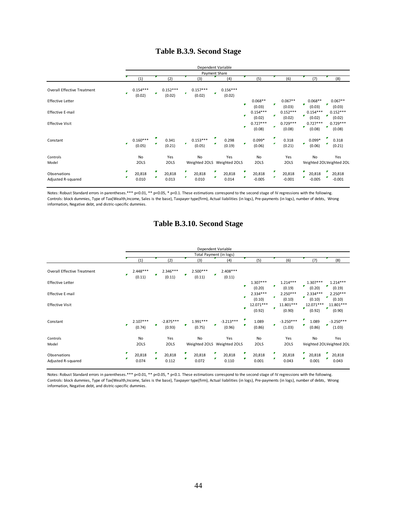#### **Table B.3.9. Second Stage**

|                                    |    |                      |    |                      |        | Dependent Variable         |   |                      |          |                      |    |                      |              |                      |                                  |
|------------------------------------|----|----------------------|----|----------------------|--------|----------------------------|---|----------------------|----------|----------------------|----|----------------------|--------------|----------------------|----------------------------------|
|                                    |    |                      |    |                      |        | Payment Share              |   |                      |          |                      |    |                      |              |                      |                                  |
|                                    |    | (1)                  |    | (2)                  |        | (3)                        |   | (4)                  |          | (5)                  |    | (6)                  |              | (7)                  | (8)                              |
| <b>Overall Effective Treatment</b> | п  | $0.154***$<br>(0.02) | P. | $0.152***$<br>(0.02) | F.     | $0.157***$<br>(0.02)       | Р | $0.156***$<br>(0.02) |          |                      |    |                      |              |                      |                                  |
| <b>Effective Letter</b>            |    |                      |    |                      |        |                            |   |                      | и        | $0.068**$<br>(0.03)  | P  | $0.067**$<br>(0.03)  | $\mathbf{r}$ | $0.068**$<br>(0.03)  | $0.067**$<br>(0.03)              |
| <b>Effective E-mail</b>            |    |                      |    |                      |        |                            |   |                      | <b>P</b> | $0.154***$<br>(0.02) | И  | $0.152***$<br>(0.02) | ×            | $0.154***$<br>(0.02) | $0.152***$<br>(0.02)             |
| <b>Effective Visit</b>             |    |                      |    |                      |        |                            |   |                      | P        | $0.727***$<br>(0.08) | P. | $0.729***$<br>(0.08) | п            | $0.727***$<br>(0.08) | $0.729***$<br>(0.08)             |
| Constant                           | P. | $0.160***$<br>(0.05) | ₽  | 0.341<br>(0.21)      | ₹.     | $0.153***$<br>(0.05)       | P | 0.298<br>(0.19)      | P.       | $0.099*$<br>(0.06)   | P  | 0.318<br>(0.21)      | $\mathbf{r}$ | $0.099*$<br>(0.06)   | 0.318<br>(0.21)                  |
| Controls<br>Model                  |    | <b>No</b><br>2OLS    |    | Yes<br>20LS          |        | <b>No</b><br>Weighted 20LS |   | Yes<br>Weighted 20LS |          | <b>No</b><br>20LS    |    | Yes<br>20LS          |              | No                   | Yes<br>Veighted 2OLVeighted 2OL: |
| Observations<br>Adjusted R-squared | Р  | 20,818<br>0.010      |    | 20,818<br>0.013      | r<br>P | 20,818<br>0.010            | Р | 20,818<br>0.014      | v<br>P   | 20,818<br>$-0.005$   |    | 20,818<br>$-0.001$   | г            | 20,818<br>$-0.005$   | 20,818<br>$-0.001$               |

Notes: Robust Standard errors in parentheses.\*\*\* p<0.01, \*\* p<0.05, \* p<0.1. These estimations correspond to the second stage of IV regressions with the following. Controls: block dummies, Type of Tax(Wealth,Income, Sales is the base), Taxpayer type(firm), Actual liabilities (in logs), Pre-payments (in logs), number of debts, Wrong information, Negative debt, and distric-specific dummies.

#### **Table B.3.10. Second Stage**

|                                    |   |                      |    |                       |        | Dependent Variable      |    |                       |              |                      |    |                       |    |                      |   |                                  |
|------------------------------------|---|----------------------|----|-----------------------|--------|-------------------------|----|-----------------------|--------------|----------------------|----|-----------------------|----|----------------------|---|----------------------------------|
|                                    |   |                      |    |                       |        | Total Payment (in logs) |    |                       |              |                      |    |                       |    |                      |   |                                  |
|                                    |   | (1)                  |    | (2)                   |        | (3)                     |    | (4)                   |              | (5)                  |    | (6)                   |    | (7)                  |   | (8)                              |
| <b>Overall Effective Treatment</b> | ٠ | $2.448***$<br>(0.11) | ×  | $2.346***$<br>(0.11)  | P.     | $2.500***$<br>(0.11)    | P. | $2.408***$<br>(0.11)  |              |                      |    |                       |    |                      |   |                                  |
| <b>Effective Letter</b>            |   |                      |    |                       |        |                         |    |                       | ×            | $1.307***$<br>(0.20) | ×  | $1.214***$<br>(0.19)  | п. | $1.307***$<br>(0.20) | × | $1.214***$<br>(0.19)             |
| Effective E-mail                   |   |                      |    |                       |        |                         |    |                       | $\mathbf{r}$ | $2.334***$<br>(0.10) | ۰  | $2.250***$<br>(0.10)  | ×. | $2.334***$<br>(0.10) |   | $2.250***$<br>(0.10)             |
| <b>Effective Visit</b>             |   |                      |    |                       |        |                         |    |                       | ×            | 12.071***<br>(0.92)  | ×. | 11.801***<br>(0.90)   |    | 12.071***<br>(0.92)  |   | 11.801***<br>(0.90)              |
| Constant                           | ٠ | $2.107***$<br>(0.74) | ×. | $-2.875***$<br>(0.93) | P.     | $1.991***$<br>(0.75)    | P. | $-3.213***$<br>(0.96) | ×            | 1.089<br>(0.86)      | v. | $-3.250***$<br>(1.03) | ×  | 1.089<br>(0.86)      |   | $-3.250***$<br>(1.03)            |
| Controls<br>Model                  |   | No<br>20LS           |    | Yes<br>20LS           |        | No<br>Weighted 20LS     |    | Yes<br>Weighted 20LS  |              | No<br>20LS           |    | Yes<br>2OLS           |    | No                   |   | Yes<br>Veighted 2OLVeighted 2OL: |
| Observations<br>Adjusted R-squared |   | 20,818<br>0.074      |    | 20,818<br>0.112       | σ<br>ø | 20,818<br>0.072         | P  | 20,818<br>0.110       | ×<br>×       | 20,818<br>0.001      |    | 20,818<br>0.043       | ₽  | 20,818<br>0.001      |   | 20,818<br>0.043                  |

Notes: Robust Standard errors in parentheses.\*\*\* p<0.01, \*\* p<0.05, \* p<0.1. These estimations correspond to the second stage of IV regressions with the following. Controls: block dummies, Type of Tax(Wealth,Income, Sales is the base), Taxpayer type(firm), Actual liabilities (in logs), Pre-payments (in logs), number of debts, Wrong information, Negative debt, and distric-specific dummies.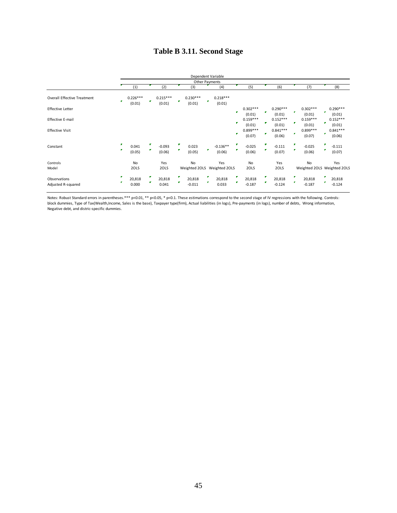# **Table B 3.11. Second Stage**

|                                    |                      |                      |        |                      |        | Dependent Variable   |              |                      |                                |   |                                |        |                                |          |                                |
|------------------------------------|----------------------|----------------------|--------|----------------------|--------|----------------------|--------------|----------------------|--------------------------------|---|--------------------------------|--------|--------------------------------|----------|--------------------------------|
|                                    |                      |                      |        |                      |        | Other Payments       |              |                      |                                |   |                                |        |                                |          |                                |
|                                    |                      | (1)                  |        | (2)                  |        | (3)                  |              | (4)                  | (5)                            |   | (6)                            |        | (7)                            |          | (8)                            |
| <b>Overall Effective Treatment</b> | ×                    | $0.226***$<br>(0.01) | v      | $0.215***$<br>(0.01) | P      | $0.230***$<br>(0.01) | $\mathbf{r}$ | $0.218***$<br>(0.01) |                                |   |                                |        |                                |          |                                |
| <b>Effective Letter</b>            |                      |                      |        |                      |        |                      |              |                      | $0.302***$                     |   | $0.290***$                     |        | $0.302***$                     |          | $0.290***$                     |
| <b>Effective E-mail</b>            |                      |                      |        |                      |        |                      |              |                      | (0.01)<br>$0.159***$<br>(0.01) | v | (0.01)<br>$0.152***$<br>(0.01) | ×<br>▼ | (0.01)<br>$0.159***$<br>(0.01) | v.<br>v. | (0.01)<br>$0.152***$<br>(0.01) |
| <b>Effective Visit</b>             |                      |                      |        |                      |        |                      |              |                      | $0.899***$                     |   | $0.841***$                     | v      | $0.899***$                     | v.       | $0.841***$                     |
|                                    |                      |                      |        |                      |        |                      |              |                      | (0.07)                         |   | (0.06)                         |        | (0.07)                         |          | (0.06)                         |
| Constant                           | $\blacksquare$<br>P. | 0.041<br>(0.05)      | ٠<br>× | $-0.093$<br>(0.06)   | F<br>P | 0.023<br>(0.05)      | $\mathbf{r}$ | $-0.136**$<br>(0.06) | $-0.025$<br>(0.06)             | Р | $-0.111$<br>(0.07)             | P<br>P | $-0.025$<br>(0.06)             | ø.<br>P. | $-0.111$<br>(0.07)             |
| Controls                           |                      | No                   |        | Yes                  |        | No                   |              | Yes                  | <b>No</b>                      |   | Yes                            |        | No                             |          | Yes                            |
| Model                              |                      | 20LS                 |        | 20LS                 |        | Weighted 20LS        |              | Weighted 20LS        | 20LS                           |   | 20LS                           |        |                                |          | Weighted 2OLS Weighted 2OLS    |
| Observations<br>Adjusted R-squared | v<br>п               | 20,818<br>0.000      | v      | 20,818<br>0.041      | v<br>г | 20,818<br>$-0.011$   | P<br>п       | 20,818<br>0.033      | 20,818<br>$-0.187$             |   | 20,818<br>$-0.124$             | P      | 20,818<br>$-0.187$             | σ<br>r.  | 20,818<br>$-0.124$             |

Notes: Robust Standard errors in parentheses.\*\*\* p<0.01, \*\* p<0.05, \* p<0.1. These estimations correspond to the second stage of IV regressions with the following. Controls: block dummies, Type of Tax(Wealth,Income, Sales is the base), Taxpayer type(firm), Actual liabilities (in logs), Pre-payments (in logs), number of debts, Wrong information, Negative debt, and distric-specific dummies.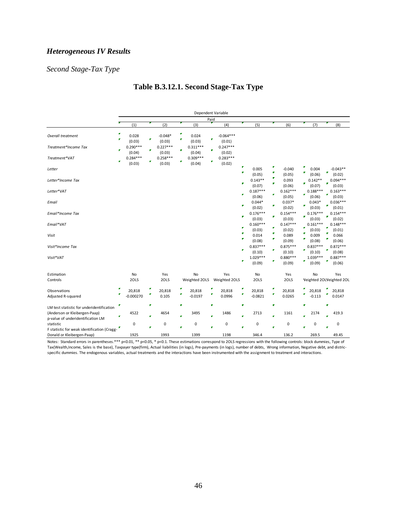## *Heterogeneous IV Results*

## *Second Stage-Tax Type*

|                                                                    |                       |                |                      |        | Dependent Variable   |        |                       |              |                                |              |                                |        |                                |    |                                |
|--------------------------------------------------------------------|-----------------------|----------------|----------------------|--------|----------------------|--------|-----------------------|--------------|--------------------------------|--------------|--------------------------------|--------|--------------------------------|----|--------------------------------|
|                                                                    |                       |                |                      |        |                      | Paid   |                       |              |                                |              |                                |        |                                |    |                                |
|                                                                    | (1)                   |                | (2)                  |        | (3)                  |        | (4)                   |              | (5)                            |              | (6)                            |        | (7)                            |    | (8)                            |
| Overall treatment                                                  | 0.028<br>(0.03)       | $\mathbf{r}$   | $-0.048*$<br>(0.03)  | ė      | 0.024<br>(0.03)      | Ŷ,     | $-0.064***$<br>(0.01) |              |                                |              |                                |        |                                |    |                                |
| Treatment*Income Tax                                               | $0.290***$<br>(0.04)  | ×              | $0.227***$<br>(0.03) | ×,     | $0.311***$<br>(0.04) | z      | $0.247***$<br>(0.02)  |              |                                |              |                                |        |                                |    |                                |
| Treatment*VAT                                                      | $0.284***$<br>(0.03)  | $\blacksquare$ | $0.258***$<br>(0.03) | P      | $0.309***$<br>(0.04) | F      | $0.283***$<br>(0.02)  |              |                                |              |                                |        |                                |    |                                |
| Letter                                                             |                       |                |                      |        |                      |        |                       | P            | 0.005<br>(0.05)                |              | $-0.040$<br>(0.05)             |        | 0.004<br>(0.06)                | v  | $-0.043**$<br>(0.02)           |
| Letter*Income Tax                                                  |                       |                |                      |        |                      |        |                       |              | $0.143**$<br>(0.07)            |              | 0.093<br>(0.06)                | P.     | $0.142**$<br>(0.07)            | ×. | $0.094***$<br>(0.03)           |
| Letter*VAT                                                         |                       |                |                      |        |                      |        |                       | F            | $0.187***$<br>(0.06)           | r            | $0.162***$<br>(0.05)           | г      | $0.188***$<br>(0.06)           |    | $0.163***$<br>(0.03)           |
| Email                                                              |                       |                |                      |        |                      |        |                       |              | $0.044*$<br>(0.02)             |              | $0.037*$<br>(0.02)             |        | $0.043*$<br>(0.03)             |    | $0.036***$<br>(0.01)           |
| Email*Income Tax                                                   |                       |                |                      |        |                      |        |                       |              | $0.176***$<br>(0.03)           | $\mathbf{r}$ | $0.154***$<br>(0.03)           | F.     | $0.176***$<br>(0.03)           |    | $0.154***$<br>(0.02)           |
| Email*VAT                                                          |                       |                |                      |        |                      |        |                       |              | $0.160***$<br>(0.03)           | ×            | $0.147***$<br>(0.02)           |        | $0.161***$<br>(0.03)           |    | $0.148***$<br>(0.01)           |
| Visit                                                              |                       |                |                      |        |                      |        |                       |              | 0.014<br>(0.08)                |              | 0.089<br>(0.09)                |        | 0.009<br>(0.08)                |    | 0.066<br>(0.06)                |
| Visit*Income Tax                                                   |                       |                |                      |        |                      |        |                       |              | $0.837***$                     |              | $0.875***$                     |        | $0.837***$                     |    | $0.872***$                     |
| Visit*VAT                                                          |                       |                |                      |        |                      |        |                       |              | (0.10)<br>$1.029***$<br>(0.09) |              | (0.10)<br>$0.880***$<br>(0.09) | v      | (0.10)<br>$1.039***$<br>(0.09) |    | (0.08)<br>$0.887***$<br>(0.06) |
| Estimation                                                         | No                    |                | Yes                  |        | No                   |        | Yes                   |              | No                             |              | Yes                            |        | <b>No</b>                      |    | Yes                            |
| Controls                                                           | 20LS                  |                | 20LS                 |        | Weighted 20LS        |        | Weighted 20LS         |              | 20LS                           |              | 20LS                           |        | Veighted 2OLVeighted 2OL       |    |                                |
| Observations<br>Adjusted R-squared                                 | 20,818<br>$-0.000270$ | ×<br>P         | 20,818<br>0.105      | ν<br>Г | 20,818<br>$-0.0197$  | F<br>r | 20,818<br>0.0996      | F<br>Р       | 20,818<br>$-0.0821$            | v<br>P       | 20,818<br>0.0265               | v<br>P | 20,818<br>$-0.113$             | ₽  | 20,818<br>0.0147               |
|                                                                    |                       |                |                      |        |                      |        |                       |              |                                |              |                                |        |                                |    |                                |
| LM test statistic for underidentification                          |                       | ×              |                      | r.     |                      | F      |                       | P.           |                                | r.           |                                | ×      |                                |    |                                |
| (Anderson or Kleibergen-Paap)<br>p-value of underidentification LM | 4522                  |                | 4654                 | P      | 3495                 | r      | 1486                  | $\mathbf{r}$ | 2713                           |              | 1161                           |        | 2174                           | P. | 419.3                          |
| statistic<br>F statistic for weak identification (Cragg-           | 0                     | ×              | 0                    | z      | 0                    | Ř.     | 0                     | z            | 0                              |              | 0                              | ×      | 0                              |    | 0                              |
| Donald or Kleibergen-Paap)                                         | 1925                  |                | 1993                 |        | 1399                 |        | 1198                  |              | 346.4                          |              | 136.2                          |        | 269.5                          |    | 49.45                          |

## **Table B.3.12.1. Second Stage-Tax Type**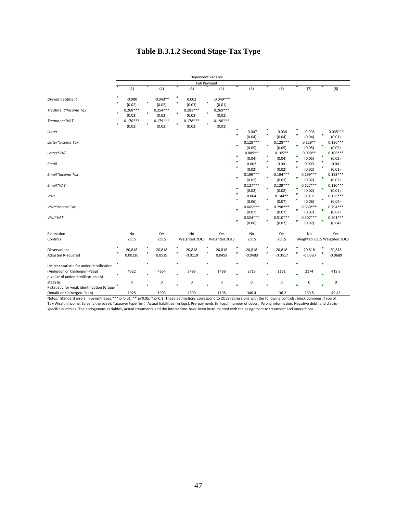# **Table B.3.1.2 Second Stage-Tax Type**

|                                                                    |    |                      |              |                      |        | Dependent variable         |                |                       |   |                      |              |                      |   |                      |   |                                    |
|--------------------------------------------------------------------|----|----------------------|--------------|----------------------|--------|----------------------------|----------------|-----------------------|---|----------------------|--------------|----------------------|---|----------------------|---|------------------------------------|
|                                                                    |    |                      |              |                      |        | <b>Full Payment</b>        |                |                       |   |                      |              |                      |   |                      |   |                                    |
|                                                                    |    | (1)                  |              | (2)                  |        | (3)                        |                | (4)                   |   | (5)                  |              | (6)                  |   | (7)                  |   | (8)                                |
| Overall treatment                                                  | v  | $-0.000$<br>(0.02)   | v.           | $-0.043**$<br>(0.02) | ×      | 0.002<br>(0.03)            | $\blacksquare$ | $-0.049***$<br>(0.01) |   |                      |              |                      |   |                      |   |                                    |
| Treatment*Income Tax                                               | И  | $0.268***$<br>(0.03) | P.           | $0.254***$<br>(0.03) | P.     | $0.281***$<br>(0.03)       | ×              | $0.269***$<br>(0.02)  |   |                      |              |                      |   |                      |   |                                    |
| Treatment*VAT                                                      | P. | $0.170***$<br>(0.02) | P.           | $0.179***$<br>(0.02) | P.     | $0.178***$<br>(0.03)       | r              | $0.190***$<br>(0.01)  |   |                      |              |                      |   |                      |   |                                    |
| Letter                                                             |    |                      |              |                      |        |                            |                |                       | п | $-0.007$<br>(0.04)   | v            | $-0.034$<br>(0.04)   |   | $-0.006$<br>(0.04)   |   | $-0.035***$<br>(0.01)              |
| Letter*Income Tax                                                  |    |                      |              |                      |        |                            |                |                       | × | $0.128***$<br>(0.05) | ν.           | $0.128***$<br>(0.05) |   | $0.129**$<br>(0.05)  | v | $0.130***$<br>(0.03)               |
| Letter*VAT                                                         |    |                      |              |                      |        |                            |                |                       |   | $0.089**$<br>(0.04)  | P.           | $0.105**$<br>(0.04)  | × | $0.090**$<br>(0.05)  | v | $0.108***$<br>(0.02)               |
| Email                                                              |    |                      |              |                      |        |                            |                |                       |   | 0.002<br>(0.02)      | Ř.<br>ż      | $-0.001$<br>(0.02)   |   | 0.003<br>(0.02)      |   | $-0.001$<br>(0.01)                 |
| Email*Income Tax                                                   |    |                      |              |                      |        |                            |                |                       | × | $0.199***$<br>(0.02) | ۰            | $0.194***$<br>(0.02) |   | $0.199***$<br>(0.02) |   | $0.193***$<br>(0.02)               |
| Email*VAT                                                          |    |                      |              |                      |        |                            |                |                       | × | $0.127***$<br>(0.02) | P.           | $0.129***$<br>(0.02) |   | $0.127***$<br>(0.02) | × | $0.130***$<br>(0.01)               |
| Visit                                                              |    |                      |              |                      |        |                            |                |                       | в | 0.004<br>(0.06)      | P.           | $0.144**$<br>(0.07)  |   | 0.012<br>(0.06)      | v | $0.138***$<br>(0.04)               |
| Visit*Income Tax                                                   |    |                      |              |                      |        |                            |                |                       | v | $0.665***$<br>(0.07) | v.           | $0.798***$<br>(0.07) |   | $0.660***$<br>(0.07) | × | $0.794***$<br>(0.07)               |
| Visit*VAT                                                          |    |                      |              |                      |        |                            |                |                       | ٠ | $0.524***$<br>(0.06) | ۰            | $0.510***$<br>(0.07) |   | $0.507***$<br>(0.07) |   | $0.501***$<br>(0.04)               |
| Estimation<br>Controls                                             |    | No<br>20LS           |              | Yes<br>20LS          |        | <b>No</b><br>Weighted 20LS |                | Yes<br>Weighted 20LS  |   | No<br>20LS           |              | Yes<br>20LS          |   | <b>No</b>            |   | Yes<br>Weighted 20LS Weighted 20LS |
| Observations<br>Adjusted R-squared                                 | v, | 20,818<br>0.00216    |              | 20,818<br>0.0519     | P<br>ż | 20,818<br>$-0.0119$        | z<br>×         | 20,818<br>0.0459      |   | 20,818<br>$-0.0483$  | ×<br>P.      | 20,818<br>$-0.0517$  |   | 20,818<br>$-0.0690$  | v | 20,818<br>$-0.0689$                |
| LM test statistic for underidentification                          |    |                      | $\mathbf{r}$ |                      | P.     |                            | п              |                       | × |                      | $\mathbf{r}$ |                      |   |                      | × |                                    |
| (Anderson or Kleibergen-Paap)<br>p-value of underidentification LM |    | 4522                 |              | 4654                 | ×,     | 3495                       |                | 1486                  |   | 2713                 | Ř,           | 1161                 |   | 2174                 |   | 419.3                              |
| statistic<br>F statistic for weak identification (Cragg-           |    | 0                    |              | 0                    | ×      | 0                          | ×              | 0                     |   | 0                    | ×,           | 0                    |   | 0                    |   | 0                                  |
|                                                                    |    |                      |              |                      |        |                            |                |                       |   |                      |              |                      |   |                      |   |                                    |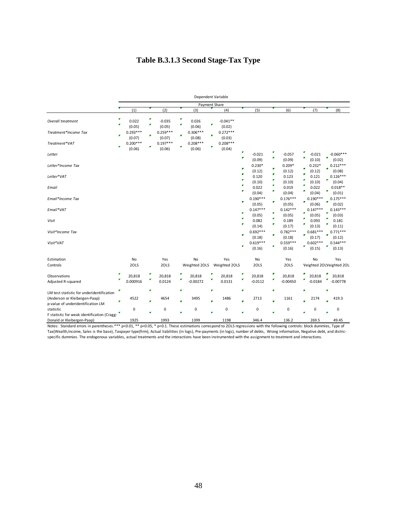### **Table B.3.1.3 Second Stage-Tax Type**

|                                                                    |                      |                |                      |        | Dependent Variable   |    |                      |                         |                                |   |                                |        |                                |    |                                |
|--------------------------------------------------------------------|----------------------|----------------|----------------------|--------|----------------------|----|----------------------|-------------------------|--------------------------------|---|--------------------------------|--------|--------------------------------|----|--------------------------------|
|                                                                    |                      |                |                      |        | Payment Share        |    |                      |                         |                                |   |                                |        |                                |    |                                |
|                                                                    | (1)                  |                | (2)                  |        | (3)                  |    | (4)                  |                         | (5)                            |   | (6)                            |        | (7)                            |    | (8)                            |
| Overall treatment                                                  | 0.022<br>(0.05)      | ×              | $-0.035$<br>(0.05)   | P.     | 0.026<br>(0.06)      | P. | $-0.041**$<br>(0.02) |                         |                                |   |                                |        |                                |    |                                |
| Treatment*Income Tax                                               | $0.293***$<br>(0.07) | ,              | $0.259***$<br>(0.07) | г      | $0.306***$<br>(0.08) |    | $0.272***$<br>(0.03) |                         |                                |   |                                |        |                                |    |                                |
| Treatment*VAT                                                      | $0.200***$<br>(0.06) | P.             | $0.197***$<br>(0.06) | ø      | $0.208***$<br>(0.06) | P  | $0.208***$<br>(0.04) |                         |                                |   |                                |        |                                |    |                                |
| Letter                                                             |                      |                |                      |        |                      |    |                      |                         | $-0.021$<br>(0.09)             |   | $-0.057$<br>(0.09)             |        | $-0.021$<br>(0.10)             |    | $-0.060***$<br>(0.02)          |
| Letter*Income Tax                                                  |                      |                |                      |        |                      |    |                      |                         | $0.230*$<br>(0.12)             |   | $0.209*$<br>(0.12)             |        | $0.232*$<br>(0.12)             |    | $0.212***$<br>(0.08)           |
| Letter*VAT                                                         |                      |                |                      |        |                      |    |                      |                         | 0.120                          |   | 0.123                          |        | 0.121                          |    | $0.126***$                     |
| Email                                                              |                      |                |                      |        |                      |    |                      |                         | (0.10)<br>0.022<br>(0.04)      |   | (0.10)<br>0.019<br>(0.04)      |        | (0.10)<br>0.022<br>(0.04)      |    | (0.04)<br>$0.018**$<br>(0.01)  |
| Email*Income Tax                                                   |                      |                |                      |        |                      |    |                      | ×                       | $0.190***$<br>(0.05)           | ٠ | $0.176***$<br>(0.05)           | ۰      | $0.190***$<br>(0.06)           |    | $0.175***$<br>(0.02)           |
| Email*VAT                                                          |                      |                |                      |        |                      |    |                      |                         | $0.147***$<br>(0.05)           | × | $0.142***$<br>(0.05)           | ×      | $0.147***$<br>(0.05)           |    | $0.143***$<br>(0.03)           |
| Visit                                                              |                      |                |                      |        |                      |    |                      |                         | 0.082<br>(0.14)                |   | 0.189<br>(0.17)                | п      | 0.093<br>(0.13)                |    | 0.181<br>(0.11)                |
| Visit*Income Tax                                                   |                      |                |                      |        |                      |    |                      | P                       | $0.692***$                     | × | $0.782***$                     | ₽      | $0.681***$<br>(0.17)           |    | $0.771***$                     |
| Visit*VAT                                                          |                      |                |                      |        |                      |    |                      | P.                      | (0.18)<br>$0.619***$<br>(0.16) | × | (0.18)<br>$0.559***$<br>(0.16) | P.     | $0.602***$<br>(0.15)           | ×. | (0.12)<br>$0.544***$<br>(0.13) |
| Estimation<br>Controls                                             | No<br>2OLS           |                | Yes<br>20LS          |        | No<br>Weighted 20LS  |    | Yes<br>Weighted 20LS |                         | No<br>20LS                     |   | Yes<br>20LS                    |        | No<br>Veighted 2OLVeighted 2OL |    | Yes                            |
| Observations<br>Adjusted R-squared                                 | 20,818<br>0.000916   | ₽<br>×         | 20,818<br>0.0124     | F<br>P | 20,818<br>$-0.00272$ |    | 20,818<br>0.0131     | ۳                       | 20,818<br>$-0.0112$            |   | 20,818<br>$-0.00450$           | v<br>P | 20,818<br>$-0.0184$            |    | 20,818<br>$-0.00778$           |
| LM test statistic for underidentification                          |                      | $\blacksquare$ |                      | F      |                      | þ, |                      | $\overline{\mathbf{r}}$ |                                |   |                                | P.     |                                | P. |                                |
| (Anderson or Kleibergen-Paap)<br>p-value of underidentification LM | 4522                 |                | 4654                 | Р      | 3495                 |    | 1486                 | $\mathbf{r}$            | 2713                           |   | 1161                           | P      | 2174                           |    | 419.3                          |
| statistic<br>F statistic for weak identification (Cragg-           | 0                    | ×              | 0                    | P.     | 0                    | ×  | 0                    | P.                      | 0                              |   | 0                              | ×      | 0                              |    | 0                              |
| Donald or Kleibergen-Paap)                                         | 1925                 |                | 1993                 |        | 1399                 |    | 1198                 |                         | 346.4                          |   | 136.2                          |        | 269.5                          |    | 49.45                          |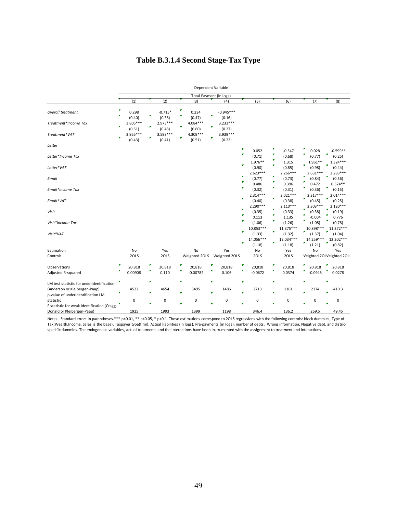### **Table B.3.1.4 Second Stage-Tax Type**

|                                                                    |                      |                |                      |   | Dependent Variable            |        |                       |              |                              |   |                              |    |                                 |            |                              |
|--------------------------------------------------------------------|----------------------|----------------|----------------------|---|-------------------------------|--------|-----------------------|--------------|------------------------------|---|------------------------------|----|---------------------------------|------------|------------------------------|
|                                                                    |                      |                |                      |   | <b>Total Payment (in logs</b> |        |                       |              |                              |   |                              |    |                                 |            |                              |
|                                                                    | (1)                  |                | (2)                  |   | (3)                           |        | (4)                   |              | (5)                          |   | (6)                          |    | (7)                             |            | (8)                          |
| <b>Overall treatment</b>                                           | 0.298<br>(0.40)      | P              | $-0.715*$<br>(0.38)  |   | 0.234<br>(0.47)               | P,     | $-0.945***$<br>(0.16) |              |                              |   |                              |    |                                 |            |                              |
| Treatment*Income Tax                                               | $3.805***$<br>(0.51) | $\blacksquare$ | $2.973***$<br>(0.48) | P | 4.084***<br>(0.60)            | P      | $3.233***$<br>(0.27)  |              |                              |   |                              |    |                                 |            |                              |
| Treatment*VAT                                                      | $3.955***$<br>(0.43) | P              | $3.598***$<br>(0.41) | Г | $4.309***$<br>(0.51)          | v      | 3.939 ***<br>(0.22)   |              |                              |   |                              |    |                                 |            |                              |
| Letter                                                             |                      |                |                      |   |                               |        |                       |              | 0.052                        |   | $-0.547$                     |    | 0.028                           |            | $-0.599**$                   |
| Letter*Income Tax                                                  |                      |                |                      |   |                               |        |                       |              | (0.71)<br>1.976**            |   | (0.68)<br>1.315              |    | (0.77)<br>$1.961**$             | $1.324***$ | (0.25)                       |
| Letter*VAT                                                         |                      |                |                      |   |                               |        |                       |              | (0.90)                       |   | (0.85)                       |    | (0.98)                          |            | (0.44)                       |
| Email                                                              |                      |                |                      |   |                               |        |                       |              | $2.623***$<br>(0.77)         |   | $2.266***$<br>(0.73)         |    | $2.631***$<br>(0.84)            |            | $2.283***$<br>(0.36)         |
| Email*Income Tax                                                   |                      |                |                      |   |                               |        |                       |              | 0.486<br>(0.32)              |   | 0.396<br>(0.31)              |    | 0.472<br>(0.36)                 |            | $0.374**$<br>(0.15)          |
| Email*VAT                                                          |                      |                |                      |   |                               |        |                       |              | $2.314***$<br>(0.40)         |   | $2.021***$<br>(0.38)         | P. | $2.317***$<br>(0.45)            |            | $2.014***$<br>(0.25)         |
| Visit                                                              |                      |                |                      |   |                               |        |                       |              | $2.290***$<br>(0.35)         | F | $2.110***$<br>(0.33)         | P  | $2.303***$<br>(0.38)            | $2.120***$ | (0.19)                       |
| Visit*Income Tax                                                   |                      |                |                      |   |                               |        |                       | v            | 0.113<br>(1.06)<br>10.853*** |   | 1.135<br>(1.26)<br>11.375*** | v  | $-0.004$<br>(1.08)<br>10.898*** |            | 0.776<br>(0.78)<br>11.372*** |
| Visit*VAT                                                          |                      |                |                      |   |                               |        |                       | P            | (1.33)<br>14.056***          | D | (1.32)<br>12.034***          |    | (1.37)<br>14.259***             |            | (1.04)<br>12.202***          |
| Estimation                                                         | No                   |                | Yes                  |   | No                            |        | Yes                   |              | (1.18)<br>No                 |   | (1.18)<br>Yes                | v  | (1.21)<br><b>No</b>             |            | (0.82)<br>Yes                |
| Controls                                                           | 20LS                 |                | 20LS                 |   | Weighted 20LS                 |        | Weighted 20LS         |              | 20LS                         |   | 20LS                         |    | Veighted 2OLVeighted 2OL        |            |                              |
| Observations<br>Adjusted R-squared                                 | 20,818<br>0.00908    | ×<br>×         | 20,818<br>0.110      | P | 20,818<br>$-0.00782$          | ø<br>P | 20,818<br>0.106       | ۳            | 20,818<br>$-0.0672$          | × | 20,818<br>0.0374             | ×  | 20,818<br>$-0.0945$             |            | 20,818<br>0.0278             |
| LM test statistic for underidentification                          |                      | ×              |                      | P |                               | ÿ,     |                       | $\mathbf{r}$ |                              | × |                              | ×  |                                 | F.         |                              |
| (Anderson or Kleibergen-Paap)<br>p-value of underidentification LM | 4522                 |                | 4654                 |   | 3495                          | ×      | 1486                  | P.           | 2713                         |   | 1161                         |    | 2174                            | v.         | 419.3                        |
| statistic<br>F statistic for weak identification (Cragg-           | 0                    | ٠              | 0                    | v | 0                             | ×      | 0                     |              | 0                            |   | 0                            |    | 0                               |            | 0                            |
| Donald or Kleibergen-Paap)                                         | 1925                 |                | 1993                 |   | 1399                          |        | 1198                  |              | 346.4                        |   | 136.2                        |    | 269.5                           |            | 49.45                        |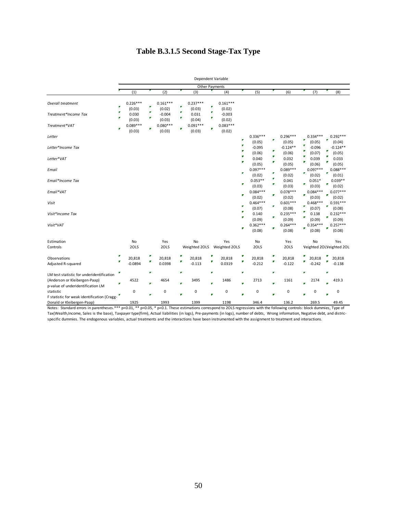# **Table B.3.1.5 Second Stage-Tax Type**

|                                                                    |                                |                |                                  |        | Dependent Variable             |        |                                  |        |                                |                |                                |         |                                       |    |                                |
|--------------------------------------------------------------------|--------------------------------|----------------|----------------------------------|--------|--------------------------------|--------|----------------------------------|--------|--------------------------------|----------------|--------------------------------|---------|---------------------------------------|----|--------------------------------|
|                                                                    |                                |                |                                  |        | <b>Other Payments</b>          |        |                                  |        |                                |                |                                |         |                                       |    |                                |
|                                                                    | (1)                            |                | (2)                              |        | (3)                            |        | (4)                              |        | (5)                            |                | (6)                            |         | (7)                                   |    | (8)                            |
| <b>Overall treatment</b><br>Treatment*Income Tax                   | $0.226***$<br>(0.03)<br>0.030  | ×              | $0.161***$<br>(0.02)<br>$-0.004$ | ۳<br>P | $0.237***$<br>(0.03)<br>0.031  | F<br>× | $0.161***$<br>(0.02)<br>$-0.003$ |        |                                |                |                                |         |                                       |    |                                |
| Treatment*VAT                                                      | (0.03)<br>$0.089***$<br>(0.03) | ×              | (0.03)<br>$0.080***$<br>(0.03)   | v      | (0.04)<br>$0.091***$<br>(0.03) | Γ      | (0.02)<br>$0.083***$<br>(0.02)   |        |                                |                |                                |         |                                       |    |                                |
| Letter                                                             |                                |                |                                  |        |                                |        |                                  |        | $0.336***$                     | $\blacksquare$ | $0.296***$                     | ×       | $0.334***$                            |    | $0.292***$                     |
| Letter*Income Tax                                                  |                                |                |                                  |        |                                |        |                                  |        | (0.05)<br>$-0.095$<br>(0.06)   | Р              | (0.05)<br>$-0.124**$<br>(0.06) |         | (0.05)<br>$-0.096$<br>(0.07)          |    | (0.04)<br>$-0.124**$<br>(0.05) |
| Letter*VAT                                                         |                                |                |                                  |        |                                |        |                                  |        | 0.040                          |                | 0.032                          |         | 0.039                                 |    | 0.033                          |
| Email                                                              |                                |                |                                  |        |                                |        |                                  | ×      | (0.05)<br>$0.097***$<br>(0.02) | п              | (0.05)<br>$0.089***$<br>(0.02) | ۰       | (0.06)<br>$0.097***$<br>(0.02)        | P. | (0.05)<br>$0.088***$<br>(0.01) |
| Email*Income Tax                                                   |                                |                |                                  |        |                                |        |                                  |        | $0.053**$<br>(0.03)            |                | 0.041<br>(0.03)                |         | $0.051*$<br>(0.03)                    |    | $0.039**$<br>(0.02)            |
| Email*VAT                                                          |                                |                |                                  |        |                                |        |                                  |        | $0.084***$<br>(0.02)           | ×              | $0.078***$<br>(0.02)           | P.      | $0.084***$<br>(0.03)                  |    | $0.077***$<br>(0.02)           |
| Visit                                                              |                                |                |                                  |        |                                |        |                                  |        | $0.464***$                     | P              | $0.601***$                     | ₽       | $0.468***$<br>(0.07)                  | ₽  | $0.591***$<br>(0.08)           |
| Visit*Income Tax                                                   |                                |                |                                  |        |                                |        |                                  |        | (0.07)<br>0.140                |                | (0.08)<br>$0.235***$           |         | 0.138                                 |    | $0.232***$                     |
| Visit*VAT                                                          |                                |                |                                  |        |                                |        |                                  | P.     | (0.09)<br>$0.362***$<br>(0.08) | $\mathbf{r}$   | (0.09)<br>$0.264***$<br>(0.08) | P       | (0.09)<br>$0.354***$<br>(0.08)        | P. | (0.09)<br>$0.257***$<br>(0.08) |
| Estimation<br>Controls                                             | No<br>20LS                     |                | Yes<br>20LS                      |        | No<br>Weighted 20LS            |        | Yes<br>Weighted 20LS             |        | No<br>20LS                     |                | Yes<br>20LS                    |         | <b>No</b><br>Veighted 2OLVeighted 2OL |    | Yes                            |
| Observations<br>Adjusted R-squared                                 | 20,818<br>$-0.0894$            | P<br>P         | 20,818<br>0.0398                 | z<br>F | 20,818<br>$-0.113$             | v<br>v | 20,818<br>0.0319                 | P<br>P | 20,818<br>$-0.212$             | ×              | 20,818<br>$-0.122$             | v<br>×, | 20,818<br>$-0.242$                    |    | 20,818<br>$-0.138$             |
| LM test statistic for underidentification                          |                                | $\blacksquare$ |                                  | F.     |                                | F      |                                  | F.     |                                | п              |                                | F.      |                                       | P  |                                |
| (Anderson or Kleibergen-Paap)<br>p-value of underidentification LM | 4522                           |                | 4654                             | v      | 3495                           | ×      | 1486                             | ×      | 2713                           |                | 1161                           | ÷       | 2174                                  | ×, | 419.3                          |
| statistic<br>F statistic for weak identification (Cragg-           | 0                              | D              | 0                                | F      | 0                              | F      | 0                                | Þ      | 0                              |                | 0                              | F.      | 0                                     |    | 0                              |
| Donald or Kleibergen-Paap)                                         | 1925                           |                | 1993                             |        | 1399                           |        | 1198                             |        | 346.4                          |                | 136.2                          |         | 269.5                                 |    | 49.45                          |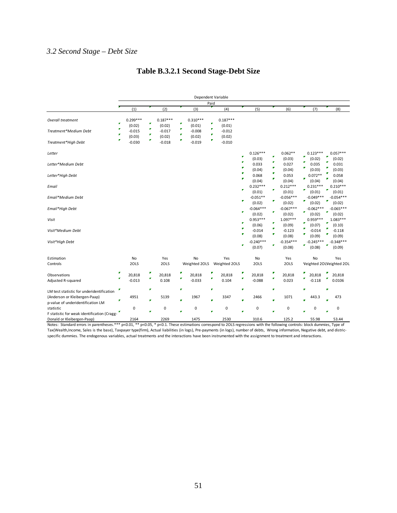## *3.2 Second Stage – Debt Size*

|                                                                    |                                  |                |                                  |   | Dependent Variable               |             |                                            |    |                                         |    |                                        |    |                                         |   |                                         |
|--------------------------------------------------------------------|----------------------------------|----------------|----------------------------------|---|----------------------------------|-------------|--------------------------------------------|----|-----------------------------------------|----|----------------------------------------|----|-----------------------------------------|---|-----------------------------------------|
|                                                                    |                                  |                |                                  |   |                                  | Paid        |                                            |    |                                         |    |                                        |    |                                         |   |                                         |
|                                                                    | (1)                              |                | (2)                              |   | (3)                              |             | (4)                                        |    | (5)                                     |    | (6)                                    |    | (7)                                     |   | (8)                                     |
| <b>Overall treatment</b><br>Treatment*Medium Debt                  | $0.299***$<br>(0.02)<br>$-0.015$ | ×<br>×<br>×    | $0.187***$<br>(0.02)<br>$-0.017$ | ۳ | $0.310***$<br>(0.01)<br>$-0.008$ | F<br>P<br>z | $0.187***$<br>(0.01)<br>$-0.012$<br>(0.02) |    |                                         |    |                                        |    |                                         |   |                                         |
| Treatment*High Debt                                                | (0.03)<br>$-0.030$               | ×              | (0.02)<br>$-0.018$               |   | (0.02)<br>$-0.019$               | ×           | $-0.010$                                   |    |                                         |    |                                        |    |                                         |   |                                         |
| Letter<br>Letter*Medium Debt                                       |                                  |                |                                  |   |                                  |             |                                            |    | $0.126***$<br>(0.03)<br>0.033<br>(0.04) |    | $0.062**$<br>(0.03)<br>0.027<br>(0.04) |    | $0.123***$<br>(0.02)<br>0.035<br>(0.03) |   | $0.057***$<br>(0.02)<br>0.031<br>(0.03) |
| Letter*High Debt                                                   |                                  |                |                                  |   |                                  |             |                                            |    | 0.068<br>(0.04)                         |    | 0.053<br>(0.04)                        | ×  | $0.072**$<br>(0.04)                     |   | 0.058<br>(0.04)                         |
| Email                                                              |                                  |                |                                  |   |                                  |             |                                            |    | $0.232***$<br>(0.01)                    |    | $0.212***$<br>(0.01)                   |    | $0.231***$<br>(0.01)                    |   | $0.210***$<br>(0.01)                    |
| Email*Medium Debt                                                  |                                  |                |                                  |   |                                  |             |                                            |    | $-0.051**$                              | ×  | $-0.056***$                            | ×  | $-0.049***$                             |   | $-0.054***$                             |
| Email*High Debt                                                    |                                  |                |                                  |   |                                  |             |                                            |    | (0.02)<br>$-0.064***$                   | ×  | (0.02)<br>$-0.067***$                  | P. | (0.02)<br>$-0.062***$                   | × | (0.02)<br>$-0.065***$                   |
| Visit                                                              |                                  |                |                                  |   |                                  |             |                                            |    | (0.02)<br>$0.953***$                    | Р  | (0.02)<br>$1.097***$                   | P  | (0.02)<br>$0.959***$                    |   | (0.02)<br>$1.083***$                    |
| Visit*Medium Debt                                                  |                                  |                |                                  |   |                                  |             |                                            |    | (0.06)<br>$-0.014$                      |    | (0.09)<br>$-0.123$                     |    | (0.07)<br>$-0.014$                      |   | (0.10)<br>$-0.118$                      |
| Visit*High Debt                                                    |                                  |                |                                  |   |                                  |             |                                            | F. | (0.08)<br>$-0.240***$<br>(0.07)         |    | (0.08)<br>$-0.354***$<br>(0.08)        | ×  | (0.09)<br>$-0.245***$<br>(0.08)         |   | (0.09)<br>$-0.348***$<br>(0.09)         |
| Estimation<br>Controls                                             | No<br>20LS                       |                | Yes<br>20LS                      |   | No<br>Weighted 20LS              |             | Yes<br>Weighted 20LS                       |    | No<br>20LS                              |    | Yes<br>20LS                            |    | <b>No</b><br>Veighted 2OLVeighted 2OL   |   | Yes                                     |
| Observations<br>Adjusted R-squared                                 | 20,818<br>$-0.013$               | P              | 20,818<br>0.108                  | Γ | 20,818<br>$-0.033$               | Γ<br>P      | 20,818<br>0.104                            | ۳  | 20,818<br>$-0.088$                      | ×  | 20,818<br>0.023                        | r  | 20,818<br>$-0.118$                      |   | 20,818<br>0.0106                        |
| LM test statistic for underidentification                          |                                  | $\blacksquare$ |                                  | P |                                  | z           |                                            | P. |                                         | r, |                                        |    |                                         | ż |                                         |
| (Anderson or Kleibergen-Paap)<br>p-value of underidentification LM | 4951                             |                | 5139                             |   | 1967                             | P           | 3347                                       | r. | 2466                                    |    | 1071                                   |    | 443.3                                   |   | 473                                     |
| statistic<br>F statistic for weak identification (Cragg-           | 0                                |                | 0                                |   | 0                                | ×           | 0                                          |    | 0                                       |    | 0                                      |    | 0                                       |   | 0                                       |
| Donald or Kleibergen-Paap)                                         | 2164                             |                | 2269                             |   | 1475                             |             | 2530                                       |    | 310.6                                   |    | 125.2                                  |    | 55.98                                   |   | 53.44                                   |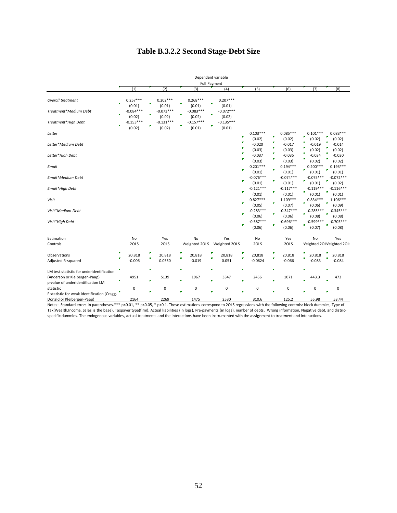## **Table B.3.2.2 Second Stage-Debt Size**

|                                                                    |    |                       |                |                       |   | Dependent variable    |        |                       |                |                       |    |                       |   |                                       |    |                       |
|--------------------------------------------------------------------|----|-----------------------|----------------|-----------------------|---|-----------------------|--------|-----------------------|----------------|-----------------------|----|-----------------------|---|---------------------------------------|----|-----------------------|
|                                                                    |    |                       |                |                       |   | <b>Full Payment</b>   |        |                       |                |                       |    |                       |   |                                       |    |                       |
|                                                                    |    | (1)                   |                | (2)                   |   | (3)                   |        | (4)                   |                | (5)                   |    | (6)                   |   | (7)                                   |    | (8)                   |
| Overall treatment                                                  | P. | $0.257***$<br>(0.01)  | $\mathbf{r}$   | $0.202***$<br>(0.01)  | ۳ | $0.268***$<br>(0.01)  | Ŷ,     | $0.207***$<br>(0.01)  |                |                       |    |                       |   |                                       |    |                       |
| Treatment*Medium Debt                                              |    | $-0.084***$<br>(0.02) | ×              | $-0.073***$<br>(0.02) |   | $-0.083***$<br>(0.02) |        | $-0.072***$<br>(0.02) |                |                       |    |                       |   |                                       |    |                       |
| Treatment*High Debt                                                |    | $-0.153***$<br>(0.02) | ×              | $-0.131***$<br>(0.02) | r | $-0.157***$<br>(0.01) | F      | $-0.135***$<br>(0.01) |                |                       |    |                       |   |                                       |    |                       |
| Letter                                                             |    |                       |                |                       |   |                       |        |                       |                | $0.103***$<br>(0.02)  |    | $0.085***$<br>(0.02)  |   | $0.101***$<br>(0.02)                  |    | $0.083***$<br>(0.02)  |
| Letter*Medium Debt                                                 |    |                       |                |                       |   |                       |        |                       |                | $-0.020$<br>(0.03)    |    | $-0.017$<br>(0.03)    |   | $-0.019$<br>(0.02)                    |    | $-0.014$<br>(0.02)    |
| Letter*High Debt                                                   |    |                       |                |                       |   |                       |        |                       |                | $-0.037$<br>(0.03)    |    | $-0.035$<br>(0.03)    |   | $-0.034$<br>(0.02)                    |    | $-0.030$<br>(0.02)    |
| Email                                                              |    |                       |                |                       |   |                       |        |                       |                | $0.201***$<br>(0.01)  |    | $0.194***$<br>(0.01)  |   | $0.200***$<br>(0.01)                  |    | $0.193***$<br>(0.01)  |
| Email*Medium Debt                                                  |    |                       |                |                       |   |                       |        |                       | P              | $-0.076***$<br>(0.01) | v  | $-0.074***$<br>(0.01) | г | $-0.075***$<br>(0.01)                 |    | $-0.072***$<br>(0.02) |
| Email*High Debt                                                    |    |                       |                |                       |   |                       |        |                       |                | $-0.121***$<br>(0.01) | v  | $-0.117***$<br>(0.01) | × | $-0.119***$<br>(0.01)                 |    | $-0.116***$<br>(0.01) |
| Visit                                                              |    |                       |                |                       |   |                       |        |                       | v              | $0.827***$<br>(0.05)  | v  | $1.109***$<br>(0.07)  |   | $0.834***$<br>(0.06)                  | Γ  | $1.106***$<br>(0.09)  |
| Visit*Medium Debt                                                  |    |                       |                |                       |   |                       |        |                       | ×              | $-0.283***$<br>(0.06) |    | $-0.347***$<br>(0.06) | ٠ | $-0.285***$<br>(0.08)                 |    | $-0.345***$<br>(0.08) |
| Visit*High Debt                                                    |    |                       |                |                       |   |                       |        |                       |                | $-0.587***$<br>(0.06) | Б  | $-0.696***$<br>(0.06) |   | $-0.599***$<br>(0.07)                 |    | $-0.703***$<br>(0.08) |
| Estimation<br>Controls                                             |    | No<br>20LS            |                | Yes<br>20LS           |   | No<br>Weighted 20LS   |        | Yes<br>Weighted 20LS  |                | No<br>20LS            |    | Yes<br>20LS           |   | <b>No</b><br>Veighted 2OLVeighted 2OL |    | Yes                   |
| Observations<br>Adjusted R-squared                                 |    | 20,818<br>$-0.006$    | ×              | 20,818<br>0.0550      | P | 20,818<br>$-0.019$    | F<br>P | 20,818<br>0.051       | v              | 20,818<br>$-0.0624$   | ×  | 20,818<br>$-0.066$    | F | 20,818<br>$-0.083$                    |    | 20,818<br>$-0.084$    |
| LM test statistic for underidentification                          |    |                       | $\blacksquare$ |                       | P |                       | þ,     |                       | $\blacksquare$ |                       | r, |                       |   |                                       | P. |                       |
| (Anderson or Kleibergen-Paap)<br>p-value of underidentification LM |    | 4951                  |                | 5139                  | ø | 1967                  | P      | 3347                  | P,             | 2466                  |    | 1071                  |   | 443.3                                 | P  | 473                   |
| statistic<br>F statistic for weak identification (Cragg-           |    | 0                     |                | 0                     |   | 0                     | ×      | 0                     | ż              | 0                     |    | 0                     |   | 0                                     |    | 0                     |
| Donald or Kleibergen-Paap)                                         |    | 2164                  |                | 2269                  |   | 1475                  |        | 2530                  |                | 310.6                 |    | 125.2                 |   | 55.98                                 |    | 53.44                 |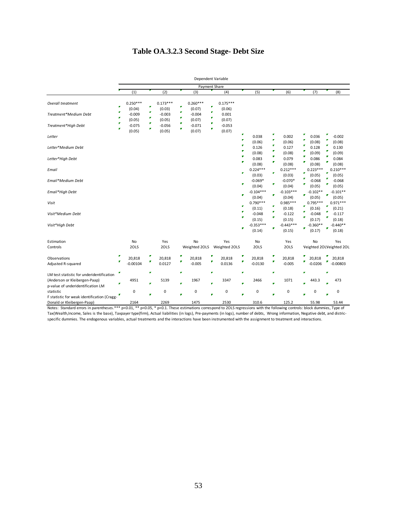## **Table OA.3.2.3 Second Stage- Debt Size**

|                                                                    |   |                      |                |                      |        | Payment Share              |        |                      |    |                       |   |                       |    |                                       |    |                      |
|--------------------------------------------------------------------|---|----------------------|----------------|----------------------|--------|----------------------------|--------|----------------------|----|-----------------------|---|-----------------------|----|---------------------------------------|----|----------------------|
|                                                                    |   | (1)                  |                | (2)                  |        | (3)                        |        | (4)                  |    | (5)                   |   | (6)                   |    | (7)                                   |    | (8)                  |
| Overall treatment                                                  | п | $0.250***$<br>(0.04) | ×              | $0.173***$<br>(0.03) | r      | $0.260***$<br>(0.07)       | F      | $0.175***$<br>(0.06) |    |                       |   |                       |    |                                       |    |                      |
| Treatment*Medium Debt                                              |   | $-0.009$<br>(0.05)   | ×              | $-0.003$<br>(0.05)   | r.     | $-0.004$<br>(0.07)         | ×      | 0.001<br>(0.07)      |    |                       |   |                       |    |                                       |    |                      |
| Treatment*High Debt                                                |   | $-0.075$<br>(0.05)   | ۰              | $-0.056$<br>(0.05)   | ė<br>v | $-0.071$<br>(0.07)         | ż<br>v | $-0.053$<br>(0.07)   |    |                       |   |                       |    |                                       |    |                      |
| Letter                                                             |   |                      |                |                      |        |                            |        |                      |    | 0.038<br>(0.06)       |   | 0.002<br>(0.06)       |    | 0.036<br>(0.08)                       |    | $-0.002$<br>(0.08)   |
| Letter*Medium Debt                                                 |   |                      |                |                      |        |                            |        |                      | п  | 0.126<br>(0.08)       |   | 0.127<br>(0.08)       |    | 0.128<br>(0.09)                       |    | 0.130<br>(0.09)      |
| Letter*High Debt                                                   |   |                      |                |                      |        |                            |        |                      |    | 0.083<br>(0.08)       |   | 0.079<br>(0.08)       |    | 0.086<br>(0.08)                       |    | 0.084<br>(0.08)      |
| Email                                                              |   |                      |                |                      |        |                            |        |                      |    | $0.224***$<br>(0.03)  | P | $0.212***$<br>(0.03)  | r, | $0.223***$<br>(0.05)                  |    | $0.210***$<br>(0.05) |
| Email*Medium Debt                                                  |   |                      |                |                      |        |                            |        |                      | P  | $-0.069*$<br>(0.04)   | × | $-0.070*$<br>(0.04)   |    | $-0.068$<br>(0.05)                    |    | $-0.068$<br>(0.05)   |
| Email*High Debt                                                    |   |                      |                |                      |        |                            |        |                      | ×  | $-0.104***$<br>(0.04) | ٠ | $-0.103***$<br>(0.04) |    | $-0.102**$<br>(0.05)                  |    | $-0.101**$<br>(0.05) |
| Visit                                                              |   |                      |                |                      |        |                            |        |                      | ×  | $0.790***$<br>(0.11)  | × | $0.985***$<br>(0.18)  | ř. | $0.795***$<br>(0.16)                  | ×  | $0.971***$<br>(0.21) |
| Visit*Medium Debt                                                  |   |                      |                |                      |        |                            |        |                      |    | $-0.048$<br>(0.15)    |   | $-0.122$<br>(0.15)    |    | $-0.048$<br>(0.17)                    |    | $-0.117$<br>(0.18)   |
| Visit*High Debt                                                    |   |                      |                |                      |        |                            |        |                      | P. | $-0.353***$<br>(0.14) |   | $-0.443***$<br>(0.15) | ₽  | $-0.360**$<br>(0.17)                  |    | $-0.440**$<br>(0.18) |
| Estimation<br>Controls                                             |   | No<br>20LS           |                | Yes<br>20LS          |        | <b>No</b><br>Weighted 20LS |        | Yes<br>Weighted 20LS |    | No<br>20LS            |   | Yes<br>20LS           |    | <b>No</b><br>Veighted 2OLVeighted 2OL |    | Yes                  |
| Observations                                                       |   | 20,818               | ×              | 20,818               | ▼      | 20,818                     | P      | 20,818               | ۳  | 20,818                | × | 20,818                | ₽  | 20,818                                |    | 20,818               |
| Adjusted R-squared                                                 |   | $-0.00104$           | $\blacksquare$ | 0.0127               |        | $-0.005$                   |        | 0.0136               |    | $-0.0130$             |   | $-0.005$              |    | $-0.0206$                             |    | $-0.00803$           |
| LM test statistic for underidentification                          |   |                      | ×              |                      | F      |                            | v      |                      | v  |                       | п |                       |    |                                       | Р  |                      |
| (Anderson or Kleibergen-Paap)<br>p-value of underidentification LM |   | 4951                 | ×              | 5139                 | ×.     | 1967                       | ×      | 3347                 | P. | 2466                  |   | 1071                  | ×. | 443.3                                 | b. | 473                  |
| statistic<br>F statistic for weak identification (Cragg-           |   | 0                    | $\mathbf{r}$   | 0                    | P.     | 0                          | Ê      | 0                    | F  | 0                     |   | 0                     | r. | 0                                     |    | 0                    |
| Donald or Kleibergen-Paap)                                         |   | 2164                 |                | 2269                 |        | 1475                       |        | 2530                 |    | 310.6                 |   | 125.2                 |    | 55.98                                 |    | 53.44                |

Dependent Variable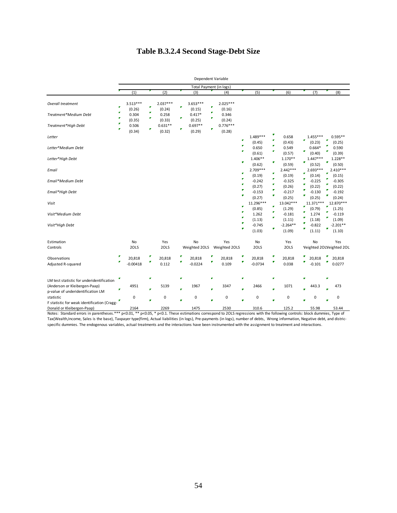## **Table B.3.2.4 Second Stage-Debt Size**

|                                                                    |                      |                |                      |    | Dependent Variable         |        |                      |    |                              |   |                                |    |                                       |   |                                |
|--------------------------------------------------------------------|----------------------|----------------|----------------------|----|----------------------------|--------|----------------------|----|------------------------------|---|--------------------------------|----|---------------------------------------|---|--------------------------------|
|                                                                    |                      |                |                      |    | Total Payment (in logs)    |        |                      |    |                              |   |                                |    |                                       |   |                                |
|                                                                    | (1)                  |                | (2)                  |    | (3)                        |        | (4)                  |    | (5)                          |   | (6)                            |    | (7)                                   |   | (8)                            |
| <b>Overall treatment</b>                                           | $3.513***$<br>(0.26) | $\blacksquare$ | $2.037***$<br>(0.24) | P. | $3.653***$<br>(0.15)       | F      | $2.025***$<br>(0.16) |    |                              |   |                                |    |                                       |   |                                |
| Treatment*Medium Debt                                              | 0.304<br>(0.35)      | ×<br>v         | 0.258<br>(0.33)      | r  | $0.417*$<br>(0.25)         | P<br>ν | 0.346<br>(0.24)      |    |                              |   |                                |    |                                       |   |                                |
| Treatment*High Debt                                                | 0.506<br>(0.34)      | ×              | $0.631**$<br>(0.32)  | r  | $0.697**$<br>(0.29)        | F      | $0.776***$<br>(0.28) |    |                              |   |                                |    |                                       |   |                                |
| Letter                                                             |                      |                |                      |    |                            |        |                      |    | $1.489***$<br>(0.45)         |   | 0.658<br>(0.43)                | F  | $1.455***$<br>(0.23)                  |   | $0.595**$<br>(0.25)            |
| Letter*Medium Debt                                                 |                      |                |                      |    |                            |        |                      |    | 0.650<br>(0.61)              |   | 0.549<br>(0.57)                | ×, | $0.664*$<br>(0.40)                    |   | 0.590<br>(0.39)                |
| Letter*High Debt                                                   |                      |                |                      |    |                            |        |                      |    | $1.406**$<br>(0.62)          |   | $1.170**$<br>(0.59)            | P  | $1.447***$<br>(0.52)                  |   | $1.228**$<br>(0.50)            |
| Email                                                              |                      |                |                      |    |                            |        |                      |    | 2.709 ***<br>(0.19)          |   | $2.442***$<br>(0.19)           |    | $2.693***$<br>(0.14)                  |   | $2.410***$<br>(0.15)           |
| Email*Medium Debt                                                  |                      |                |                      |    |                            |        |                      |    | $-0.242$<br>(0.27)           |   | $-0.325$<br>(0.26)             |    | $-0.225$<br>(0.22)                    |   | $-0.305$<br>(0.22)             |
| Email*High Debt                                                    |                      |                |                      |    |                            |        |                      |    | $-0.153$<br>(0.27)           |   | $-0.217$<br>(0.25)             |    | $-0.130$<br>(0.25)                    |   | $-0.192$<br>(0.24)             |
| Visit                                                              |                      |                |                      |    |                            |        |                      |    | 11.296***                    |   | 13.042***                      |    | 11.371***                             |   | 12.870***                      |
| Visit*Medium Debt                                                  |                      |                |                      |    |                            |        |                      |    | (0.85)<br>1.262              |   | (1.29)<br>$-0.181$             |    | (0.79)<br>1.274                       |   | (1.25)<br>$-0.119$             |
| Visit*High Debt                                                    |                      |                |                      |    |                            |        |                      |    | (1.13)<br>$-0.745$<br>(1.03) |   | (1.11)<br>$-2.264**$<br>(1.09) |    | (1.18)<br>$-0.822$<br>(1.11)          |   | (1.09)<br>$-2.201**$<br>(1.10) |
| Estimation<br>Controls                                             | <b>No</b><br>20LS    |                | Yes<br>2OLS          |    | <b>No</b><br>Weighted 20LS |        | Yes<br>Weighted 20LS |    | <b>No</b><br>20LS            |   | Yes<br>20LS                    |    | <b>No</b><br>Veighted 2OLVeighted 2OL |   | Yes                            |
| Observations<br>Adjusted R-squared                                 | 20,818<br>$-0.00418$ | $\mathbf{r}$   | 20,818<br>0.112      |    | 20,818<br>$-0.0224$        | ż      | 20,818<br>0.109      |    | 20,818<br>$-0.0734$          | × | 20,818<br>0.038                | ×, | 20,818<br>$-0.101$                    |   | 20,818<br>0.0277               |
| LM test statistic for underidentification                          |                      | ×              |                      | r  |                            | r      |                      | P. |                              | P |                                |    |                                       | P |                                |
| (Anderson or Kleibergen-Paap)<br>p-value of underidentification LM | 4951                 | ۰              | 5139                 | ٠  | 1967                       | ×,     | 3347                 | ×  | 2466                         |   | 1071                           | ۰  | 443.3                                 |   | 473                            |
| statistic<br>F statistic for weak identification (Cragg-           | 0                    | P.             | 0                    | ø  | 0                          | ż      | 0                    | P. | 0                            |   | 0                              | Ŷ. | 0                                     |   | 0                              |
| Donald or Kleibergen-Paap)                                         | 2164                 |                | 2269                 |    | 1475                       |        | 2530                 |    | 310.6                        |   | 125.2                          |    | 55.98                                 |   | 53.44                          |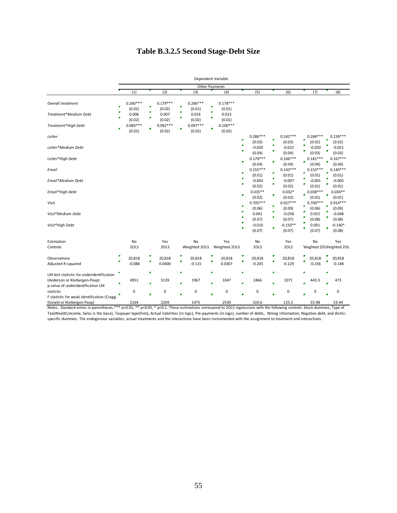## **Table B.3.2.5 Second Stage-Debt Size**

|                                                                    |   |                                |        |                                |        | Dependent Variable             |        |                                |                |                      |        |                      |   |                                |    |                      |
|--------------------------------------------------------------------|---|--------------------------------|--------|--------------------------------|--------|--------------------------------|--------|--------------------------------|----------------|----------------------|--------|----------------------|---|--------------------------------|----|----------------------|
|                                                                    |   |                                |        |                                |        | <b>Other Payments</b>          |        |                                |                |                      |        |                      |   |                                |    |                      |
|                                                                    |   | (1)                            |        | (2)                            |        | (3)                            |        | (4)                            |                | (5)                  |        | (6)                  |   | (7)                            |    | (8)                  |
| Overall treatment<br>Treatment*Medium Debt                         | п | $0.260***$<br>(0.02)<br>0.006  | ₽<br>٠ | $0.179***$<br>(0.02)<br>0.007  | ۳<br>É | $0.266***$<br>(0.01)<br>0.014  | F<br>z | $0.178***$<br>(0.01)<br>0.013  |                |                      |        |                      |   |                                |    |                      |
| Treatment*High Debt                                                |   | (0.02)<br>$0.083***$<br>(0.02) | ×      | (0.02)<br>$0.092***$<br>(0.02) | ۳      | (0.02)<br>$0.097***$<br>(0.02) | F      | (0.01)<br>$0.100***$<br>(0.02) |                |                      |        |                      |   |                                |    |                      |
| Letter                                                             |   |                                |        |                                |        |                                |        |                                |                | $0.286***$<br>(0.03) | ×      | $0.242***$<br>(0.03) |   | $0.284***$<br>(0.02)           | ×  | $0.239***$<br>(0.02) |
| Letter*Medium Debt                                                 |   |                                |        |                                |        |                                |        |                                |                | $-0.020$<br>(0.04)   | в      | $-0.022$<br>(0.04)   |   | $-0.020$<br>(0.03)             |    | $-0.021$<br>(0.03)   |
| Letter*High Debt                                                   |   |                                |        |                                |        |                                |        |                                | P.             | $0.179***$<br>(0.04) | ×      | $0.166***$<br>(0.04) |   | $0.181***$<br>(0.04)           |    | $0.167***$<br>(0.04) |
| Email                                                              |   |                                |        |                                |        |                                |        |                                |                | $0.155***$<br>(0.01) | в      | $0.143***$<br>(0.01) |   | $0.153***$<br>(0.01)           |    | $0.140***$<br>(0.01) |
| Email*Medium Debt                                                  |   |                                |        |                                |        |                                |        |                                |                | $-0.003$<br>(0.02)   |        | $-0.007$<br>(0.02)   |   | $-0.001$<br>(0.01)             |    | $-0.005$<br>(0.01)   |
| Email*High Debt                                                    |   |                                |        |                                |        |                                |        |                                | ø              | $0.035**$<br>(0.02)  | F      | $0.032*$<br>(0.02)   |   | $0.038***$<br>(0.01)           |    | $0.034**$<br>(0.01)  |
| Visit                                                              |   |                                |        |                                |        |                                |        |                                |                | $0.705***$<br>(0.06) | ×      | $0.927***$<br>(0.09) | × | $0.700***$<br>(0.06)           | r. | $0.914***$<br>(0.09) |
| Visit*Medium Debt                                                  |   |                                |        |                                |        |                                |        |                                |                | 0.041<br>(0.07)      |        | $-0.058$<br>(0.07)   |   | 0.052<br>(0.08)                |    | $-0.048$<br>(0.08)   |
| Visit*High Debt                                                    |   |                                |        |                                |        |                                |        |                                | P,<br>F.       | $-0.010$<br>(0.07)   | ×      | $-0.150**$<br>(0.07) |   | 0.001<br>(0.07)                |    | $-0.140*$<br>(0.08)  |
| Estimation<br>Controls                                             |   | No<br>20LS                     |        | Yes<br>20LS                    |        | No<br>Weighted 20LS            |        | Yes<br>Weighted 20LS           |                | No<br>20LS           |        | Yes<br>20LS          |   | No<br>Veighted 2OLVeighted 2OL |    | Yes                  |
| Observations<br>Adjusted R-squared                                 |   | 20,818<br>$-0.088$             | v<br>v | 20,818<br>0.0400               | Γ<br>F | 20,818<br>$-0.115$             | P<br>F | 20,818<br>0.0307               | F<br>v         | 20,818<br>$-0.205$   | ×<br>п | 20,818<br>$-0.129$   |   | 20,818<br>$-0.236$             | P  | 20,818<br>$-0.148$   |
| LM test statistic for underidentification                          |   |                                | v      |                                | r      |                                | P      |                                | $\pmb{\nabla}$ |                      | ×      |                      |   |                                | P  |                      |
| (Anderson or Kleibergen-Paap)<br>p-value of underidentification LM |   | 4951                           |        | 5139                           |        | 1967                           |        | 3347                           | P              | 2466                 |        | 1071                 |   | 443.3                          |    | 473                  |
| statistic<br>F statistic for weak identification (Cragg-           |   | 0                              |        | 0                              |        | 0                              | P      | 0                              | z              | 0                    |        | 0                    |   | 0                              |    | 0                    |
| Donald or Kleibergen-Paap)                                         |   | 2164                           |        | 2269                           |        | 1475                           |        | 2530                           |                | 310.6                |        | 125.2                |   | 55.98                          |    | 53.44                |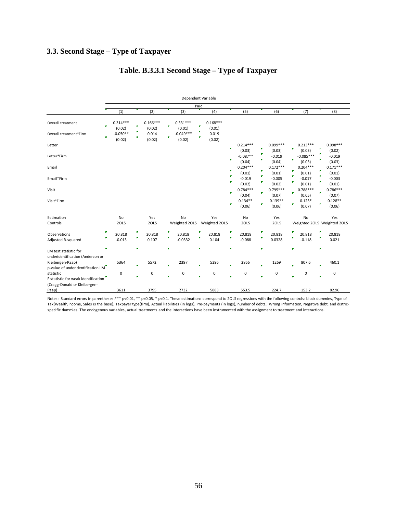## **3.3. Second Stage – Type of Taxpayer**

|                                                                                  |        |                      |                          |                      |    | Dependent Variable    |         |                      |                |                      |        |                      |         |                       |                |                             |
|----------------------------------------------------------------------------------|--------|----------------------|--------------------------|----------------------|----|-----------------------|---------|----------------------|----------------|----------------------|--------|----------------------|---------|-----------------------|----------------|-----------------------------|
|                                                                                  |        |                      |                          |                      |    |                       | Paid    |                      |                |                      |        |                      |         |                       |                |                             |
|                                                                                  |        | (1)                  |                          | (2)                  |    | (3)                   |         | (4)                  |                | (5)                  |        | (6)                  |         | (7)                   |                | (8)                         |
| Overall treatment                                                                | ø.     | $0.314***$<br>(0.02) | P.                       | $0.166***$<br>(0.02) | ×  | $0.331***$<br>(0.01)  | F       | $0.168***$<br>(0.01) |                |                      |        |                      |         |                       |                |                             |
| Overall treatment*Firm                                                           | ۳      | $-0.050**$<br>(0.02) | F                        | 0.014<br>(0.02)      | v  | $-0.049***$<br>(0.02) | F<br>г  | 0.019<br>(0.02)      |                |                      |        |                      |         |                       |                |                             |
| Letter                                                                           |        |                      |                          |                      |    |                       |         |                      | F.             | $0.214***$<br>(0.03) | P      | $0.099***$<br>(0.03) | v.      | $0.213***$<br>(0.03)  | п              | $0.098***$<br>(0.02)        |
| Letter*Firm                                                                      |        |                      |                          |                      |    |                       |         |                      | 7              | $-0.087**$<br>(0.04) | Р      | $-0.019$<br>(0.04)   | P.      | $-0.085***$<br>(0.03) | P              | $-0.019$<br>(0.03)          |
| Email                                                                            |        |                      |                          |                      |    |                       |         |                      | P.             | $0.204***$<br>(0.01) | P      | $0.172***$<br>(0.01) | 7       | $0.204***$<br>(0.01)  | P.             | $0.171***$<br>(0.01)        |
| Email*Firm                                                                       |        |                      |                          |                      |    |                       |         |                      | <b>F</b><br>×  | $-0.019$<br>(0.02)   | ▼<br>P | $-0.005$<br>(0.02)   | ₽<br>P. | $-0.017$<br>(0.01)    | п<br>v         | $-0.003$<br>(0.01)          |
| Visit                                                                            |        |                      |                          |                      |    |                       |         |                      | P.             | $0.784***$<br>(0.04) | P.     | $0.795***$<br>(0.07) | P.      | $0.788***$<br>(0.05)  | v.             | $0.786***$<br>(0.07)        |
| Visit*Firm                                                                       |        |                      |                          |                      |    |                       |         |                      | $\blacksquare$ | $0.134**$<br>(0.06)  | P.     | $0.139**$<br>(0.06)  | P.      | $0.123*$<br>(0.07)    | $\blacksquare$ | $0.128**$<br>(0.06)         |
| Estimation                                                                       |        | No                   |                          | Yes                  |    | <b>No</b>             |         | Yes                  |                | No                   |        | Yes                  |         | <b>No</b>             |                | Yes                         |
| Controls                                                                         |        | 20LS                 |                          | 20LS                 |    | Weighted 20LS         |         | Weighted 20LS        |                | 20LS                 |        | 20LS                 |         |                       |                | Weighted 2OLS Weighted 2OLS |
| Observations<br>Adjusted R-squared                                               | F<br>п | 20,818<br>$-0.013$   | ۳<br>Ø.                  | 20,818<br>0.107      | v  | 20,818<br>$-0.0332$   | P<br>×, | 20,818<br>0.104      | F<br>×,        | 20,818<br>$-0.088$   | P<br>z | 20,818<br>0.0328     | σ<br>v. | 20,818<br>$-0.118$    | ×<br>r.        | 20,818<br>0.021             |
| LM test statistic for<br>underidentification (Anderson or                        |        |                      | $\overline{\phantom{a}}$ |                      | ø. |                       | Ŷ,      |                      | r.             |                      | п      |                      | P.      |                       | P.             |                             |
| Kleibergen-Paap)<br>p-value of underidentification LM                            |        | 5364                 | ø.                       | 5572                 | Ê  | 2397                  | F.      | 5296                 | ×.             | 2866                 | F.     | 1269                 | P.      | 807.6                 | m.             | 460.1                       |
| statistic<br>F statistic for weak identification<br>(Cragg-Donald or Kleibergen- |        | 0                    | r.                       | 0                    | P. | 0                     | P.      | 0                    | P.             | 0                    | P.     | 0                    | P.      | 0                     | P.             | 0                           |
| Paap)                                                                            |        | 3611                 |                          | 3795                 |    | 2732                  |         | 5883                 |                | 553.5                |        | 224.7                |         | 153.2                 |                | 82.96                       |

### **Table. B.3.3.1 Second Stage – Type of Taxpayer**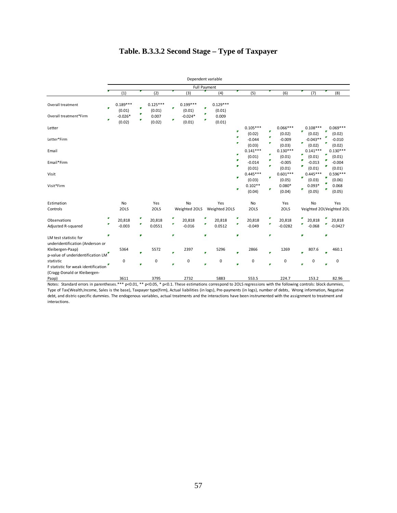# **Table. B.3.3.2 Second Stage – Type of Taxpayer**

|                                                                                           |                |                      |        |                      |        | Dependent variable   |              |                      |                   |                      |        |                      |        |                      |                          |                          |
|-------------------------------------------------------------------------------------------|----------------|----------------------|--------|----------------------|--------|----------------------|--------------|----------------------|-------------------|----------------------|--------|----------------------|--------|----------------------|--------------------------|--------------------------|
|                                                                                           |                |                      |        |                      |        |                      | Full Payment |                      |                   |                      |        |                      |        |                      |                          |                          |
|                                                                                           |                | (1)                  |        | (2)                  |        | (3)                  |              | (4)                  |                   | (5)                  |        | (6)                  |        | (7)                  |                          | (8)                      |
| Overall treatment                                                                         | $\blacksquare$ | $0.189***$<br>(0.01) | P      | $0.125***$<br>(0.01) | F      | $0.199***$<br>(0.01) | P.           | $0.129***$<br>(0.01) |                   |                      |        |                      |        |                      |                          |                          |
| Overall treatment*Firm                                                                    | v              | $-0.026*$<br>(0.02)  | п<br>F | 0.007<br>(0.02)      | F      | $-0.024*$<br>(0.01)  | ۳<br>п       | 0.009<br>(0.01)      |                   |                      |        |                      |        |                      |                          |                          |
| Letter                                                                                    |                |                      |        |                      |        |                      |              |                      | <b>F</b>          | $0.105***$<br>(0.02) | ×      | $0.066***$<br>(0.02) | v.     | $0.108***$<br>(0.02) | ×                        | $0.069***$<br>(0.02)     |
| Letter*Firm                                                                               |                |                      |        |                      |        |                      |              |                      | <b>F</b>          | $-0.044$<br>(0.03)   |        | $-0.009$<br>(0.03)   | ۰      | $-0.043**$<br>(0.02) |                          | $-0.010$<br>(0.02)       |
| Email                                                                                     |                |                      |        |                      |        |                      |              |                      | F.                | $0.141***$<br>(0.01) | и      | $0.130***$<br>(0.01) | F.     | $0.141***$<br>(0.01) | $\mathbf{r}$             | $0.130***$<br>(0.01)     |
| Email*Firm                                                                                |                |                      |        |                      |        |                      |              |                      | F<br>$\mathbf{r}$ | $-0.014$<br>(0.01)   |        | $-0.005$<br>(0.01)   | F<br>v | $-0.013$<br>(0.01)   |                          | $-0.004$<br>(0.01)       |
| Visit                                                                                     |                |                      |        |                      |        |                      |              |                      | v                 | $0.445***$<br>(0.03) | P.     | $0.601***$<br>(0.05) | v.     | $0.445***$<br>(0.03) | $\blacksquare$           | $0.596***$<br>(0.06)     |
| Visit*Firm                                                                                |                |                      |        |                      |        |                      |              |                      | r                 | $0.102**$<br>(0.04)  | P      | $0.080*$<br>(0.04)   | ₹.     | $0.093*$<br>(0.05)   |                          | 0.068<br>(0.05)          |
| Estimation                                                                                |                | <b>No</b>            |        | Yes                  |        | <b>No</b>            |              | Yes                  |                   | <b>No</b>            |        | Yes                  |        | <b>No</b>            |                          | Yes                      |
| Controls                                                                                  |                | 20LS                 |        | 20LS                 |        | Weighted 20LS        |              | Weighted 20LS        |                   | 20LS                 |        | 20LS                 |        |                      |                          | Veighted 2OLVeighted 2OL |
| Observations<br>Adjusted R-squared                                                        | v<br>v         | 20,818<br>$-0.003$   | F<br>Ρ | 20,818<br>0.0551     | r<br>r | 20,818<br>$-0.016$   | κ<br>r       | 20,818<br>0.0512     | п<br>r            | 20,818<br>$-0.049$   | ۳<br>r | 20,818<br>$-0.0282$  | v<br>۳ | 20,818<br>$-0.068$   | ₽                        | 20,818<br>$-0.0427$      |
| LM test statistic for                                                                     | ٠              |                      | ×      |                      | ×      |                      | Ê            |                      | P.                |                      |        |                      | v.     |                      | $\overline{\phantom{a}}$ |                          |
| underidentification (Anderson or<br>Kleibergen-Paap)<br>p-value of underidentification LM |                | 5364                 | ×      | 5572                 | 'n     | 2397                 | P.           | 5296                 | P.                | 2866                 | ٠      | 1269                 | P.     | 807.6                | $\mathbf{r}$             | 460.1                    |
| statistic<br>F statistic for weak identification<br>(Cragg-Donald or Kleibergen-          |                | $\mathbf 0$          | ٠      | $\mathbf 0$          |        | 0                    | ÷            | 0                    | ٠                 | 0                    |        | 0                    | ÷      | 0                    | ٠                        | 0                        |
| Paap)                                                                                     |                | 3611                 |        | 3795                 |        | 2732                 |              | 5883                 |                   | 553.5                |        | 224.7                |        | 153.2                |                          | 82.96                    |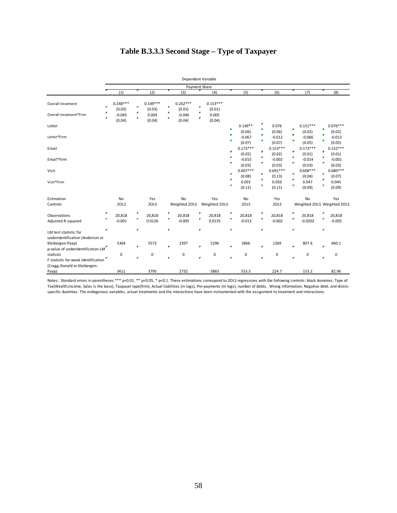# **Table B.3.3.3 Second Stage – Type of Taxpayer**

|                                                                     |                              |                      |    |                      |    | Dependent Variable   |                          |                      |    |                      |        |                      |                            |                      |    |                             |
|---------------------------------------------------------------------|------------------------------|----------------------|----|----------------------|----|----------------------|--------------------------|----------------------|----|----------------------|--------|----------------------|----------------------------|----------------------|----|-----------------------------|
|                                                                     |                              |                      |    |                      |    | Payment Share        |                          |                      |    |                      |        |                      |                            |                      |    |                             |
|                                                                     |                              | (1)                  |    | (2)                  |    | (3)                  |                          | (4)                  |    | (5)                  |        | (6)                  |                            | (7)                  |    | (8)                         |
| Overall treatment                                                   | $\blacksquare$               | $0.248***$<br>(0.03) | P. | $0.149***$<br>(0.03) | ż  | $0.262***$<br>(0.01) | $\overline{\mathbf{r}}$  | $0.153***$<br>(0.01) |    |                      |        |                      |                            |                      |    |                             |
| Overall treatment*Firm                                              | ×<br>$\overline{\mathbf{r}}$ | $-0.045$<br>(0.04)   |    | 0.004<br>(0.04)      |    | $-0.046$<br>(0.04)   |                          | 0.005<br>(0.04)      |    |                      |        |                      |                            |                      |    |                             |
| Letter                                                              |                              |                      |    |                      |    |                      |                          |                      | ×  | $0.149**$<br>(0.06)  | σ      | 0.076<br>(0.06)      | $\overline{\mathbf{r}}$    | $0.151***$<br>(0.02) |    | $0.076***$<br>(0.02)        |
| Letter*Firm                                                         |                              |                      |    |                      |    |                      |                          |                      |    | $-0.067$<br>(0.07)   | ×,     | $-0.012$<br>(0.07)   | $\blacksquare$<br><b>F</b> | $-0.066$<br>(0.05)   |    | $-0.013$<br>(0.05)          |
| Email                                                               |                              |                      |    |                      |    |                      |                          |                      | ٠  | $0.173***$<br>(0.02) | ×,     | $0.153***$<br>(0.02) | $\overline{\mathbf{r}}$    | $0.173***$<br>(0.01) | P. | $0.152***$<br>(0.01)        |
| Email*Firm                                                          |                              |                      |    |                      |    |                      |                          |                      | ×  | $-0.015$<br>(0.03)   | ×,     | $-0.002$<br>(0.03)   | ×<br>F.                    | $-0.014$<br>(0.03)   |    | $-0.001$<br>(0.03)          |
| Visit                                                               |                              |                      |    |                      |    |                      |                          |                      | r, | $0.607***$<br>(0.08) | v,     | $0.691***$<br>(0.13) | $\overline{\mathbf{r}}$    | $0.608***$<br>(0.04) |    | $0.680***$<br>(0.07)        |
| Visit*Firm                                                          |                              |                      |    |                      |    |                      |                          |                      | ٠  | 0.055<br>(0.11)      | v<br>v | 0.056<br>(0.11)      | ×<br>F.                    | 0.047<br>(0.09)      |    | 0.045<br>(0.09)             |
| Estimation                                                          |                              | No                   |    | Yes                  |    | No                   |                          | Yes                  |    | No                   |        | Yes                  |                            | No                   |    | Yes                         |
| Controls                                                            |                              | 20LS                 |    | 20LS                 |    | Weighted 20LS        |                          | Weighted 20LS        |    | 20LS                 |        | 20LS                 |                            |                      |    | Weighted 20LS Weighted 20LS |
| Observations                                                        | ×                            | 20,818               | ۳  | 20,818               | п  | 20,818               | ×                        | 20,818               | ٠  | 20,818               | ₽      | 20,818               | ×                          | 20,818               |    | 20,818                      |
| Adjusted R-squared                                                  | ×                            | $-0.001$             | v  | 0.0126               | P  | $-0.005$             | ×                        | 0.0135               |    | $-0.013$             | v      | $-0.002$             | ×                          | $-0.0202$            |    | $-0.005$                    |
| LM test statistic for<br>underidentification (Anderson or           | ×                            |                      | ×  |                      | P. |                      | $\overline{\phantom{a}}$ |                      | ×  |                      | v      |                      | $\mathbf{r}$               |                      | ×  |                             |
| Kleibergen-Paap)<br>p-value of underidentification LM               |                              | 5364                 | P. | 5572                 | P. | 2397                 |                          | 5296                 | ٠  | 2866                 | P.     | 1269                 | $\mathbf{r}$               | 807.6                |    | 460.1                       |
| statistic                                                           |                              | 0                    |    | 0                    |    | 0                    |                          | 0                    |    | 0                    |        | 0                    |                            | 0                    |    | 0                           |
| F statistic for weak identification<br>(Cragg-Donald or Kleibergen- |                              |                      | ×  |                      | ×  |                      | ×                        |                      | п  |                      |        |                      | $\mathbf{r}$               |                      |    |                             |
| Paap)                                                               |                              | 3611                 |    | 3795                 |    | 2732                 |                          | 5883                 |    | 553.5                |        | 224.7                |                            | 153.2                |    | 82.96                       |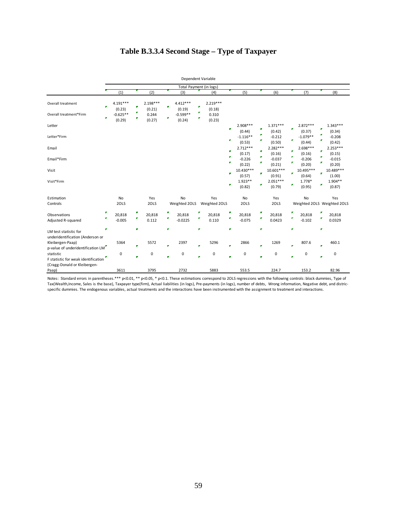# **Table B.3.3.4 Second Stage – Type of Taxpayer**

|                                                                     |                    |                      |         |                      |    | Dependent Variable      |        |                      |                   |                       |              |                      |        |                      |   |                             |
|---------------------------------------------------------------------|--------------------|----------------------|---------|----------------------|----|-------------------------|--------|----------------------|-------------------|-----------------------|--------------|----------------------|--------|----------------------|---|-----------------------------|
|                                                                     |                    |                      |         |                      |    | Total Payment (in logs) |        |                      |                   |                       |              |                      |        |                      |   |                             |
|                                                                     |                    | (1)                  |         | (2)                  |    | (3)                     |        | (4)                  |                   | (5)                   |              | (6)                  |        | (7)                  |   | (8)                         |
| Overall treatment                                                   | $\pmb{\mathbb{F}}$ | $4.191***$<br>(0.23) | 7       | $2.198***$<br>(0.21) | P. | 4.412***<br>(0.19)      | v      | $2.219***$<br>(0.18) |                   |                       |              |                      |        |                      |   |                             |
| Overall treatment*Firm                                              | $\blacksquare$     | $-0.625**$<br>(0.29) | P<br>P. | 0.244<br>(0.27)      | v. | $-0.599**$<br>(0.24)    | v<br>v | 0.310<br>(0.23)      |                   |                       |              |                      |        |                      |   |                             |
| Letter                                                              |                    |                      |         |                      |    |                         |        |                      | ×,                | $2.908***$<br>(0.44)  |              | $1.371***$<br>(0.42) | P.     | $2.872***$<br>(0.37) |   | $1.343***$<br>(0.34)        |
| Letter*Firm                                                         |                    |                      |         |                      |    |                         |        |                      | ×                 | $-1.116**$<br>(0.53)  |              | $-0.212$<br>(0.50)   | ×      | $-1.079**$<br>(0.44) |   | $-0.208$<br>(0.42)          |
| Email                                                               |                    |                      |         |                      |    |                         |        |                      | <b>P</b>          | $2.712***$<br>(0.17)  | ×            | $2.282***$<br>(0.16) | ۳      | $2.698***$<br>(0.16) | r | $2.253***$<br>(0.15)        |
| Email*Firm                                                          |                    |                      |         |                      |    |                         |        |                      | г<br>$\mathbf{r}$ | $-0.226$<br>(0.22)    |              | $-0.037$<br>(0.21)   | ν<br>× | $-0.206$<br>(0.20)   |   | $-0.015$<br>(0.20)          |
| Visit                                                               |                    |                      |         |                      |    |                         |        |                      | P.                | $10.430***$<br>(0.57) | ×            | 10.601***<br>(0.91)  | ×      | 10.495***<br>(0.64)  | × | 10.489***<br>(1.00)         |
| Visit*Firm                                                          |                    |                      |         |                      |    |                         |        |                      | $\blacksquare$    | $1.923**$<br>(0.82)   | $\mathbf{r}$ | $2.051***$<br>(0.79) | F.     | 1.778*<br>(0.95)     | × | $1.904**$<br>(0.87)         |
| Estimation                                                          |                    | No                   |         | Yes                  |    | <b>No</b>               |        | Yes                  |                   | <b>No</b>             |              | Yes                  |        | <b>No</b>            |   | Yes                         |
| Controls                                                            |                    | 20LS                 |         | 20LS                 |    | Weighted 20LS           |        | Weighted 20LS        |                   | 20LS                  |              | 20LS                 |        |                      |   | Weighted 20LS Weighted 20LS |
| Observations                                                        | v                  | 20,818               | ۳       | 20,818               | Р  | 20,818                  | Р      | 20,818               | ₽                 | 20,818                | v            | 20,818               | ۳      | 20,818               | r | 20,818                      |
| Adjusted R-squared                                                  | ×                  | $-0.005$             | P.      | 0.112                | ×  | $-0.0225$               | ٠      | 0.110                | ×                 | $-0.075$              | $\mathbf{r}$ | 0.0423               | P.     | $-0.102$             |   | 0.0329                      |
| LM test statistic for<br>underidentification (Anderson or           |                    |                      | P.      |                      | v  |                         | ٠      |                      | ×                 |                       | $\mathbf{r}$ |                      | ×      |                      | × |                             |
| Kleibergen-Paap)<br>p-value of underidentification LM               |                    | 5364                 | P.      | 5572                 |    | 2397                    |        | 5296                 | ۰                 | 2866                  |              | 1269                 | è      | 807.6                |   | 460.1                       |
| statistic                                                           |                    | 0                    | P.      | 0                    | F. | 0                       | ×      | 0                    | п                 | 0                     | $\mathbf{r}$ | 0                    | ×      | 0                    | × | 0                           |
| F statistic for weak identification<br>(Cragg-Donald or Kleibergen- |                    |                      |         |                      |    |                         |        |                      |                   |                       |              |                      |        |                      |   |                             |
| Paap)                                                               |                    | 3611                 |         | 3795                 |    | 2732                    |        | 5883                 |                   | 553.5                 |              | 224.7                |        | 153.2                |   | 82.96                       |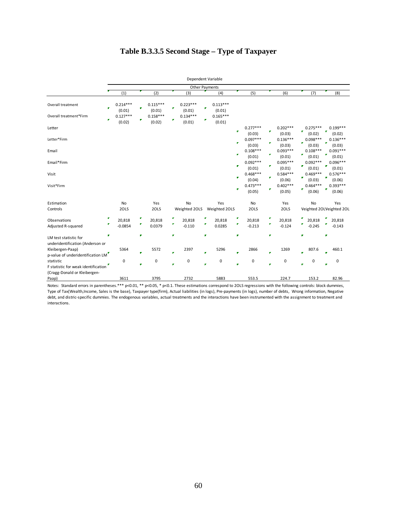# **Table B.3.3.5 Second Stage – Type of Taxpayer**

|                                                                                  |                     |                      |        |                      |        | Dependent Variable   |        |                      |                |                      |        |                      |              |                      |                |                          |
|----------------------------------------------------------------------------------|---------------------|----------------------|--------|----------------------|--------|----------------------|--------|----------------------|----------------|----------------------|--------|----------------------|--------------|----------------------|----------------|--------------------------|
|                                                                                  |                     |                      |        |                      |        | Other Payments       |        |                      |                |                      |        |                      |              |                      |                |                          |
|                                                                                  |                     | (1)                  |        | (2)                  |        | (3)                  |        | (4)                  |                | (5)                  |        | (6)                  |              | (7)                  |                | (8)                      |
| Overall treatment                                                                | $\mathbf{r}$        | $0.214***$<br>(0.01) | ×      | $0.115***$<br>(0.01) | F      | $0.223***$<br>(0.01) | P.     | $0.113***$<br>(0.01) |                |                      |        |                      |              |                      |                |                          |
| Overall treatment*Firm                                                           | $\blacksquare$      | $0.127***$<br>(0.02) | ×      | $0.158***$<br>(0.02) | F      | $0.134***$<br>(0.01) | п      | $0.165***$<br>(0.01) |                |                      |        |                      |              |                      |                |                          |
| Letter                                                                           |                     |                      |        |                      |        |                      |        |                      | $\pmb{\nabla}$ | $0.277***$<br>(0.03) |        | $0.202***$<br>(0.03) | P.           | $0.275***$<br>(0.02) | $\blacksquare$ | $0.199***$<br>(0.02)     |
| Letter*Firm                                                                      |                     |                      |        |                      |        |                      |        |                      | P.             | $0.097***$<br>(0.03) |        | $0.136***$<br>(0.03) | п            | $0.098***$<br>(0.03) | ×              | $0.136***$<br>(0.03)     |
| Email                                                                            |                     |                      |        |                      |        |                      |        |                      | F.             | $0.108***$<br>(0.01) | F.     | $0.093***$<br>(0.01) | P.           | $0.108***$<br>(0.01) | $\mathbf{r}$   | $0.091***$<br>(0.01)     |
| Email*Firm                                                                       |                     |                      |        |                      |        |                      |        |                      | $\pmb{\nabla}$ | $0.092***$<br>(0.01) | v      | $0.095***$<br>(0.01) | $\mathbf{r}$ | $0.092***$<br>(0.01) | $\mathbf{r}$   | $0.096***$<br>(0.01)     |
| Visit                                                                            |                     |                      |        |                      |        |                      |        |                      | v.             | $0.468***$<br>(0.04) |        | $0.584***$<br>(0.06) | P.           | $0.469***$<br>(0.03) | $\mathbf{r}$   | $0.576***$<br>(0.06)     |
| Visit*Firm                                                                       |                     |                      |        |                      |        |                      |        |                      | ¥.             | $0.473***$<br>(0.05) | P.     | $0.402***$<br>(0.05) | ₹.           | $0.464***$<br>(0.06) | v              | $0.393***$<br>(0.06)     |
| Estimation                                                                       |                     | <b>No</b>            |        | Yes                  |        | <b>No</b>            |        | Yes                  |                | No                   |        | Yes                  |              | <b>No</b>            |                | Yes                      |
| Controls                                                                         |                     | 20LS                 |        | 20LS                 |        | Weighted 20LS        |        | Weighted 20LS        |                | 20LS                 |        | 20LS                 |              |                      |                | Veighted 2OLVeighted 2OL |
| Observations<br>Adjusted R-squared                                               | ×<br>$\blacksquare$ | 20,818<br>$-0.0854$  | Γ<br>P | 20,818<br>0.0379     | r<br>г | 20,818<br>$-0.110$   | π<br>v | 20,818<br>0.0285     | v<br>F.        | 20,818<br>$-0.213$   | Γ<br>F | 20,818<br>$-0.124$   | τ<br>۳       | 20,818<br>$-0.245$   | п              | 20,818<br>$-0.143$       |
| LM test statistic for<br>underidentification (Anderson or                        | п                   |                      | ×      |                      | ×      |                      | ż      |                      | P.             |                      |        |                      | P.           |                      | $\mathbf{r}$   |                          |
| Kleibergen-Paap)<br>p-value of underidentification LM                            |                     | 5364                 | и      | 5572                 | r      | 2397                 | P.     | 5296                 | P.             | 2866                 | ٠      | 1269                 | P.           | 807.6                | ×.             | 460.1                    |
| statistic<br>F statistic for weak identification<br>(Cragg-Donald or Kleibergen- |                     | 0                    |        | 0                    |        | 0                    | ×,     | 0                    | r.             | 0                    |        | 0                    | ×.           | 0                    | ×              | 0                        |
| Paap)                                                                            |                     | 3611                 |        | 3795                 |        | 2732                 |        | 5883                 |                | 553.5                |        | 224.7                |              | 153.2                |                | 82.96                    |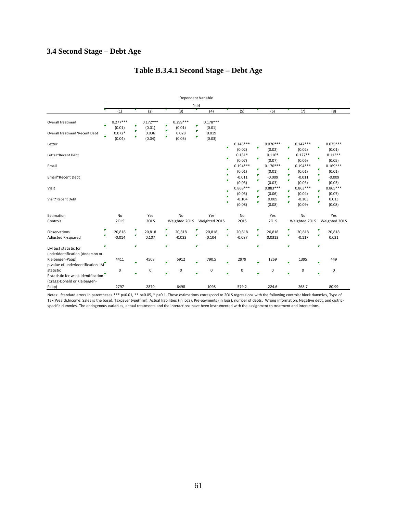### **3.4 Second Stage – Debt Age**

### **Table B.3.4.1 Second Stage – Debt Age**

|                                                                     |                              |                      |    |                      |                      | Dependent Variable   |        |                      |                     |                      |   |                      |        |                      |         |                      |
|---------------------------------------------------------------------|------------------------------|----------------------|----|----------------------|----------------------|----------------------|--------|----------------------|---------------------|----------------------|---|----------------------|--------|----------------------|---------|----------------------|
|                                                                     |                              |                      |    |                      |                      |                      | Paid   |                      |                     |                      |   |                      |        |                      |         |                      |
|                                                                     |                              | (1)                  |    | (2)                  |                      | (3)                  |        | (4)                  |                     | (5)                  |   | (6)                  |        | (7)                  |         | (8)                  |
| Overall treatment                                                   | γ.                           | $0.277***$<br>(0.01) | Р  | $0.172***$<br>(0.01) | v                    | $0.299***$<br>(0.01) | ۳      | $0.178***$<br>(0.01) |                     |                      |   |                      |        |                      |         |                      |
| Overall treatment*Recent Debt                                       | v.                           | $0.072*$<br>(0.04)   | P  | 0.036<br>(0.04)      | v<br>σ               | 0.028<br>(0.03)      | ×<br>× | 0.019<br>(0.03)      |                     |                      |   |                      |        |                      |         |                      |
| Letter                                                              |                              |                      |    |                      |                      |                      |        |                      | P.                  | $0.145***$<br>(0.02) |   | $0.076***$<br>(0.02) | ь      | $0.147***$<br>(0.02) | ۰       | $0.075***$<br>(0.01) |
| Letter*Recent Debt                                                  |                              |                      |    |                      |                      |                      |        |                      | $\blacksquare$      | $0.131*$<br>(0.07)   |   | $0.116*$<br>(0.07)   | ×      | $0.127**$<br>(0.06)  | ×,      | $0.113**$<br>(0.05)  |
| Email                                                               |                              |                      |    |                      |                      |                      |        |                      | $\blacksquare$      | $0.194***$<br>(0.01) |   | $0.170***$<br>(0.01) | ×,     | $0.194***$<br>(0.01) | P.      | $0.169***$<br>(0.01) |
| Email*Recent Debt                                                   |                              |                      |    |                      |                      |                      |        |                      | г<br>P.             | $-0.011$<br>(0.03)   |   | $-0.009$<br>(0.03)   | г<br>× | $-0.011$<br>(0.03)   | ×       | $-0.009$<br>(0.03)   |
| Visit                                                               |                              |                      |    |                      |                      |                      |        |                      | v                   | $0.868***$<br>(0.03) |   | $0.883***$<br>(0.06) | v      | $0.863***$<br>(0.04) | P       | $0.865***$<br>(0.07) |
| Visit*Recent Debt                                                   |                              |                      |    |                      |                      |                      |        |                      | P<br>₽              | $-0.104$<br>(0.08)   |   | 0.009<br>(0.08)      | в<br>v | $-0.103$<br>(0.09)   | ▼       | 0.013<br>(0.08)      |
| Estimation                                                          |                              | No                   |    | Yes                  |                      | <b>No</b>            |        | Yes                  |                     | No                   |   | Yes                  |        | <b>No</b>            |         | Yes                  |
| Controls                                                            |                              | 2OLS                 |    | 2OLS                 |                      | Weighted 20LS        |        | Weighted 20LS        |                     | 20LS                 |   | 20LS                 |        | Weighted 20LS        |         | Weighted 20LS        |
| Observations                                                        | v<br>$\overline{\mathbf{r}}$ | 20,818               |    | 20,818               | $\blacksquare$<br>P. | 20,818               | ×<br>F | 20,818               | v<br>$\blacksquare$ | 20,818               |   | 20,818               | v<br>ь | 20,818               | P<br>×, | 20,818               |
| Adjusted R-squared                                                  |                              | $-0.014$             |    | 0.107                |                      | $-0.033$             |        | 0.104                |                     | $-0.087$             |   | 0.0313               |        | $-0.117$             |         | 0.021                |
| LM test statistic for<br>underidentification (Anderson or           | ×                            |                      | ×, |                      | P.                   |                      | ×      |                      | v                   |                      |   |                      | ×      |                      | P       |                      |
| Kleibergen-Paap)<br>p-value of underidentification LM               |                              | 4411                 | P  | 4508                 | F                    | 5912                 | ×      | 790.5                | P.                  | 2979                 | v | 1269                 | ×      | 1395                 | r.      | 449                  |
| statistic                                                           |                              | 0                    |    | 0                    | ٠                    | 0                    | ٠      | 0                    | ×                   | 0                    |   | 0                    |        | $\mathbf 0$          |         | 0                    |
| F statistic for weak identification<br>(Cragg-Donald or Kleibergen- |                              |                      |    |                      |                      |                      |        |                      |                     |                      |   |                      |        |                      |         |                      |
| Paap)                                                               |                              | 2797                 |    | 2870                 |                      | 6498                 |        | 1098                 |                     | 579.2                |   | 224.6                |        | 268.7                |         | 80.99                |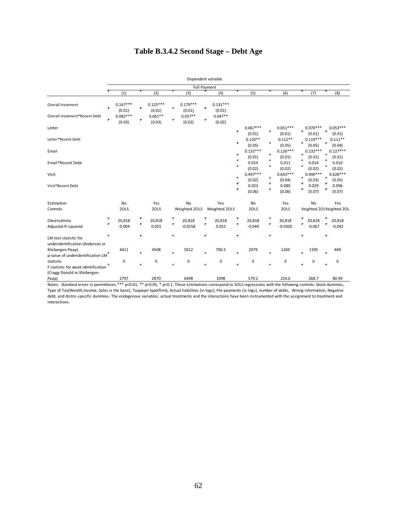## **Table B.3.4.2 Second Stage – Debt Age**

|                                                                                  |                      |           |                      |        | Dependent variable   |        |                      |         |                               |   |                               |        |                                |              |                               |
|----------------------------------------------------------------------------------|----------------------|-----------|----------------------|--------|----------------------|--------|----------------------|---------|-------------------------------|---|-------------------------------|--------|--------------------------------|--------------|-------------------------------|
|                                                                                  |                      |           |                      |        | <b>Full Payment</b>  |        |                      |         |                               |   |                               |        |                                |              |                               |
|                                                                                  | (1)                  |           | (2)                  |        | (3)                  |        | (4)                  |         | (5)                           |   | (6)                           |        | (7)                            |              | (8)                           |
| Overall treatment<br>$\mathbf{r}$                                                | $0.167***$<br>(0.01) | $\bullet$ | $0.125***$<br>(0.01) | P.     | $0.179***$<br>(0.01) | P.     | $0.131***$<br>(0.01) |         |                               |   |                               |        |                                |              |                               |
| Overall treatment*Recent Debt<br>$\mathbf{r}$                                    | $0.082***$<br>(0.03) | v         | $0.061**$<br>(0.03)  | F      | $0.057**$<br>(0.02)  | F      | $0.047**$<br>(0.02)  |         |                               |   |                               |        |                                |              |                               |
| Letter                                                                           |                      |           |                      |        |                      |        |                      | F.      | $0.067***$                    | и | $0.051***$                    | P.     | $0.070***$                     | $\mathbf{r}$ | $0.053***$                    |
| Letter*Recent Debt                                                               |                      |           |                      |        |                      |        |                      | P.      | (0.01)<br>$0.120**$<br>(0.05) |   | (0.01)<br>$0.112**$<br>(0.05) | P.     | (0.01)<br>$0.119***$<br>(0.05) | $\mathbf{r}$ | (0.01)<br>$0.111**$<br>(0.04) |
| Email                                                                            |                      |           |                      |        |                      |        |                      | ×       | $0.131***$<br>(0.01)          |   | $0.126***$<br>(0.01)          | P.     | $0.132***$<br>(0.01)           | $\mathbf{r}$ | $0.127***$<br>(0.01)          |
| Email*Recent Debt                                                                |                      |           |                      |        |                      |        |                      | Р<br>и  | 0.014<br>(0.02)               |   | 0.011<br>(0.02)               | и      | 0.014<br>(0.02)                | п            | 0.010<br>(0.02)               |
| Visit                                                                            |                      |           |                      |        |                      |        |                      | F       | $0.497***$<br>(0.02)          | P | $0.643***$<br>(0.04)          | P.     | $0.490***$<br>(0.03)           | $\mathbf{r}$ | $0.628***$<br>(0.05)          |
| Visit*Recent Debt                                                                |                      |           |                      |        |                      |        |                      | ×<br>P. | 0.023<br>(0.06)               |   | 0.089<br>(0.06)               | v.     | 0.029<br>(0.07)                |              | 0.096<br>(0.07)               |
| Estimation                                                                       | No                   |           | Yes                  |        | <b>No</b>            |        | Yes                  |         | <b>No</b>                     |   | Yes                           |        | <b>No</b>                      |              | Yes                           |
| Controls                                                                         | 20LS                 |           | 2OLS                 |        | Weighted 20LS        |        | Weighted 20LS        |         | 20LS                          |   | 20LS                          |        |                                |              | Veighted 2OLVeighted 2OL      |
| v<br>Observations<br>$\blacksquare$<br>Adjusted R-squared                        | 20,818<br>$-0.004$   | v         | 20,818<br>0.055      | ۳<br>P | 20,818<br>$-0.0158$  | r<br>r | 20,818<br>0.052      | v<br>×, | 20,818<br>$-0.049$            | P | 20,818<br>$-0.0305$           | v<br>v | 20,818<br>$-0.067$             |              | 20,818<br>$-0.042$            |
| LM test statistic for<br>underidentification (Anderson or                        |                      | п         |                      | v      |                      | D      |                      | Р       |                               |   |                               | P      |                                | ×            |                               |
| Kleibergen-Paap)<br>p-value of underidentification LM                            | 4411                 | ۰         | 4508                 | ÷      | 5912                 | ÷      | 790.5                | ×,      | 2979                          |   | 1269                          | P.     | 1395                           | ×            | 449                           |
| statistic<br>F statistic for weak identification<br>(Cragg-Donald or Kleibergen- | 0                    |           | 0                    | ×      | 0                    |        | $\mathbf 0$          | ×,      | 0                             |   | 0                             | v.     | 0                              |              | 0                             |
| Paap)                                                                            | 2797                 |           | 2870                 |        | 6498                 |        | 1098                 |         | 579.2                         |   | 224.6                         |        | 268.7                          |              | 80.99                         |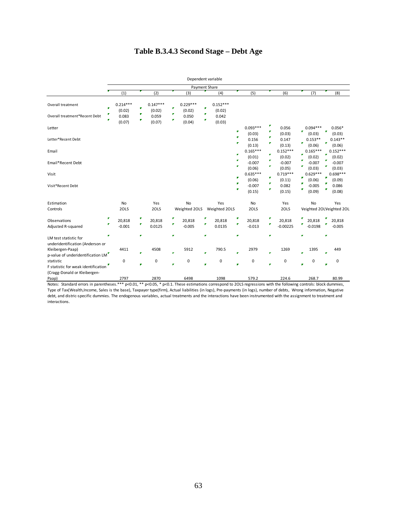## **Table B.3.4.3 Second Stage – Debt Age**

|                                                                |                      |        |                      |        | Dependent variable   |   |                      |        |                      |   |                      |              |                      |              |                          |
|----------------------------------------------------------------|----------------------|--------|----------------------|--------|----------------------|---|----------------------|--------|----------------------|---|----------------------|--------------|----------------------|--------------|--------------------------|
|                                                                |                      |        |                      |        | Payment Share        |   |                      |        |                      |   |                      |              |                      |              |                          |
|                                                                | (1)                  |        | (2)                  |        | (3)                  |   | (4)                  |        | (5)                  |   | (6)                  |              | (7)                  |              | (8)                      |
| Overall treatment<br>ь                                         | $0.214***$<br>(0.02) | P      | $0.147***$<br>(0.02) | è      | $0.229***$<br>(0.02) | Ê | $0.152***$<br>(0.02) |        |                      |   |                      |              |                      |              |                          |
| Overall treatment*Recent Debt<br>$\mathbf{r}$                  | 0.083<br>(0.07)      | F      | 0.059<br>(0.07)      | F      | 0.050<br>(0.04)      | F | 0.042<br>(0.03)      |        |                      |   |                      |              |                      |              |                          |
| Letter                                                         |                      |        |                      |        |                      |   |                      | P      | $0.093***$<br>(0.03) |   | 0.056<br>(0.03)      | $\mathbf{r}$ | $0.094***$<br>(0.03) | г            | $0.056*$<br>(0.03)       |
| Letter*Recent Debt                                             |                      |        |                      |        |                      |   |                      | ×      | 0.156<br>(0.13)      |   | 0.147<br>(0.13)      | ×            | $0.153**$<br>(0.06)  | ×            | $0.143**$<br>(0.06)      |
| Email                                                          |                      |        |                      |        |                      |   |                      | F      | $0.165***$<br>(0.01) | п | $0.152***$<br>(0.02) | $\mathbf{r}$ | $0.165***$<br>(0.02) | $\mathbf{r}$ | $0.152***$<br>(0.02)     |
| Email*Recent Debt                                              |                      |        |                      |        |                      |   |                      | Р      | $-0.007$<br>(0.06)   |   | $-0.007$<br>(0.05)   | и            | $-0.007$<br>(0.03)   | F.           | $-0.007$<br>(0.03)       |
| Visit                                                          |                      |        |                      |        |                      |   |                      | P.     | $0.635***$<br>(0.06) |   | $0.719***$<br>(0.11) | $\mathbf{r}$ | $0.629***$<br>(0.06) | ×            | $0.698***$<br>(0.09)     |
| Visit*Recent Debt                                              |                      |        |                      |        |                      |   |                      | v      | $-0.007$<br>(0.15)   |   | 0.082<br>(0.15)      | п            | $-0.005$<br>(0.09)   |              | 0.086<br>(0.08)          |
| Estimation                                                     | <b>No</b>            |        | Yes                  |        | <b>No</b>            |   | Yes                  |        | <b>No</b>            |   | Yes                  |              | <b>No</b>            |              | Yes                      |
| Controls                                                       | 2OLS                 |        | 2OLS                 |        | Weighted 20LS        |   | Weighted 20LS        |        | 2OLS                 |   | 20LS                 |              |                      |              | Veighted 2OLVeighted 2OL |
| v<br>Observations<br>$\blacksquare$                            | 20,818               | P<br>Б | 20,818               | 7<br>v | 20.818               | F | 20.818               | σ<br>F | 20,818               |   | 20,818               | σ            | 20,818               |              | 20,818                   |
| Adjusted R-squared                                             | $-0.001$             |        | 0.0125               |        | $-0.005$             |   | 0.0135               |        | $-0.013$             |   | $-0.00225$           |              | $-0.0198$            |              | $-0.005$                 |
| п<br>LM test statistic for<br>underidentification (Anderson or |                      | P      |                      | r      |                      | r |                      | F      |                      |   |                      | P.           |                      | F.           |                          |
| Kleibergen-Paap)<br>p-value of underidentification LM          | 4411                 |        | 4508                 |        | 5912                 | ÷ | 790.5                | ż      | 2979                 |   | 1269                 |              | 1395                 |              | 449                      |
| statistic<br>F statistic for weak identification               | 0                    | ٠      | 0                    | ٠      | 0                    | ż | 0                    | п      | 0                    |   | 0                    | r            | 0                    | ٠            | 0                        |
| (Cragg-Donald or Kleibergen-                                   |                      |        |                      |        |                      |   |                      |        |                      |   |                      |              |                      |              |                          |
| Paap)                                                          | 2797                 |        | 2870                 |        | 6498                 |   | 1098                 |        | 579.2                |   | 224.6                |              | 268.7                |              | 80.99                    |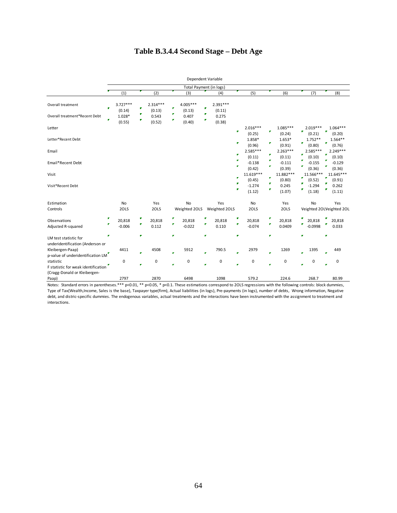### **Table B.3.4.4 Second Stage – Debt Age**

|                                                                                  |                                  |                      |        |                      |        | Dependent Variable      |        |                      |         |                      |   |                      |                   |                      |              |                          |
|----------------------------------------------------------------------------------|----------------------------------|----------------------|--------|----------------------|--------|-------------------------|--------|----------------------|---------|----------------------|---|----------------------|-------------------|----------------------|--------------|--------------------------|
|                                                                                  |                                  |                      |        |                      |        | Total Payment (in logs) |        |                      |         |                      |   |                      |                   |                      |              |                          |
|                                                                                  |                                  | (1)                  |        | (2)                  |        | (3)                     |        | (4)                  |         | (5)                  |   | (6)                  |                   | (7)                  |              | (8)                      |
| Overall treatment                                                                | $\mathbf{r}$                     | $3.727***$<br>(0.14) | v      | $2.314***$<br>(0.13) | P      | $4.005***$<br>(0.13)    | r      | $2.391***$<br>(0.11) |         |                      |   |                      |                   |                      |              |                          |
| Overall treatment*Recent Debt                                                    | v                                | $1.028*$<br>(0.55)   | D<br>v | 0.543<br>(0.52)      | F<br>F | 0.407<br>(0.40)         | г<br>7 | 0.275<br>(0.38)      |         |                      |   |                      |                   |                      |              |                          |
| Letter                                                                           |                                  |                      |        |                      |        |                         |        |                      | ۳       | $2.016***$<br>(0.25) | г | $1.085***$<br>(0.24) | v                 | $2.019***$<br>(0.21) | v            | $1.064***$<br>(0.20)     |
| Letter*Recent Debt                                                               |                                  |                      |        |                      |        |                         |        |                      | P       | 1.858*<br>(0.96)     |   | $1.653*$<br>(0.91)   | v                 | $1.752**$<br>(0.80)  | $\mathbf{r}$ | $1.564**$<br>(0.76)      |
| Email                                                                            |                                  |                      |        |                      |        |                         |        |                      | ×       | $2.585***$<br>(0.11) |   | $2.263***$<br>(0.11) | P.                | $2.585***$<br>(0.10) | $\mathbf{r}$ | $2.249***$<br>(0.10)     |
| Email*Recent Debt                                                                |                                  |                      |        |                      |        |                         |        |                      | и       | $-0.138$<br>(0.42)   |   | $-0.111$<br>(0.39)   | и                 | $-0.155$<br>(0.36)   |              | $-0.129$<br>(0.36)       |
| Visit                                                                            |                                  |                      |        |                      |        |                         |        |                      | P.      | 11.619***<br>(0.45)  |   | 11.882 ***<br>(0.80) | P.                | 11.566***<br>(0.52)  | $\mathbf{r}$ | 11.645***<br>(0.91)      |
| Visit*Recent Debt                                                                |                                  |                      |        |                      |        |                         |        |                      | P.      | $-1.274$<br>(1.12)   |   | 0.245<br>(1.07)      | $\mathbf{r}$<br>× | $-1.294$<br>(1.18)   |              | 0.262<br>(1.11)          |
| Estimation                                                                       |                                  | No                   |        | Yes                  |        | <b>No</b>               |        | Yes                  |         | <b>No</b>            |   | Yes                  |                   | <b>No</b>            |              | Yes                      |
| Controls                                                                         |                                  | 20LS                 |        | 20LS                 |        | Weighted 20LS           |        | Weighted 20LS        |         | 20LS                 |   | 20LS                 |                   |                      |              | Veighted 2OLVeighted 2OL |
| Observations<br>Adjusted R-squared                                               | $\blacksquare$<br>$\blacksquare$ | 20,818<br>$-0.006$   | v      | 20,818<br>0.112      | ۳<br>P | 20,818<br>$-0.022$      | r      | 20,818<br>0.110      | v<br>P. | 20,818<br>$-0.074$   | v | 20,818<br>0.0409     | v<br>ν            | 20,818<br>$-0.0998$  |              | 20,818<br>0.033          |
| LM test statistic for<br>underidentification (Anderson or                        | п                                |                      | п      |                      | ø      |                         | r      |                      | v       |                      |   |                      | v                 |                      | ×            |                          |
| Kleibergen-Paap)<br>p-value of underidentification LM                            |                                  | 4411                 |        | 4508                 | ÷      | 5912                    | ÷      | 790.5                | ×       | 2979                 |   | 1269                 | ×                 | 1395                 | ×            | 449                      |
| statistic<br>F statistic for weak identification<br>(Cragg-Donald or Kleibergen- |                                  | $\mathbf 0$          |        | 0                    |        | 0                       |        | 0                    | ×       | 0                    |   | 0                    | ÷                 | 0                    | ٠            | 0                        |
| Paap)                                                                            |                                  | 2797                 |        | 2870                 |        | 6498                    |        | 1098                 |         | 579.2                |   | 224.6                |                   | 268.7                |              | 80.99                    |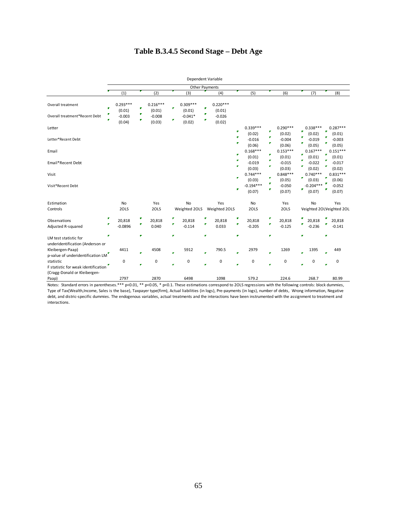## **Table B.3.4.5 Second Stage – Debt Age**

|                                                      |                     |                      |        |                      |        | Dependent Variable   |    |                      |         |                       |   |                      |                     |                       |                |                          |
|------------------------------------------------------|---------------------|----------------------|--------|----------------------|--------|----------------------|----|----------------------|---------|-----------------------|---|----------------------|---------------------|-----------------------|----------------|--------------------------|
|                                                      |                     |                      |        |                      |        | Other Payments       |    |                      |         |                       |   |                      |                     |                       |                |                          |
|                                                      |                     | (1)                  |        | (2)                  |        | (3)                  |    | (4)                  |         | (5)                   |   | (6)                  |                     | (7)                   |                | (8)                      |
| Overall treatment                                    | ×                   | $0.293***$<br>(0.01) | ×      | $0.216***$<br>(0.01) | P.     | $0.309***$<br>(0.01) | ×, | $0.220***$<br>(0.01) |         |                       |   |                      |                     |                       |                |                          |
| Overall treatment*Recent Debt                        | $\mathbf{r}$        | $-0.003$<br>(0.04)   | п<br>v | $-0.008$<br>(0.03)   | F      | $-0.041*$<br>(0.02)  | 7  | $-0.026$<br>(0.02)   |         |                       |   |                      |                     |                       |                |                          |
| Letter                                               |                     |                      |        |                      |        |                      |    |                      | Р       | $0.339***$<br>(0.02)  |   | $0.290***$<br>(0.02) | $\mathbf{r}$        | $0.338***$<br>(0.02)  | $\blacksquare$ | $0.287***$<br>(0.01)     |
| Letter*Recent Debt                                   |                     |                      |        |                      |        |                      |    |                      | z       | $-0.016$<br>(0.06)    |   | $-0.004$<br>(0.06)   | v                   | $-0.019$<br>(0.05)    |                | $-0.003$<br>(0.05)       |
| Email                                                |                     |                      |        |                      |        |                      |    |                      | v       | $0.168***$<br>(0.01)  |   | $0.153***$<br>(0.01) | P.                  | $0.167***$<br>(0.01)  | ×              | $0.151***$<br>(0.01)     |
| Email*Recent Debt                                    |                     |                      |        |                      |        |                      |    |                      | п       | $-0.019$<br>(0.03)    |   | $-0.015$<br>(0.03)   | г                   | $-0.022$<br>(0.02)    |                | $-0.017$<br>(0.02)       |
| Visit                                                |                     |                      |        |                      |        |                      |    |                      | P.      | $0.744***$<br>(0.03)  |   | $0.848***$<br>(0.05) | P.                  | $0.740***$<br>(0.03)  | ×              | $0.831***$<br>(0.06)     |
| Visit*Recent Debt                                    |                     |                      |        |                      |        |                      |    |                      | P.      | $-0.194***$<br>(0.07) |   | $-0.050$<br>(0.07)   | P.                  | $-0.204***$<br>(0.07) |                | $-0.052$<br>(0.07)       |
| Estimation                                           |                     | <b>No</b>            |        | Yes                  |        | <b>No</b>            |    | Yes                  |         | <b>No</b>             |   | Yes                  |                     | <b>No</b>             |                | Yes                      |
| Controls                                             |                     | 20LS                 |        | 2OLS                 |        | Weighted 20LS        |    | Weighted 20LS        |         | 20LS                  |   | 20LS                 |                     |                       |                | Veighted 2OLVeighted 2OL |
| Observations                                         | v<br>$\blacksquare$ | 20,818               | v      | 20,818               | ۳<br>P | 20,818               |    | 20,818               | Δ<br>P. | 20,818                | v | 20,818               | v<br>$\blacksquare$ | 20,818                |                | 20,818                   |
| Adjusted R-squared                                   |                     | $-0.0896$            |        | 0.040                |        | $-0.114$             |    | 0.033                |         | $-0.205$              |   | $-0.125$             |                     | $-0.236$              |                | $-0.141$                 |
| LM test statistic for                                | в                   |                      | п      |                      | ø      |                      | r  |                      | v       |                       |   |                      | P.                  |                       | ×              |                          |
| underidentification (Anderson or<br>Kleibergen-Paap) |                     | 4411                 | ۰      | 4508                 | ÷      | 5912                 | ÷  | 790.5                | ×       | 2979                  |   | 1269                 | ×                   | 1395                  | ×              | 449                      |
| p-value of underidentification LM                    |                     |                      |        |                      |        |                      |    |                      |         |                       |   |                      |                     |                       |                |                          |
| statistic                                            |                     | 0                    |        | 0                    |        | 0                    |    | 0                    | ×       | 0                     |   | 0                    | ÷                   | 0                     | ٠              | 0                        |
| F statistic for weak identification                  |                     |                      |        |                      |        |                      |    |                      |         |                       |   |                      |                     |                       |                |                          |
| (Cragg-Donald or Kleibergen-                         |                     |                      |        |                      |        |                      |    |                      |         |                       |   |                      |                     |                       |                |                          |
| Paap)                                                |                     | 2797                 |        | 2870                 |        | 6498                 |    | 1098                 |         | 579.2                 |   | 224.6                |                     | 268.7                 |                | 80.99                    |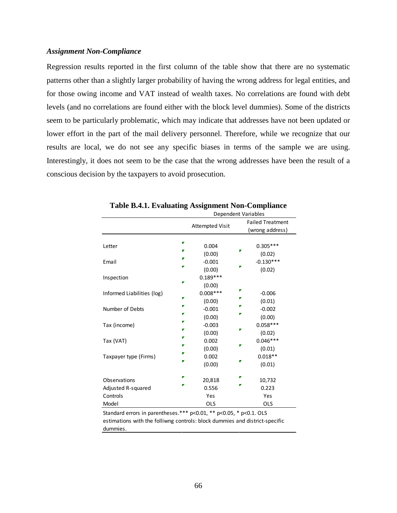#### *Assignment Non-Compliance*

Regression results reported in the first column of the table show that there are no systematic patterns other than a slightly larger probability of having the wrong address for legal entities, and for those owing income and VAT instead of wealth taxes. No correlations are found with debt levels (and no correlations are found either with the block level dummies). Some of the districts seem to be particularly problematic, which may indicate that addresses have not been updated or lower effort in the part of the mail delivery personnel. Therefore, while we recognize that our results are local, we do not see any specific biases in terms of the sample we are using. Interestingly, it does not seem to be the case that the wrong addresses have been the result of a conscious decision by the taxpayers to avoid prosecution.

|                                                                         | Dependent Variables |                              |        |                                 |  |  |  |  |  |  |  |  |
|-------------------------------------------------------------------------|---------------------|------------------------------|--------|---------------------------------|--|--|--|--|--|--|--|--|
|                                                                         |                     | <b>Attempted Visit</b>       |        | <b>Failed Treatment</b>         |  |  |  |  |  |  |  |  |
|                                                                         |                     |                              |        | (wrong address)                 |  |  |  |  |  |  |  |  |
| Letter                                                                  | F                   | 0.004                        |        | $0.305***$                      |  |  |  |  |  |  |  |  |
| Email                                                                   |                     | (0.00)<br>$-0.001$<br>(0.00) |        | (0.02)<br>$-0.130***$<br>(0.02) |  |  |  |  |  |  |  |  |
| Inspection                                                              |                     | $0.189***$<br>(0.00)         |        |                                 |  |  |  |  |  |  |  |  |
| Informed Liabilities (log)                                              |                     | $0.008***$<br>(0.00)         | F      | $-0.006$<br>(0.01)              |  |  |  |  |  |  |  |  |
| Number of Debts                                                         |                     | $-0.001$                     | F<br>F | $-0.002$                        |  |  |  |  |  |  |  |  |
| Tax (income)                                                            |                     | (0.00)<br>$-0.003$           | Г      | (0.00)<br>$0.058***$            |  |  |  |  |  |  |  |  |
| Tax (VAT)                                                               |                     | (0.00)<br>0.002              |        | (0.02)<br>$0.046***$            |  |  |  |  |  |  |  |  |
| Taxpayer type (Firms)                                                   |                     | (0.00)<br>0.002              |        | (0.01)<br>$0.018**$             |  |  |  |  |  |  |  |  |
|                                                                         |                     | (0.00)                       | Г      | (0.01)                          |  |  |  |  |  |  |  |  |
| Observations<br>Adjusted R-squared                                      |                     | 20,818<br>0.556              |        | 10,732<br>0.223                 |  |  |  |  |  |  |  |  |
| Controls<br>Model                                                       |                     | Yes<br><b>OLS</b>            |        | Yes<br><b>OLS</b>               |  |  |  |  |  |  |  |  |
| Standard errors in parentheses *** $n<0.01$ ** $n<0.05$ * $n<0.1$ . OLS |                     |                              |        |                                 |  |  |  |  |  |  |  |  |

**Table B.4.1. Evaluating Assignment Non-Compliance**

 $p<0.01$ , \*\*  $p<0.05$ , \*  $p<sub>1</sub>$ estimations with the folliwng controls: block dummies and district-specific dummies.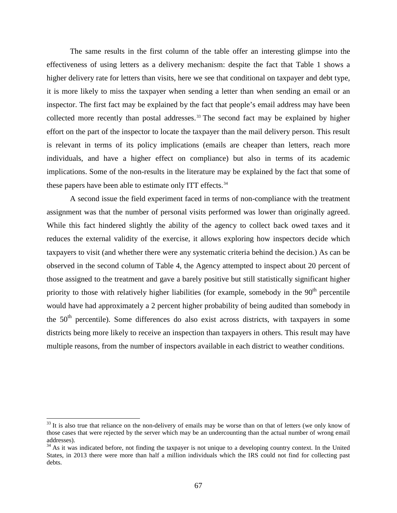The same results in the first column of the table offer an interesting glimpse into the effectiveness of using letters as a delivery mechanism: despite the fact that Table 1 shows a higher delivery rate for letters than visits, here we see that conditional on taxpayer and debt type, it is more likely to miss the taxpayer when sending a letter than when sending an email or an inspector. The first fact may be explained by the fact that people's email address may have been collected more recently than postal addresses.<sup>[33](#page-69-0)</sup> The second fact may be explained by higher effort on the part of the inspector to locate the taxpayer than the mail delivery person. This result is relevant in terms of its policy implications (emails are cheaper than letters, reach more individuals, and have a higher effect on compliance) but also in terms of its academic implications. Some of the non-results in the literature may be explained by the fact that some of these papers have been able to estimate only ITT effects.<sup>[34](#page-69-1)</sup>

A second issue the field experiment faced in terms of non-compliance with the treatment assignment was that the number of personal visits performed was lower than originally agreed. While this fact hindered slightly the ability of the agency to collect back owed taxes and it reduces the external validity of the exercise, it allows exploring how inspectors decide which taxpayers to visit (and whether there were any systematic criteria behind the decision.) As can be observed in the second column of Table 4, the Agency attempted to inspect about 20 percent of those assigned to the treatment and gave a barely positive but still statistically significant higher priority to those with relatively higher liabilities (for example, somebody in the  $90<sup>th</sup>$  percentile would have had approximately a 2 percent higher probability of being audited than somebody in the  $50<sup>th</sup>$  percentile). Some differences do also exist across districts, with taxpayers in some districts being more likely to receive an inspection than taxpayers in others. This result may have multiple reasons, from the number of inspectors available in each district to weather conditions.

<span id="page-69-0"></span> $33$  It is also true that reliance on the non-delivery of emails may be worse than on that of letters (we only know of those cases that were rejected by the server which may be an undercounting than the actual number of wrong email addresses).

<span id="page-69-1"></span> $34$  As it was indicated before, not finding the taxpayer is not unique to a developing country context. In the United States, in 2013 there were more than half a million individuals which the IRS could not find for collecting past debts.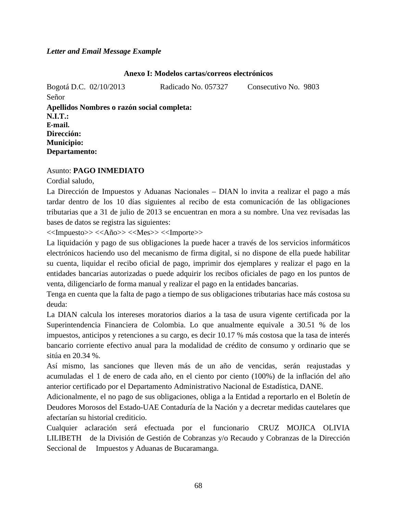#### *Letter and Email Message Example*

#### **Anexo I: Modelos cartas/correos electrónicos**

Bogotá D.C. 02/10/2013 Radicado No. 057327 Consecutivo No. 9803 Señor **Apellidos Nombres o razón social completa: N.I.T.: E-mail. Dirección: Municipio: Departamento:** 

#### Asunto: **PAGO INMEDIATO**

Cordial saludo,

La Dirección de Impuestos y Aduanas Nacionales – DIAN lo invita a realizar el pago a más tardar dentro de los 10 días siguientes al recibo de esta comunicación de las obligaciones tributarias que a 31 de julio de 2013 se encuentran en mora a su nombre. Una vez revisadas las bases de datos se registra las siguientes:

<<Impuesto>> <<Año>> <<Mes>> <<Importe>>

La liquidación y pago de sus obligaciones la puede hacer a través de los servicios informáticos electrónicos haciendo uso del mecanismo de firma digital, si no dispone de ella puede habilitar su cuenta, liquidar el recibo oficial de pago, imprimir dos ejemplares y realizar el pago en la entidades bancarias autorizadas o puede adquirir los recibos oficiales de pago en los puntos de venta, diligenciarlo de forma manual y realizar el pago en la entidades bancarias.

Tenga en cuenta que la falta de pago a tiempo de sus obligaciones tributarias hace más costosa su deuda:

La DIAN calcula los intereses moratorios diarios a la tasa de usura vigente certificada por la Superintendencia Financiera de Colombia. Lo que anualmente equivale a 30.51 % de los impuestos, anticipos y retenciones a su cargo, es decir 10.17 % más costosa que la tasa de interés bancario corriente efectivo anual para la modalidad de crédito de consumo y ordinario que se sitúa en 20.34 %.

Así mismo, las sanciones que lleven más de un año de vencidas, serán reajustadas y acumuladas el 1 de enero de cada año, en el ciento por ciento (100%) de la inflación del año anterior certificado por el Departamento Administrativo Nacional de Estadística, DANE.

Adicionalmente, el no pago de sus obligaciones, obliga a la Entidad a reportarlo en el Boletín de Deudores Morosos del Estado-UAE Contaduría de la Nación y a decretar medidas cautelares que afectarían su historial crediticio.

Cualquier aclaración será efectuada por el funcionario CRUZ MOJICA OLIVIA LILIBETH de la División de Gestión de Cobranzas y/o Recaudo y Cobranzas de la Dirección Seccional de Impuestos y Aduanas de Bucaramanga.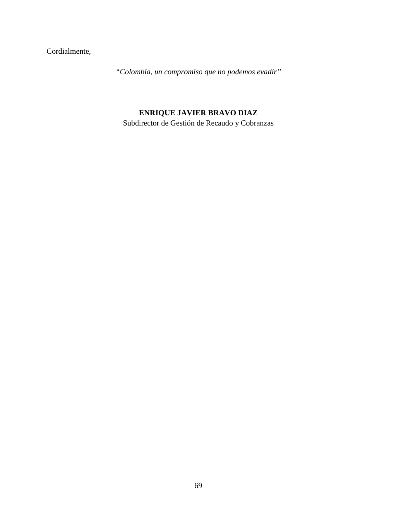Cordialmente,

*"Colombia, un compromiso que no podemos evadir"*

# **ENRIQUE JAVIER BRAVO DIAZ**

Subdirector de Gestión de Recaudo y Cobranzas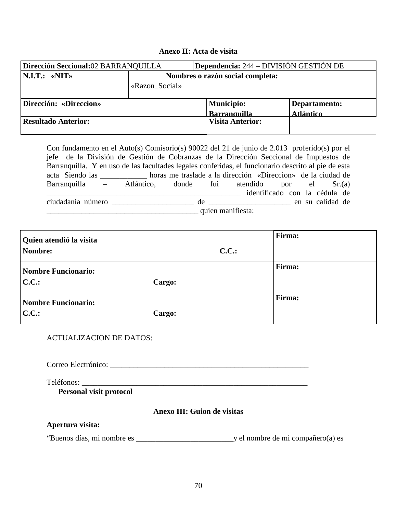| Dirección Seccional: 02 BARRANQUILLA |                | <b>Dependencia:</b> 244 – DIVISIÓN GESTIÓN DE |                  |  |
|--------------------------------------|----------------|-----------------------------------------------|------------------|--|
| $N.I.T.: \triangleleft NIT$          |                | Nombres o razón social completa:              |                  |  |
|                                      | «Razon Social» |                                               |                  |  |
| Dirección: «Direccion»               |                | <b>Municipio:</b>                             | Departamento:    |  |
|                                      |                | <b>Barranquilla</b>                           | <b>Atlántico</b> |  |
| <b>Resultado Anterior:</b>           |                | <b>Visita Anterior:</b>                       |                  |  |
|                                      |                |                                               |                  |  |

#### **Anexo II: Acta de visita**

Con fundamento en el Auto(s) Comisorio(s) 90022 del 21 de junio de 2.013 proferido(s) por el jefe de la División de Gestión de Cobranzas de la Dirección Seccional de Impuestos de Barranquilla. Y en uso de las facultades legales conferidas, el funcionario descrito al pie de esta acta Siendo las \_\_\_\_\_\_\_\_\_\_\_\_ horas me traslade a la dirección «Direccion» de la ciudad de Barranquilla – Atlántico, donde fui atendido por el Sr.(a) \_\_\_\_\_\_\_\_\_\_\_\_\_\_\_\_\_\_\_\_\_\_\_\_\_\_\_\_\_\_\_\_\_\_\_\_\_\_\_\_\_\_\_\_\_\_\_\_\_\_ identificado con la cédula de ciudadanía número \_\_\_\_\_\_\_\_\_\_\_\_\_\_\_\_\_\_\_\_\_ de \_\_\_\_\_\_\_\_\_\_\_\_\_\_\_\_\_\_\_\_\_ en su calidad de quien manifiesta:

| Quien atendió la visita    |        |       | Firma: |
|----------------------------|--------|-------|--------|
| Nombre:                    |        | C.C.: |        |
| <b>Nombre Funcionario:</b> |        |       | Firma: |
| C.C.                       | Cargo: |       |        |
| <b>Nombre Funcionario:</b> |        |       | Firma: |
| C.C.                       | Cargo: |       |        |

ACTUALIZACION DE DATOS:

Correo Electrónico: \_\_\_\_\_\_\_\_\_\_\_\_\_\_\_\_\_\_\_\_\_\_\_\_\_\_\_\_\_\_\_\_\_\_\_\_\_\_\_\_\_\_\_\_\_\_\_\_\_\_\_

Teléfonos:

**Personal visit protocol**

## **Anexo III: Guion de visitas**

### **Apertura visita:**

"Buenos días, mi nombre es \_\_\_\_\_\_\_\_\_\_\_\_\_\_\_\_\_\_\_\_\_\_\_\_\_y el nombre de mi compañero(a) es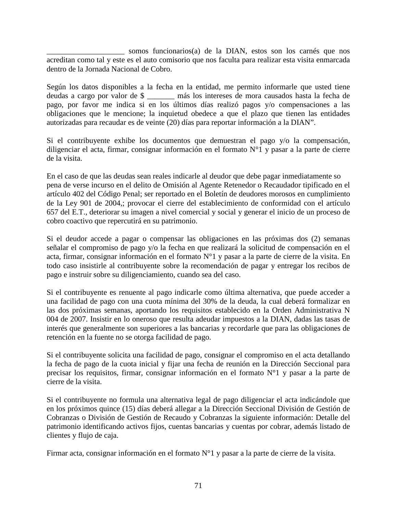somos funcionarios(a) de la DIAN, estos son los carnés que nos acreditan como tal y este es el auto comisorio que nos faculta para realizar esta visita enmarcada dentro de la Jornada Nacional de Cobro.

Según los datos disponibles a la fecha en la entidad, me permito informarle que usted tiene deudas a cargo por valor de \$ \_\_\_\_\_\_\_ más los intereses de mora causados hasta la fecha de pago, por favor me indica si en los últimos días realizó pagos y/o compensaciones a las obligaciones que le mencione; la inquietud obedece a que el plazo que tienen las entidades autorizadas para recaudar es de veinte (20) días para reportar información a la DIAN".

Si el contribuyente exhibe los documentos que demuestran el pago y/o la compensación, diligenciar el acta, firmar, consignar información en el formato N°1 y pasar a la parte de cierre de la visita.

En el caso de que las deudas sean reales indicarle al deudor que debe pagar inmediatamente so pena de verse incurso en el delito de Omisión al Agente Retenedor o Recaudador tipificado en el artículo 402 del Código Penal; ser reportado en el Boletín de deudores morosos en cumplimiento de la Ley 901 de 2004,; provocar el cierre del establecimiento de conformidad con el artículo 657 del E.T., deteriorar su imagen a nivel comercial y social y generar el inicio de un proceso de cobro coactivo que repercutirá en su patrimonio.

Si el deudor accede a pagar o compensar las obligaciones en las próximas dos (2) semanas señalar el compromiso de pago y/o la fecha en que realizará la solicitud de compensación en el acta, firmar, consignar información en el formato N°1 y pasar a la parte de cierre de la visita. En todo caso insistirle al contribuyente sobre la recomendación de pagar y entregar los recibos de pago e instruir sobre su diligenciamiento, cuando sea del caso.

Si el contribuyente es renuente al pago indicarle como última alternativa, que puede acceder a una facilidad de pago con una cuota mínima del 30% de la deuda, la cual deberá formalizar en las dos próximas semanas, aportando los requisitos establecido en la Orden Administrativa N 004 de 2007. Insistir en lo oneroso que resulta adeudar impuestos a la DIAN, dadas las tasas de interés que generalmente son superiores a las bancarias y recordarle que para las obligaciones de retención en la fuente no se otorga facilidad de pago.

Si el contribuyente solicita una facilidad de pago, consignar el compromiso en el acta detallando la fecha de pago de la cuota inicial y fijar una fecha de reunión en la Dirección Seccional para precisar los requisitos, firmar, consignar información en el formato N°1 y pasar a la parte de cierre de la visita.

Si el contribuyente no formula una alternativa legal de pago diligenciar el acta indicándole que en los próximos quince (15) días deberá allegar a la Dirección Seccional División de Gestión de Cobranzas o División de Gestión de Recaudo y Cobranzas la siguiente información: Detalle del patrimonio identificando activos fijos, cuentas bancarias y cuentas por cobrar, además listado de clientes y flujo de caja.

Firmar acta, consignar información en el formato N°1 y pasar a la parte de cierre de la visita.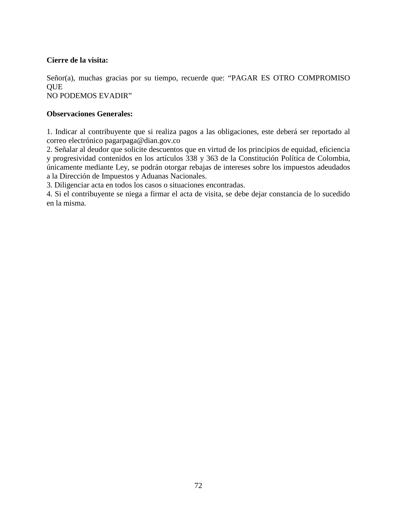#### **Cierre de la visita:**

Señor(a), muchas gracias por su tiempo, recuerde que: "PAGAR ES OTRO COMPROMISO **OUE** NO PODEMOS EVADIR"

#### **Observaciones Generales:**

1. Indicar al contribuyente que si realiza pagos a las obligaciones, este deberá ser reportado al correo electrónico pagarpaga@dian.gov.co

2. Señalar al deudor que solicite descuentos que en virtud de los principios de equidad, eficiencia y progresividad contenidos en los artículos 338 y 363 de la Constitución Política de Colombia, únicamente mediante Ley, se podrán otorgar rebajas de intereses sobre los impuestos adeudados a la Dirección de Impuestos y Aduanas Nacionales.

3. Diligenciar acta en todos los casos o situaciones encontradas.

4. Si el contribuyente se niega a firmar el acta de visita, se debe dejar constancia de lo sucedido en la misma.